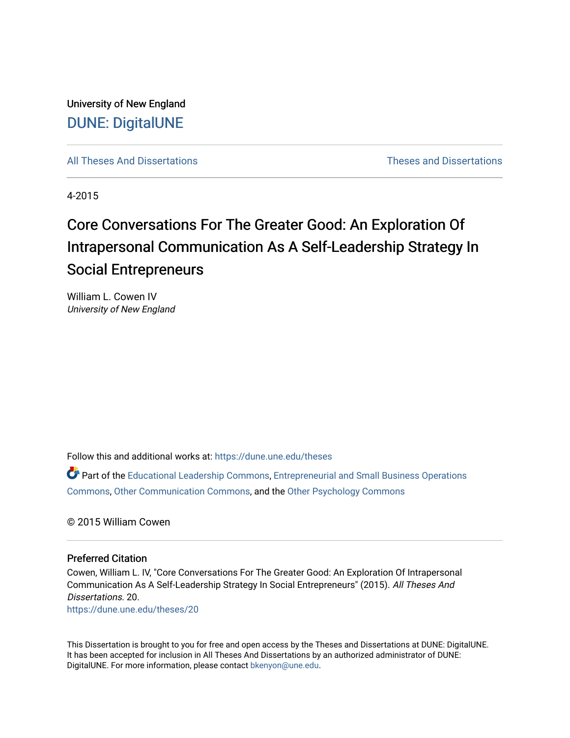University of New England [DUNE: DigitalUNE](https://dune.une.edu/) 

[All Theses And Dissertations](https://dune.une.edu/theses) [Theses and Dissertations](https://dune.une.edu/theses_dissertations) 

4-2015

# Core Conversations For The Greater Good: An Exploration Of Intrapersonal Communication As A Self-Leadership Strategy In Social Entrepreneurs

William L. Cowen IV University of New England

Follow this and additional works at: [https://dune.une.edu/theses](https://dune.une.edu/theses?utm_source=dune.une.edu%2Ftheses%2F20&utm_medium=PDF&utm_campaign=PDFCoverPages) 

Part of the [Educational Leadership Commons,](http://network.bepress.com/hgg/discipline/1230?utm_source=dune.une.edu%2Ftheses%2F20&utm_medium=PDF&utm_campaign=PDFCoverPages) [Entrepreneurial and Small Business Operations](http://network.bepress.com/hgg/discipline/630?utm_source=dune.une.edu%2Ftheses%2F20&utm_medium=PDF&utm_campaign=PDFCoverPages)  [Commons](http://network.bepress.com/hgg/discipline/630?utm_source=dune.une.edu%2Ftheses%2F20&utm_medium=PDF&utm_campaign=PDFCoverPages), [Other Communication Commons,](http://network.bepress.com/hgg/discipline/339?utm_source=dune.une.edu%2Ftheses%2F20&utm_medium=PDF&utm_campaign=PDFCoverPages) and the [Other Psychology Commons](http://network.bepress.com/hgg/discipline/415?utm_source=dune.une.edu%2Ftheses%2F20&utm_medium=PDF&utm_campaign=PDFCoverPages)

© 2015 William Cowen

#### Preferred Citation

Cowen, William L. IV, "Core Conversations For The Greater Good: An Exploration Of Intrapersonal Communication As A Self-Leadership Strategy In Social Entrepreneurs" (2015). All Theses And Dissertations. 20.

[https://dune.une.edu/theses/20](https://dune.une.edu/theses/20?utm_source=dune.une.edu%2Ftheses%2F20&utm_medium=PDF&utm_campaign=PDFCoverPages) 

This Dissertation is brought to you for free and open access by the Theses and Dissertations at DUNE: DigitalUNE. It has been accepted for inclusion in All Theses And Dissertations by an authorized administrator of DUNE: DigitalUNE. For more information, please contact [bkenyon@une.edu.](mailto:bkenyon@une.edu)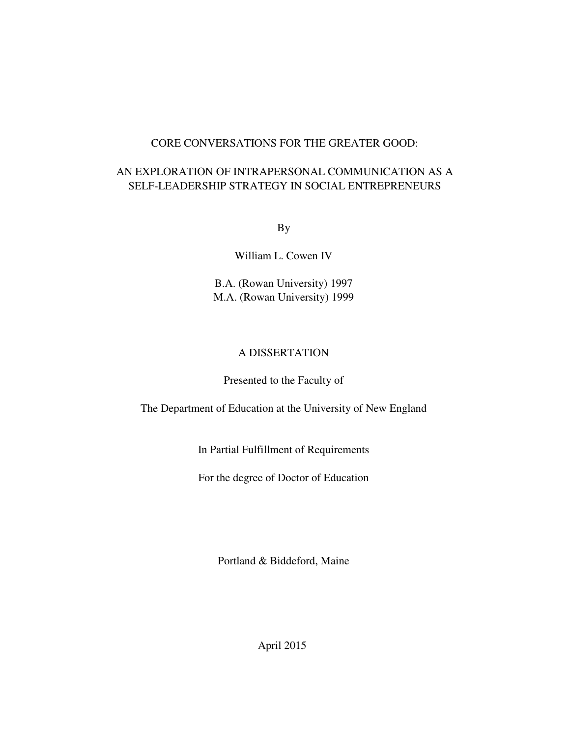# CORE CONVERSATIONS FOR THE GREATER GOOD:

# AN EXPLORATION OF INTRAPERSONAL COMMUNICATION AS A SELF-LEADERSHIP STRATEGY IN SOCIAL ENTREPRENEURS

By

William L. Cowen IV

B.A. (Rowan University) 1997 M.A. (Rowan University) 1999

# A DISSERTATION

# Presented to the Faculty of

The Department of Education at the University of New England

In Partial Fulfillment of Requirements

For the degree of Doctor of Education

Portland & Biddeford, Maine

April 2015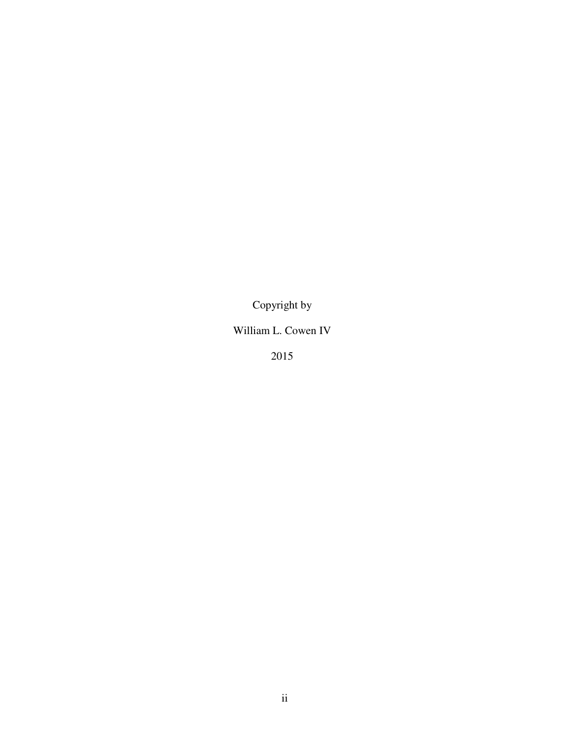Copyright by

William L. Cowen IV

2015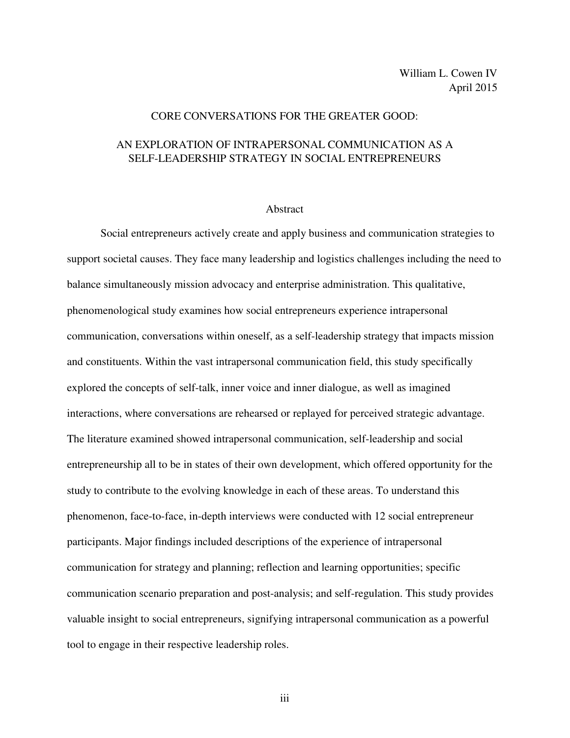## CORE CONVERSATIONS FOR THE GREATER GOOD:

# AN EXPLORATION OF INTRAPERSONAL COMMUNICATION AS A SELF-LEADERSHIP STRATEGY IN SOCIAL ENTREPRENEURS

#### Abstract

Social entrepreneurs actively create and apply business and communication strategies to support societal causes. They face many leadership and logistics challenges including the need to balance simultaneously mission advocacy and enterprise administration. This qualitative, phenomenological study examines how social entrepreneurs experience intrapersonal communication, conversations within oneself, as a self-leadership strategy that impacts mission and constituents. Within the vast intrapersonal communication field, this study specifically explored the concepts of self-talk, inner voice and inner dialogue, as well as imagined interactions, where conversations are rehearsed or replayed for perceived strategic advantage. The literature examined showed intrapersonal communication, self-leadership and social entrepreneurship all to be in states of their own development, which offered opportunity for the study to contribute to the evolving knowledge in each of these areas. To understand this phenomenon, face-to-face, in-depth interviews were conducted with 12 social entrepreneur participants. Major findings included descriptions of the experience of intrapersonal communication for strategy and planning; reflection and learning opportunities; specific communication scenario preparation and post-analysis; and self-regulation. This study provides valuable insight to social entrepreneurs, signifying intrapersonal communication as a powerful tool to engage in their respective leadership roles.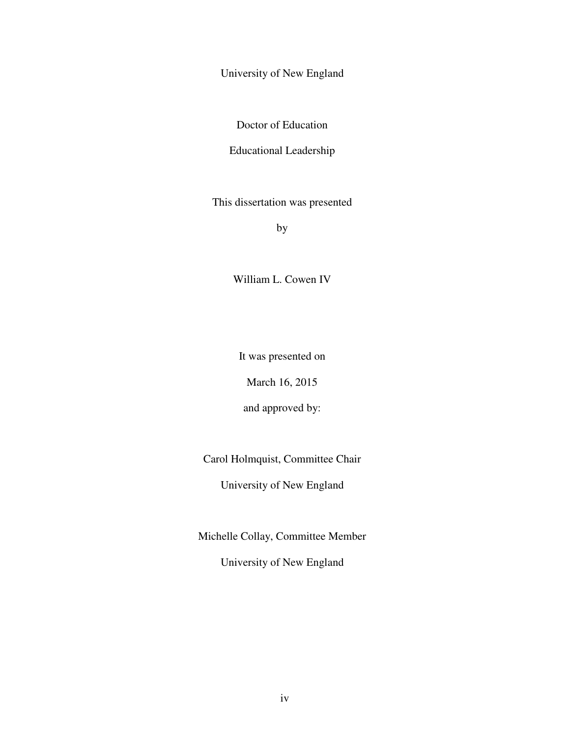University of New England

Doctor of Education

Educational Leadership

This dissertation was presented

by

William L. Cowen IV

It was presented on

March 16, 2015

and approved by:

Carol Holmquist, Committee Chair

University of New England

Michelle Collay, Committee Member

University of New England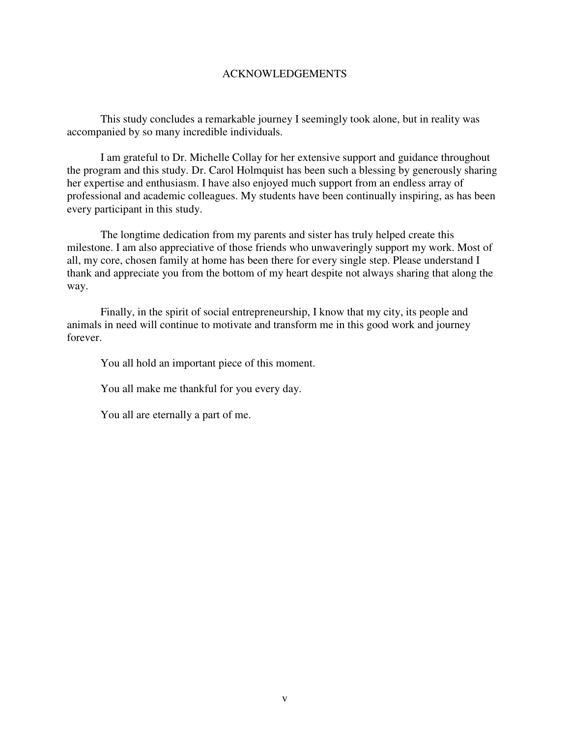# ACKNOWLEDGEMENTS

This study concludes a remarkable journey I seemingly took alone, but in reality was accompanied by so many incredible individuals.

I am grateful to Dr. Michelle Collay for her extensive support and guidance throughout the program and this study. Dr. Carol Holmquist has been such a blessing by generously sharing her expertise and enthusiasm. I have also enjoyed much support from an endless array of professional and academic colleagues. My students have been continually inspiring, as has been every participant in this study.

The longtime dedication from my parents and sister has truly helped create this milestone. I am also appreciative of those friends who unwaveringly support my work. Most of all, my core, chosen family at home has been there for every single step. Please understand I thank and appreciate you from the bottom of my heart despite not always sharing that along the way.

Finally, in the spirit of social entrepreneurship, I know that my city, its people and animals in need will continue to motivate and transform me in this good work and journey forever.

You all hold an important piece of this moment.

You all make me thankful for you every day.

You all are eternally a part of me.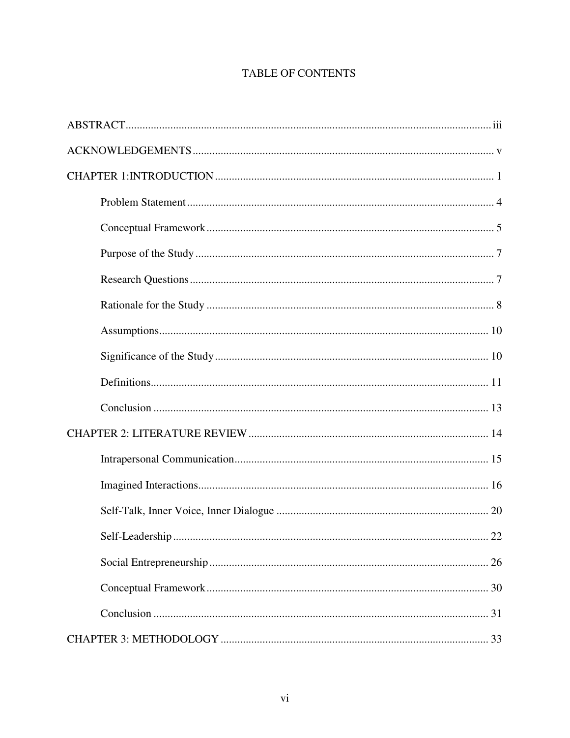# **TABLE OF CONTENTS**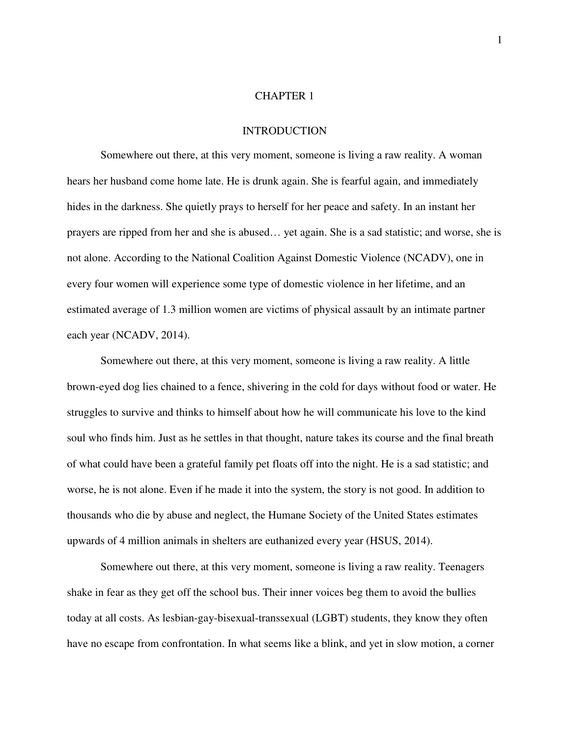#### CHAPTER 1

#### INTRODUCTION

Somewhere out there, at this very moment, someone is living a raw reality. A woman hears her husband come home late. He is drunk again. She is fearful again, and immediately hides in the darkness. She quietly prays to herself for her peace and safety. In an instant her prayers are ripped from her and she is abused… yet again. She is a sad statistic; and worse, she is not alone. According to the National Coalition Against Domestic Violence (NCADV), one in every four women will experience some type of domestic violence in her lifetime, and an estimated average of 1.3 million women are victims of physical assault by an intimate partner each year (NCADV, 2014).

Somewhere out there, at this very moment, someone is living a raw reality. A little brown-eyed dog lies chained to a fence, shivering in the cold for days without food or water. He struggles to survive and thinks to himself about how he will communicate his love to the kind soul who finds him. Just as he settles in that thought, nature takes its course and the final breath of what could have been a grateful family pet floats off into the night. He is a sad statistic; and worse, he is not alone. Even if he made it into the system, the story is not good. In addition to thousands who die by abuse and neglect, the Humane Society of the United States estimates upwards of 4 million animals in shelters are euthanized every year (HSUS, 2014).

Somewhere out there, at this very moment, someone is living a raw reality. Teenagers shake in fear as they get off the school bus. Their inner voices beg them to avoid the bullies today at all costs. As lesbian-gay-bisexual-transsexual (LGBT) students, they know they often have no escape from confrontation. In what seems like a blink, and yet in slow motion, a corner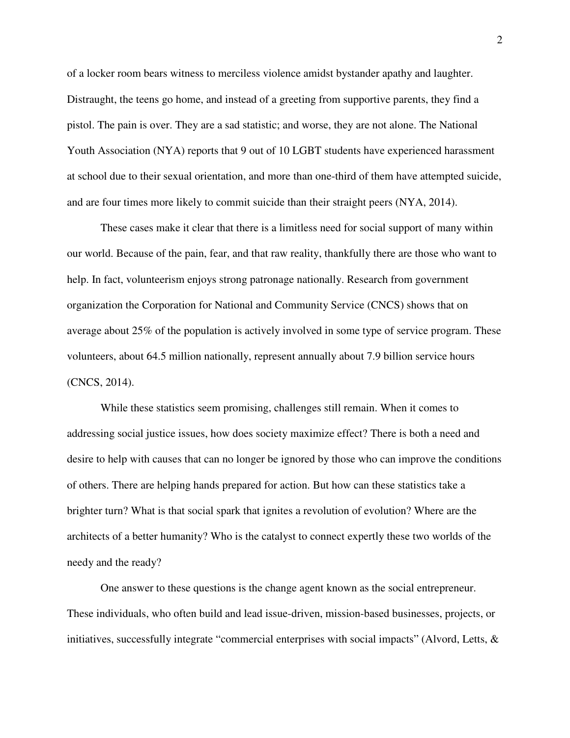of a locker room bears witness to merciless violence amidst bystander apathy and laughter. Distraught, the teens go home, and instead of a greeting from supportive parents, they find a pistol. The pain is over. They are a sad statistic; and worse, they are not alone. The National Youth Association (NYA) reports that 9 out of 10 LGBT students have experienced harassment at school due to their sexual orientation, and more than one-third of them have attempted suicide, and are four times more likely to commit suicide than their straight peers (NYA, 2014).

These cases make it clear that there is a limitless need for social support of many within our world. Because of the pain, fear, and that raw reality, thankfully there are those who want to help. In fact, volunteerism enjoys strong patronage nationally. Research from government organization the Corporation for National and Community Service (CNCS) shows that on average about 25% of the population is actively involved in some type of service program. These volunteers, about 64.5 million nationally, represent annually about 7.9 billion service hours (CNCS, 2014).

While these statistics seem promising, challenges still remain. When it comes to addressing social justice issues, how does society maximize effect? There is both a need and desire to help with causes that can no longer be ignored by those who can improve the conditions of others. There are helping hands prepared for action. But how can these statistics take a brighter turn? What is that social spark that ignites a revolution of evolution? Where are the architects of a better humanity? Who is the catalyst to connect expertly these two worlds of the needy and the ready?

One answer to these questions is the change agent known as the social entrepreneur. These individuals, who often build and lead issue-driven, mission-based businesses, projects, or initiatives, successfully integrate "commercial enterprises with social impacts" (Alvord, Letts,  $\&$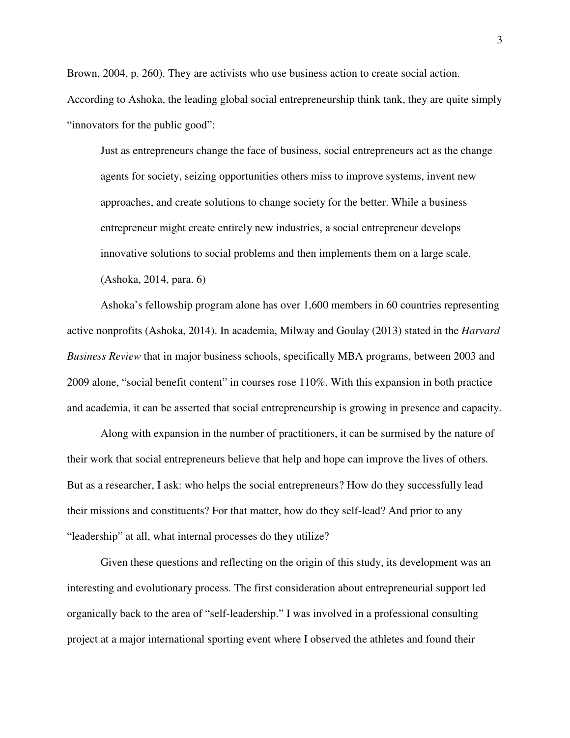Brown, 2004, p. 260). They are activists who use business action to create social action. According to Ashoka, the leading global social entrepreneurship think tank, they are quite simply "innovators for the public good":

Just as entrepreneurs change the face of business, social entrepreneurs act as the change agents for society, seizing opportunities others miss to improve systems, invent new approaches, and create solutions to change society for the better. While a business entrepreneur might create entirely new industries, a social entrepreneur develops innovative solutions to social problems and then implements them on a large scale. (Ashoka, 2014, para. 6)

Ashoka's fellowship program alone has over 1,600 members in 60 countries representing active nonprofits (Ashoka, 2014). In academia, Milway and Goulay (2013) stated in the *Harvard Business Review* that in major business schools, specifically MBA programs, between 2003 and 2009 alone, "social benefit content" in courses rose 110%. With this expansion in both practice and academia, it can be asserted that social entrepreneurship is growing in presence and capacity.

Along with expansion in the number of practitioners, it can be surmised by the nature of their work that social entrepreneurs believe that help and hope can improve the lives of others*.*  But as a researcher, I ask: who helps the social entrepreneurs? How do they successfully lead their missions and constituents? For that matter, how do they self-lead? And prior to any "leadership" at all, what internal processes do they utilize?

Given these questions and reflecting on the origin of this study, its development was an interesting and evolutionary process. The first consideration about entrepreneurial support led organically back to the area of "self-leadership." I was involved in a professional consulting project at a major international sporting event where I observed the athletes and found their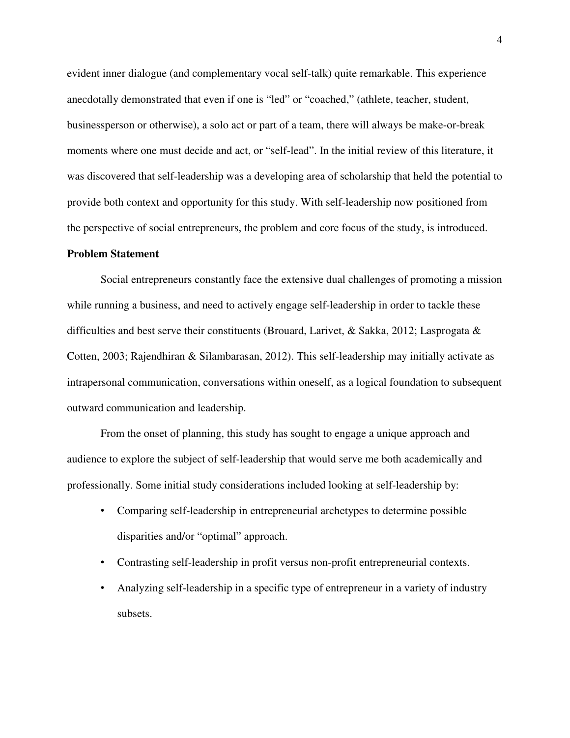evident inner dialogue (and complementary vocal self-talk) quite remarkable. This experience anecdotally demonstrated that even if one is "led" or "coached," (athlete, teacher, student, businessperson or otherwise), a solo act or part of a team, there will always be make-or-break moments where one must decide and act, or "self-lead". In the initial review of this literature, it was discovered that self-leadership was a developing area of scholarship that held the potential to provide both context and opportunity for this study. With self-leadership now positioned from the perspective of social entrepreneurs, the problem and core focus of the study, is introduced.

## **Problem Statement**

Social entrepreneurs constantly face the extensive dual challenges of promoting a mission while running a business, and need to actively engage self-leadership in order to tackle these difficulties and best serve their constituents (Brouard, Larivet, & Sakka, 2012; Lasprogata & Cotten, 2003; Rajendhiran & Silambarasan, 2012). This self-leadership may initially activate as intrapersonal communication, conversations within oneself, as a logical foundation to subsequent outward communication and leadership.

From the onset of planning, this study has sought to engage a unique approach and audience to explore the subject of self-leadership that would serve me both academically and professionally. Some initial study considerations included looking at self-leadership by:

- Comparing self-leadership in entrepreneurial archetypes to determine possible disparities and/or "optimal" approach.
- Contrasting self-leadership in profit versus non-profit entrepreneurial contexts.
- Analyzing self-leadership in a specific type of entrepreneur in a variety of industry subsets.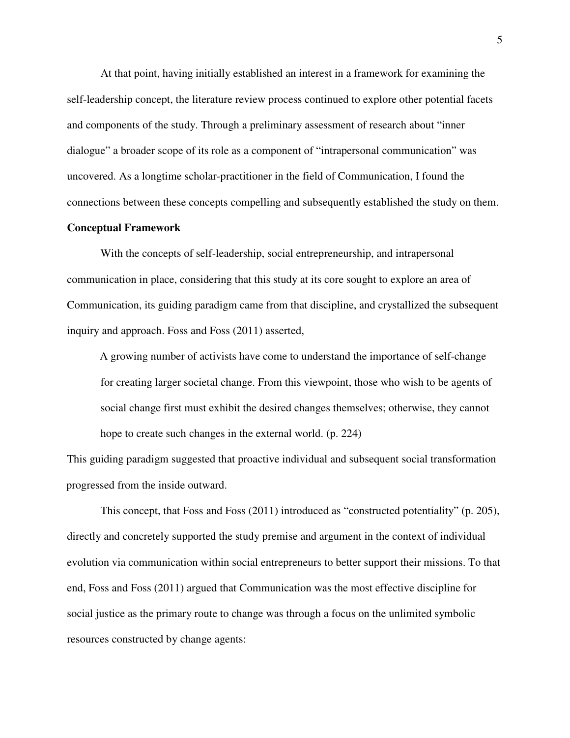At that point, having initially established an interest in a framework for examining the self-leadership concept, the literature review process continued to explore other potential facets and components of the study. Through a preliminary assessment of research about "inner dialogue" a broader scope of its role as a component of "intrapersonal communication" was uncovered. As a longtime scholar-practitioner in the field of Communication, I found the connections between these concepts compelling and subsequently established the study on them.

#### **Conceptual Framework**

With the concepts of self-leadership, social entrepreneurship, and intrapersonal communication in place, considering that this study at its core sought to explore an area of Communication, its guiding paradigm came from that discipline, and crystallized the subsequent inquiry and approach. Foss and Foss (2011) asserted,

A growing number of activists have come to understand the importance of self-change for creating larger societal change. From this viewpoint, those who wish to be agents of social change first must exhibit the desired changes themselves; otherwise, they cannot hope to create such changes in the external world. (p. 224)

This guiding paradigm suggested that proactive individual and subsequent social transformation progressed from the inside outward.

This concept, that Foss and Foss (2011) introduced as "constructed potentiality" (p. 205), directly and concretely supported the study premise and argument in the context of individual evolution via communication within social entrepreneurs to better support their missions. To that end, Foss and Foss (2011) argued that Communication was the most effective discipline for social justice as the primary route to change was through a focus on the unlimited symbolic resources constructed by change agents: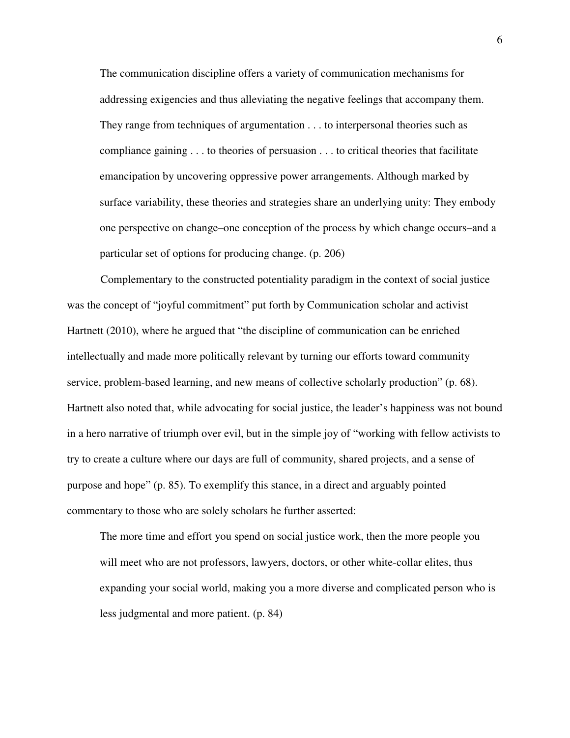The communication discipline offers a variety of communication mechanisms for addressing exigencies and thus alleviating the negative feelings that accompany them. They range from techniques of argumentation . . . to interpersonal theories such as compliance gaining . . . to theories of persuasion . . . to critical theories that facilitate emancipation by uncovering oppressive power arrangements. Although marked by surface variability, these theories and strategies share an underlying unity: They embody one perspective on change–one conception of the process by which change occurs–and a particular set of options for producing change. (p. 206)

Complementary to the constructed potentiality paradigm in the context of social justice was the concept of "joyful commitment" put forth by Communication scholar and activist Hartnett (2010), where he argued that "the discipline of communication can be enriched intellectually and made more politically relevant by turning our efforts toward community service, problem-based learning, and new means of collective scholarly production" (p. 68). Hartnett also noted that, while advocating for social justice, the leader's happiness was not bound in a hero narrative of triumph over evil, but in the simple joy of "working with fellow activists to try to create a culture where our days are full of community, shared projects, and a sense of purpose and hope" (p. 85). To exemplify this stance, in a direct and arguably pointed commentary to those who are solely scholars he further asserted:

The more time and effort you spend on social justice work, then the more people you will meet who are not professors, lawyers, doctors, or other white-collar elites, thus expanding your social world, making you a more diverse and complicated person who is less judgmental and more patient. (p. 84)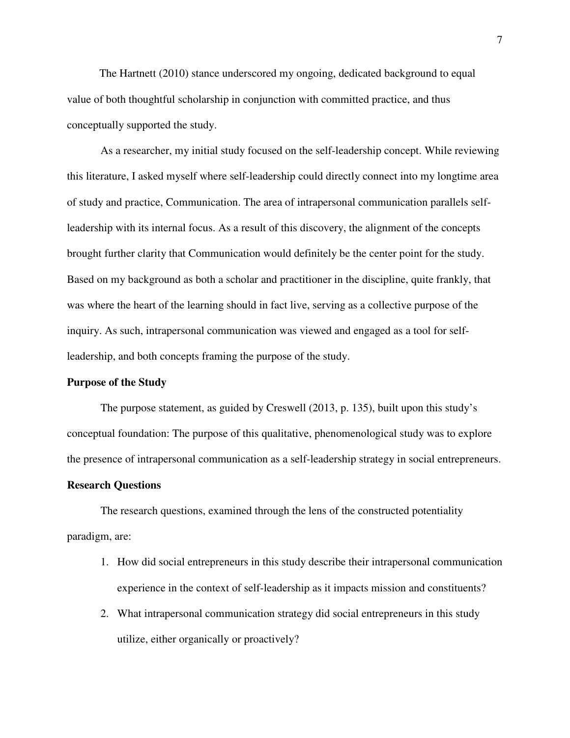The Hartnett (2010) stance underscored my ongoing, dedicated background to equal value of both thoughtful scholarship in conjunction with committed practice, and thus conceptually supported the study.

As a researcher, my initial study focused on the self-leadership concept. While reviewing this literature, I asked myself where self-leadership could directly connect into my longtime area of study and practice, Communication. The area of intrapersonal communication parallels selfleadership with its internal focus. As a result of this discovery, the alignment of the concepts brought further clarity that Communication would definitely be the center point for the study. Based on my background as both a scholar and practitioner in the discipline, quite frankly, that was where the heart of the learning should in fact live, serving as a collective purpose of the inquiry. As such, intrapersonal communication was viewed and engaged as a tool for selfleadership, and both concepts framing the purpose of the study.

## **Purpose of the Study**

The purpose statement, as guided by Creswell (2013, p. 135), built upon this study's conceptual foundation: The purpose of this qualitative, phenomenological study was to explore the presence of intrapersonal communication as a self-leadership strategy in social entrepreneurs.

## **Research Questions**

The research questions, examined through the lens of the constructed potentiality paradigm, are:

- 1. How did social entrepreneurs in this study describe their intrapersonal communication experience in the context of self-leadership as it impacts mission and constituents?
- 2. What intrapersonal communication strategy did social entrepreneurs in this study utilize, either organically or proactively?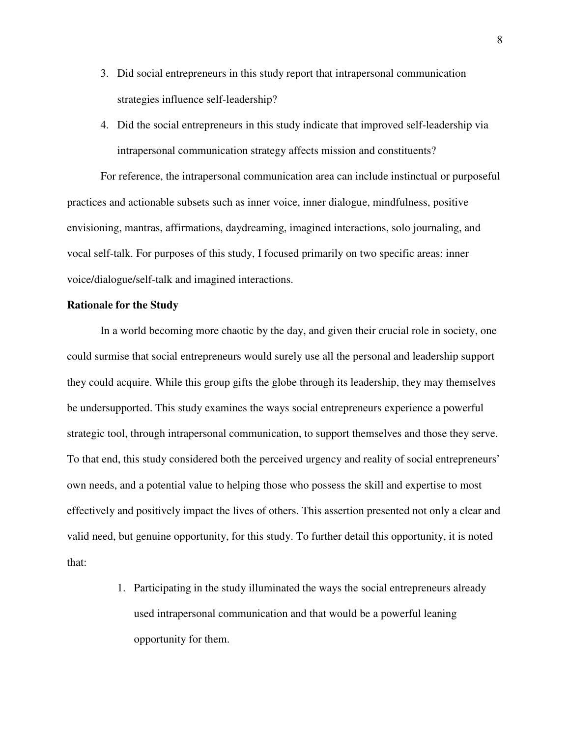- 3. Did social entrepreneurs in this study report that intrapersonal communication strategies influence self-leadership?
- 4. Did the social entrepreneurs in this study indicate that improved self-leadership via intrapersonal communication strategy affects mission and constituents?

For reference, the intrapersonal communication area can include instinctual or purposeful practices and actionable subsets such as inner voice, inner dialogue, mindfulness, positive envisioning, mantras, affirmations, daydreaming, imagined interactions, solo journaling, and vocal self-talk. For purposes of this study, I focused primarily on two specific areas: inner voice/dialogue/self-talk and imagined interactions.

## **Rationale for the Study**

In a world becoming more chaotic by the day, and given their crucial role in society, one could surmise that social entrepreneurs would surely use all the personal and leadership support they could acquire. While this group gifts the globe through its leadership, they may themselves be undersupported. This study examines the ways social entrepreneurs experience a powerful strategic tool, through intrapersonal communication, to support themselves and those they serve. To that end, this study considered both the perceived urgency and reality of social entrepreneurs' own needs, and a potential value to helping those who possess the skill and expertise to most effectively and positively impact the lives of others. This assertion presented not only a clear and valid need, but genuine opportunity, for this study. To further detail this opportunity, it is noted that:

> 1. Participating in the study illuminated the ways the social entrepreneurs already used intrapersonal communication and that would be a powerful leaning opportunity for them.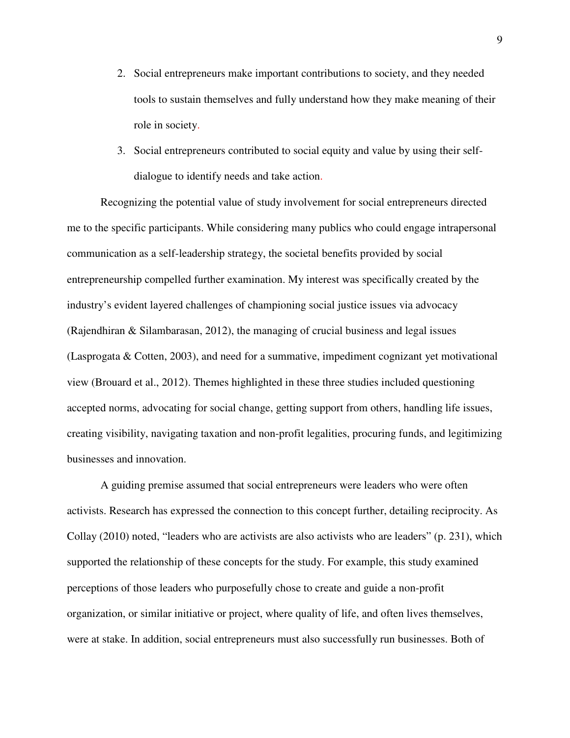- 2. Social entrepreneurs make important contributions to society, and they needed tools to sustain themselves and fully understand how they make meaning of their role in society.
- 3. Social entrepreneurs contributed to social equity and value by using their selfdialogue to identify needs and take action.

Recognizing the potential value of study involvement for social entrepreneurs directed me to the specific participants. While considering many publics who could engage intrapersonal communication as a self-leadership strategy, the societal benefits provided by social entrepreneurship compelled further examination. My interest was specifically created by the industry's evident layered challenges of championing social justice issues via advocacy (Rajendhiran & Silambarasan, 2012), the managing of crucial business and legal issues (Lasprogata & Cotten, 2003), and need for a summative, impediment cognizant yet motivational view (Brouard et al., 2012). Themes highlighted in these three studies included questioning accepted norms, advocating for social change, getting support from others, handling life issues, creating visibility, navigating taxation and non-profit legalities, procuring funds, and legitimizing businesses and innovation.

A guiding premise assumed that social entrepreneurs were leaders who were often activists. Research has expressed the connection to this concept further, detailing reciprocity. As Collay (2010) noted, "leaders who are activists are also activists who are leaders" (p. 231), which supported the relationship of these concepts for the study. For example, this study examined perceptions of those leaders who purposefully chose to create and guide a non-profit organization, or similar initiative or project, where quality of life, and often lives themselves, were at stake. In addition, social entrepreneurs must also successfully run businesses. Both of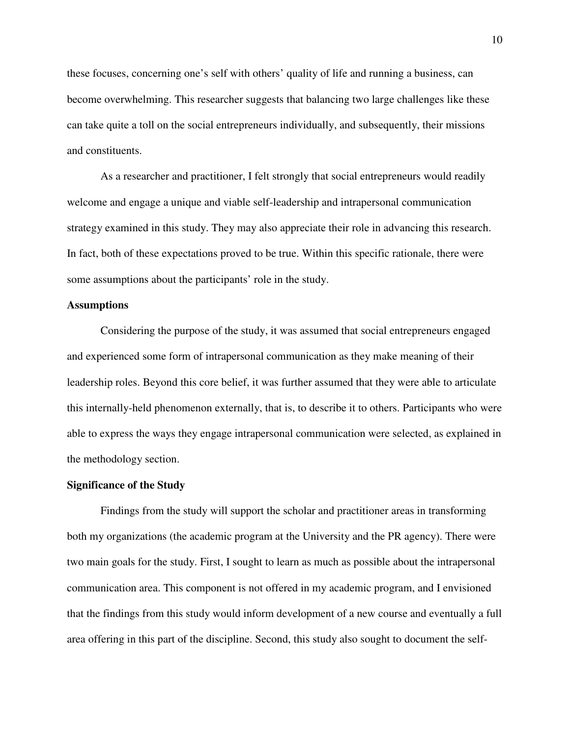these focuses, concerning one's self with others' quality of life and running a business, can become overwhelming. This researcher suggests that balancing two large challenges like these can take quite a toll on the social entrepreneurs individually, and subsequently, their missions and constituents.

As a researcher and practitioner, I felt strongly that social entrepreneurs would readily welcome and engage a unique and viable self-leadership and intrapersonal communication strategy examined in this study. They may also appreciate their role in advancing this research. In fact, both of these expectations proved to be true. Within this specific rationale, there were some assumptions about the participants' role in the study.

#### **Assumptions**

Considering the purpose of the study, it was assumed that social entrepreneurs engaged and experienced some form of intrapersonal communication as they make meaning of their leadership roles. Beyond this core belief, it was further assumed that they were able to articulate this internally-held phenomenon externally, that is, to describe it to others. Participants who were able to express the ways they engage intrapersonal communication were selected, as explained in the methodology section.

#### **Significance of the Study**

Findings from the study will support the scholar and practitioner areas in transforming both my organizations (the academic program at the University and the PR agency). There were two main goals for the study. First, I sought to learn as much as possible about the intrapersonal communication area. This component is not offered in my academic program, and I envisioned that the findings from this study would inform development of a new course and eventually a full area offering in this part of the discipline. Second, this study also sought to document the self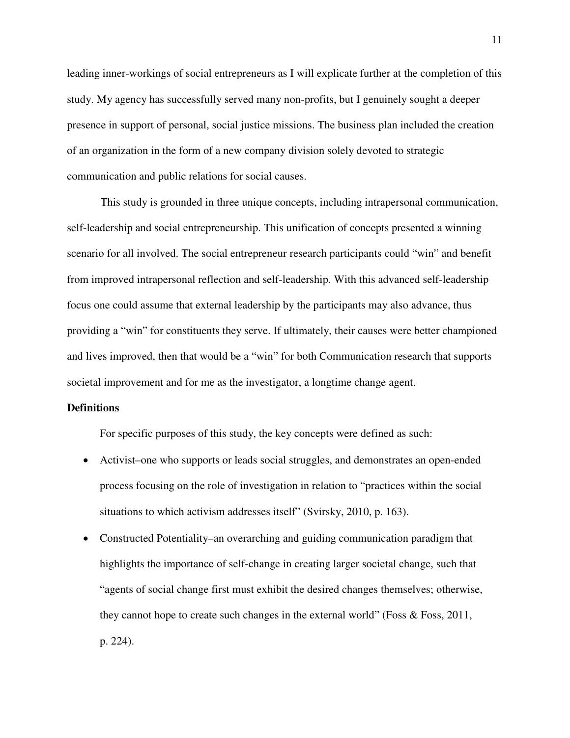leading inner-workings of social entrepreneurs as I will explicate further at the completion of this study. My agency has successfully served many non-profits, but I genuinely sought a deeper presence in support of personal, social justice missions. The business plan included the creation of an organization in the form of a new company division solely devoted to strategic communication and public relations for social causes.

This study is grounded in three unique concepts, including intrapersonal communication, self-leadership and social entrepreneurship. This unification of concepts presented a winning scenario for all involved. The social entrepreneur research participants could "win" and benefit from improved intrapersonal reflection and self-leadership. With this advanced self-leadership focus one could assume that external leadership by the participants may also advance, thus providing a "win" for constituents they serve. If ultimately, their causes were better championed and lives improved, then that would be a "win" for both Communication research that supports societal improvement and for me as the investigator, a longtime change agent.

## **Definitions**

For specific purposes of this study, the key concepts were defined as such:

- Activist–one who supports or leads social struggles, and demonstrates an open-ended process focusing on the role of investigation in relation to "practices within the social situations to which activism addresses itself" (Svirsky, 2010, p. 163).
- Constructed Potentiality–an overarching and guiding communication paradigm that highlights the importance of self-change in creating larger societal change, such that "agents of social change first must exhibit the desired changes themselves; otherwise, they cannot hope to create such changes in the external world" (Foss & Foss, 2011, p. 224).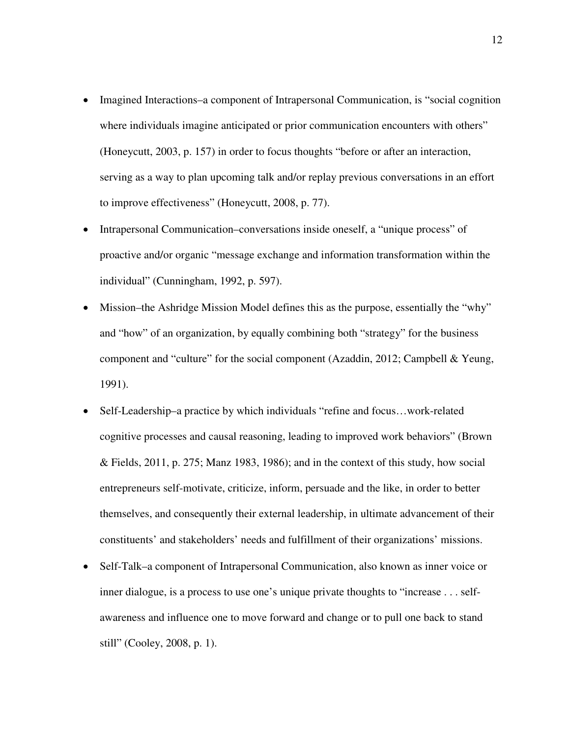- Imagined Interactions–a component of Intrapersonal Communication, is "social cognition where individuals imagine anticipated or prior communication encounters with others" (Honeycutt, 2003, p. 157) in order to focus thoughts "before or after an interaction, serving as a way to plan upcoming talk and/or replay previous conversations in an effort to improve effectiveness" (Honeycutt, 2008, p. 77).
- Intrapersonal Communication–conversations inside oneself, a "unique process" of proactive and/or organic "message exchange and information transformation within the individual" (Cunningham, 1992, p. 597).
- Mission–the Ashridge Mission Model defines this as the purpose, essentially the "why" and "how" of an organization, by equally combining both "strategy" for the business component and "culture" for the social component (Azaddin, 2012; Campbell & Yeung, 1991).
- Self-Leadership–a practice by which individuals "refine and focus...work-related cognitive processes and causal reasoning, leading to improved work behaviors" (Brown & Fields, 2011, p. 275; Manz 1983, 1986); and in the context of this study, how social entrepreneurs self-motivate, criticize, inform, persuade and the like, in order to better themselves, and consequently their external leadership, in ultimate advancement of their constituents' and stakeholders' needs and fulfillment of their organizations' missions.
- Self-Talk–a component of Intrapersonal Communication, also known as inner voice or inner dialogue, is a process to use one's unique private thoughts to "increase . . . selfawareness and influence one to move forward and change or to pull one back to stand still" (Cooley, 2008, p. 1).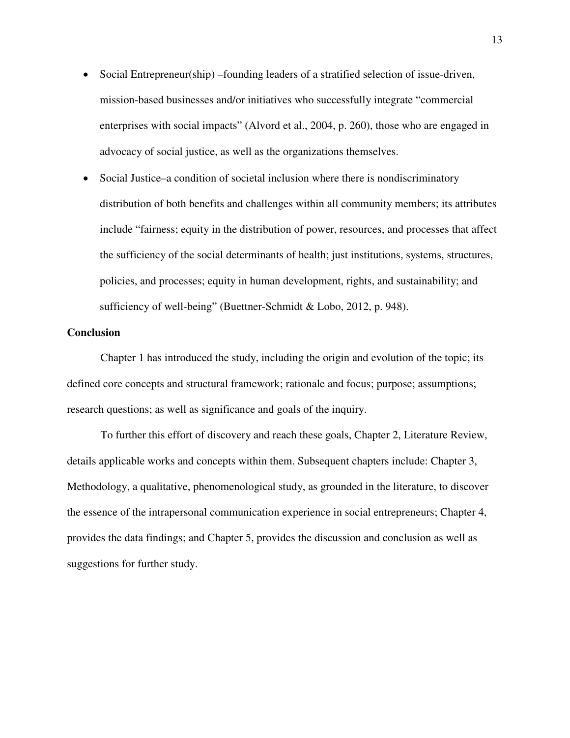- Social Entrepreneur(ship) –founding leaders of a stratified selection of issue-driven, mission-based businesses and/or initiatives who successfully integrate "commercial enterprises with social impacts" (Alvord et al., 2004, p. 260), those who are engaged in advocacy of social justice, as well as the organizations themselves.
- Social Justice–a condition of societal inclusion where there is nondiscriminatory distribution of both benefits and challenges within all community members; its attributes include "fairness; equity in the distribution of power, resources, and processes that affect the sufficiency of the social determinants of health; just institutions, systems, structures, policies, and processes; equity in human development, rights, and sustainability; and sufficiency of well-being" (Buettner-Schmidt & Lobo, 2012, p. 948).

#### **Conclusion**

Chapter 1 has introduced the study, including the origin and evolution of the topic; its defined core concepts and structural framework; rationale and focus; purpose; assumptions; research questions; as well as significance and goals of the inquiry.

To further this effort of discovery and reach these goals, Chapter 2, Literature Review, details applicable works and concepts within them. Subsequent chapters include: Chapter 3, Methodology, a qualitative, phenomenological study, as grounded in the literature, to discover the essence of the intrapersonal communication experience in social entrepreneurs; Chapter 4, provides the data findings; and Chapter 5, provides the discussion and conclusion as well as suggestions for further study.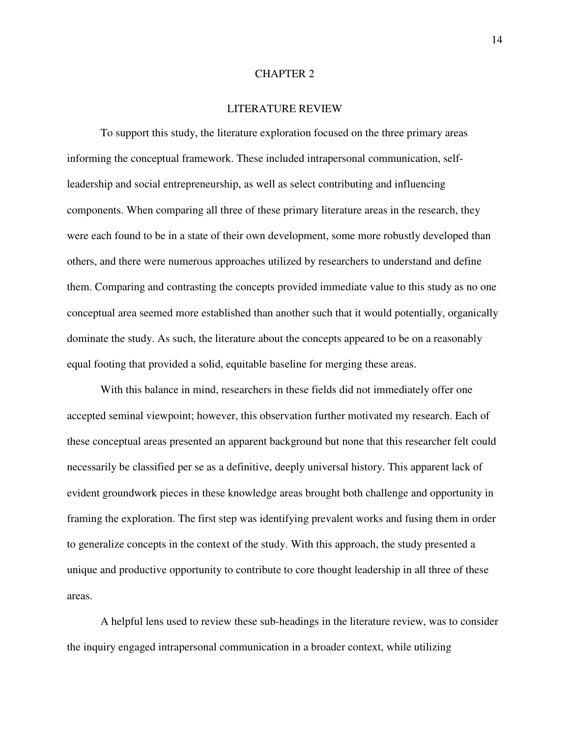#### CHAPTER 2

## LITERATURE REVIEW

To support this study, the literature exploration focused on the three primary areas informing the conceptual framework. These included intrapersonal communication, selfleadership and social entrepreneurship, as well as select contributing and influencing components. When comparing all three of these primary literature areas in the research, they were each found to be in a state of their own development, some more robustly developed than others, and there were numerous approaches utilized by researchers to understand and define them. Comparing and contrasting the concepts provided immediate value to this study as no one conceptual area seemed more established than another such that it would potentially, organically dominate the study. As such, the literature about the concepts appeared to be on a reasonably equal footing that provided a solid, equitable baseline for merging these areas.

With this balance in mind, researchers in these fields did not immediately offer one accepted seminal viewpoint; however, this observation further motivated my research. Each of these conceptual areas presented an apparent background but none that this researcher felt could necessarily be classified per se as a definitive, deeply universal history. This apparent lack of evident groundwork pieces in these knowledge areas brought both challenge and opportunity in framing the exploration. The first step was identifying prevalent works and fusing them in order to generalize concepts in the context of the study. With this approach, the study presented a unique and productive opportunity to contribute to core thought leadership in all three of these areas.

A helpful lens used to review these sub-headings in the literature review, was to consider the inquiry engaged intrapersonal communication in a broader context, while utilizing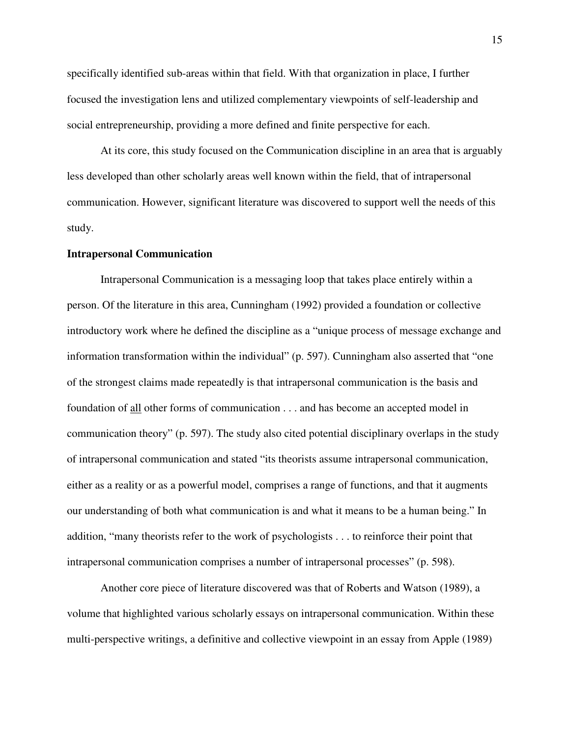specifically identified sub-areas within that field. With that organization in place, I further focused the investigation lens and utilized complementary viewpoints of self-leadership and social entrepreneurship, providing a more defined and finite perspective for each.

At its core, this study focused on the Communication discipline in an area that is arguably less developed than other scholarly areas well known within the field, that of intrapersonal communication. However, significant literature was discovered to support well the needs of this study.

#### **Intrapersonal Communication**

Intrapersonal Communication is a messaging loop that takes place entirely within a person. Of the literature in this area, Cunningham (1992) provided a foundation or collective introductory work where he defined the discipline as a "unique process of message exchange and information transformation within the individual" (p. 597). Cunningham also asserted that "one of the strongest claims made repeatedly is that intrapersonal communication is the basis and foundation of all other forms of communication . . . and has become an accepted model in communication theory" (p. 597). The study also cited potential disciplinary overlaps in the study of intrapersonal communication and stated "its theorists assume intrapersonal communication, either as a reality or as a powerful model, comprises a range of functions, and that it augments our understanding of both what communication is and what it means to be a human being." In addition, "many theorists refer to the work of psychologists . . . to reinforce their point that intrapersonal communication comprises a number of intrapersonal processes" (p. 598).

Another core piece of literature discovered was that of Roberts and Watson (1989), a volume that highlighted various scholarly essays on intrapersonal communication. Within these multi-perspective writings, a definitive and collective viewpoint in an essay from Apple (1989)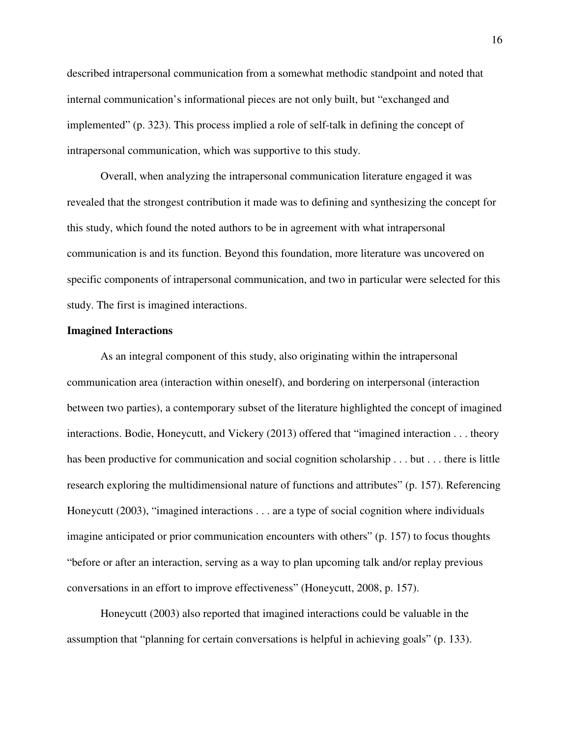described intrapersonal communication from a somewhat methodic standpoint and noted that internal communication's informational pieces are not only built, but "exchanged and implemented" (p. 323). This process implied a role of self-talk in defining the concept of intrapersonal communication, which was supportive to this study.

Overall, when analyzing the intrapersonal communication literature engaged it was revealed that the strongest contribution it made was to defining and synthesizing the concept for this study, which found the noted authors to be in agreement with what intrapersonal communication is and its function. Beyond this foundation, more literature was uncovered on specific components of intrapersonal communication, and two in particular were selected for this study. The first is imagined interactions.

#### **Imagined Interactions**

As an integral component of this study, also originating within the intrapersonal communication area (interaction within oneself), and bordering on interpersonal (interaction between two parties), a contemporary subset of the literature highlighted the concept of imagined interactions. Bodie, Honeycutt, and Vickery (2013) offered that "imagined interaction . . . theory has been productive for communication and social cognition scholarship . . . but . . . there is little research exploring the multidimensional nature of functions and attributes" (p. 157). Referencing Honeycutt (2003), "imagined interactions . . . are a type of social cognition where individuals imagine anticipated or prior communication encounters with others" (p. 157) to focus thoughts "before or after an interaction, serving as a way to plan upcoming talk and/or replay previous conversations in an effort to improve effectiveness" (Honeycutt, 2008, p. 157).

Honeycutt (2003) also reported that imagined interactions could be valuable in the assumption that "planning for certain conversations is helpful in achieving goals" (p. 133).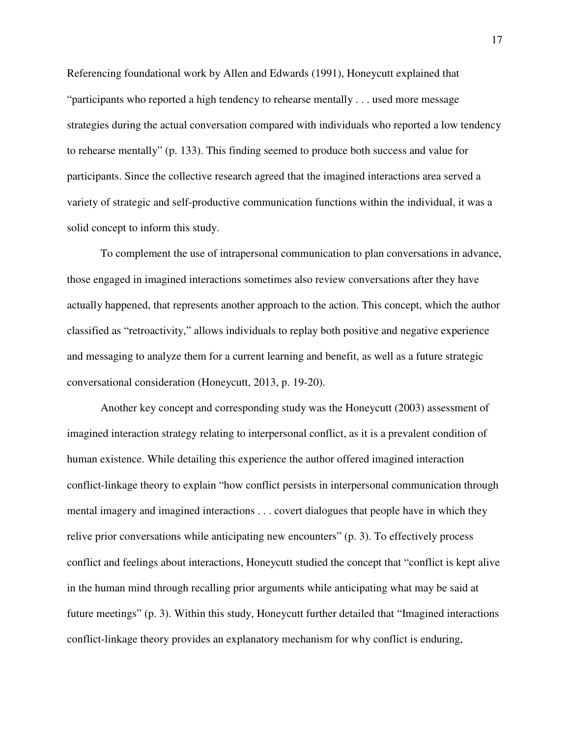Referencing foundational work by Allen and Edwards (1991), Honeycutt explained that "participants who reported a high tendency to rehearse mentally . . . used more message strategies during the actual conversation compared with individuals who reported a low tendency to rehearse mentally" (p. 133). This finding seemed to produce both success and value for participants. Since the collective research agreed that the imagined interactions area served a variety of strategic and self-productive communication functions within the individual, it was a solid concept to inform this study.

To complement the use of intrapersonal communication to plan conversations in advance, those engaged in imagined interactions sometimes also review conversations after they have actually happened, that represents another approach to the action. This concept, which the author classified as "retroactivity," allows individuals to replay both positive and negative experience and messaging to analyze them for a current learning and benefit, as well as a future strategic conversational consideration (Honeycutt, 2013, p. 19-20).

Another key concept and corresponding study was the Honeycutt (2003) assessment of imagined interaction strategy relating to interpersonal conflict, as it is a prevalent condition of human existence. While detailing this experience the author offered imagined interaction conflict-linkage theory to explain "how conflict persists in interpersonal communication through mental imagery and imagined interactions . . . covert dialogues that people have in which they relive prior conversations while anticipating new encounters" (p. 3). To effectively process conflict and feelings about interactions, Honeycutt studied the concept that "conflict is kept alive in the human mind through recalling prior arguments while anticipating what may be said at future meetings" (p. 3). Within this study, Honeycutt further detailed that "Imagined interactions conflict-linkage theory provides an explanatory mechanism for why conflict is enduring,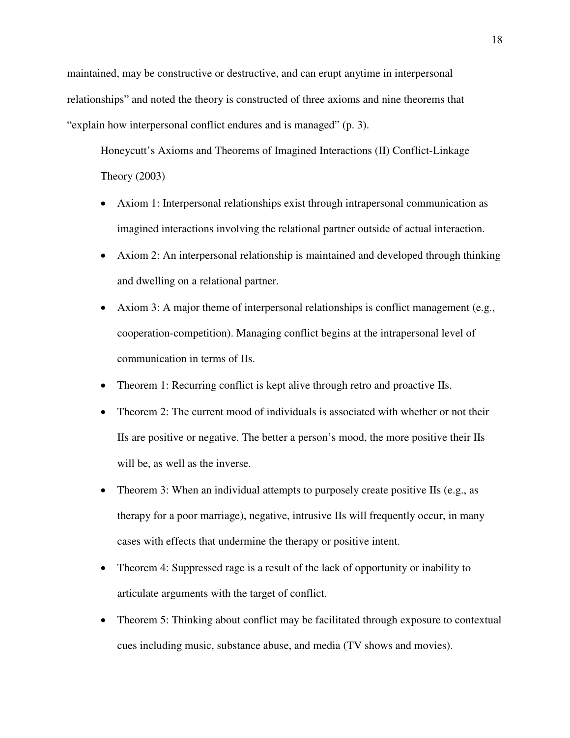maintained, may be constructive or destructive, and can erupt anytime in interpersonal relationships" and noted the theory is constructed of three axioms and nine theorems that "explain how interpersonal conflict endures and is managed" (p. 3).

Honeycutt's Axioms and Theorems of Imagined Interactions (II) Conflict-Linkage Theory (2003)

- Axiom 1: Interpersonal relationships exist through intrapersonal communication as imagined interactions involving the relational partner outside of actual interaction.
- Axiom 2: An interpersonal relationship is maintained and developed through thinking and dwelling on a relational partner.
- Axiom 3: A major theme of interpersonal relationships is conflict management (e.g., cooperation-competition). Managing conflict begins at the intrapersonal level of communication in terms of IIs.
- Theorem 1: Recurring conflict is kept alive through retro and proactive IIs.
- Theorem 2: The current mood of individuals is associated with whether or not their IIs are positive or negative. The better a person's mood, the more positive their IIs will be, as well as the inverse.
- Theorem 3: When an individual attempts to purposely create positive IIs (e.g., as therapy for a poor marriage), negative, intrusive IIs will frequently occur, in many cases with effects that undermine the therapy or positive intent.
- Theorem 4: Suppressed rage is a result of the lack of opportunity or inability to articulate arguments with the target of conflict.
- Theorem 5: Thinking about conflict may be facilitated through exposure to contextual cues including music, substance abuse, and media (TV shows and movies).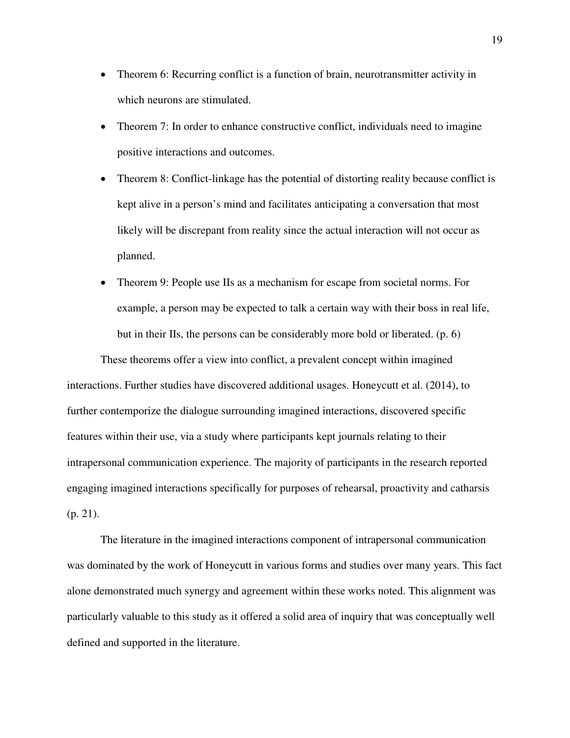- Theorem 6: Recurring conflict is a function of brain, neurotransmitter activity in which neurons are stimulated.
- Theorem 7: In order to enhance constructive conflict, individuals need to imagine positive interactions and outcomes.
- Theorem 8: Conflict-linkage has the potential of distorting reality because conflict is kept alive in a person's mind and facilitates anticipating a conversation that most likely will be discrepant from reality since the actual interaction will not occur as planned.
- Theorem 9: People use IIs as a mechanism for escape from societal norms. For example, a person may be expected to talk a certain way with their boss in real life, but in their IIs, the persons can be considerably more bold or liberated. (p. 6)

These theorems offer a view into conflict, a prevalent concept within imagined interactions. Further studies have discovered additional usages. Honeycutt et al. (2014), to further contemporize the dialogue surrounding imagined interactions, discovered specific features within their use, via a study where participants kept journals relating to their intrapersonal communication experience. The majority of participants in the research reported engaging imagined interactions specifically for purposes of rehearsal, proactivity and catharsis (p. 21).

The literature in the imagined interactions component of intrapersonal communication was dominated by the work of Honeycutt in various forms and studies over many years. This fact alone demonstrated much synergy and agreement within these works noted. This alignment was particularly valuable to this study as it offered a solid area of inquiry that was conceptually well defined and supported in the literature.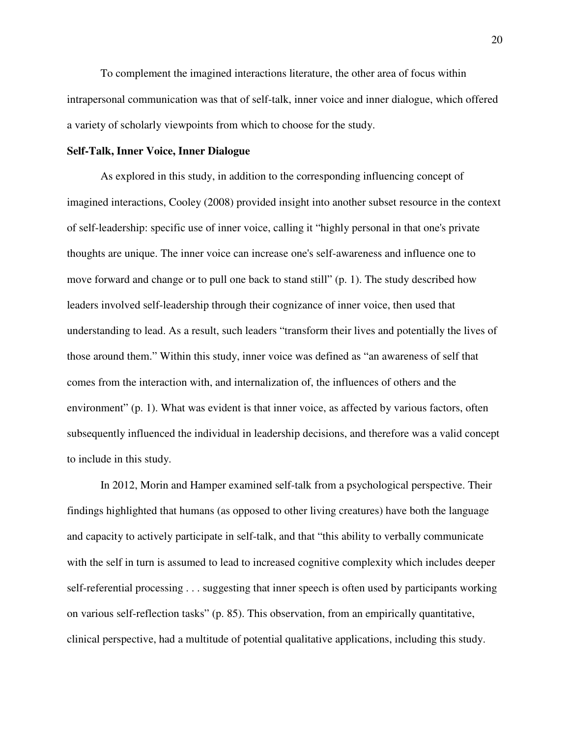To complement the imagined interactions literature, the other area of focus within intrapersonal communication was that of self-talk, inner voice and inner dialogue, which offered a variety of scholarly viewpoints from which to choose for the study.

## **Self-Talk, Inner Voice, Inner Dialogue**

As explored in this study, in addition to the corresponding influencing concept of imagined interactions, Cooley (2008) provided insight into another subset resource in the context of self-leadership: specific use of inner voice, calling it "highly personal in that one's private thoughts are unique. The inner voice can increase one's self-awareness and influence one to move forward and change or to pull one back to stand still" (p. 1). The study described how leaders involved self-leadership through their cognizance of inner voice, then used that understanding to lead. As a result, such leaders "transform their lives and potentially the lives of those around them." Within this study, inner voice was defined as "an awareness of self that comes from the interaction with, and internalization of, the influences of others and the environment" (p. 1). What was evident is that inner voice, as affected by various factors, often subsequently influenced the individual in leadership decisions, and therefore was a valid concept to include in this study.

In 2012, Morin and Hamper examined self-talk from a psychological perspective. Their findings highlighted that humans (as opposed to other living creatures) have both the language and capacity to actively participate in self-talk, and that "this ability to verbally communicate with the self in turn is assumed to lead to increased cognitive complexity which includes deeper self-referential processing . . . suggesting that inner speech is often used by participants working on various self-reflection tasks" (p. 85). This observation, from an empirically quantitative, clinical perspective, had a multitude of potential qualitative applications, including this study.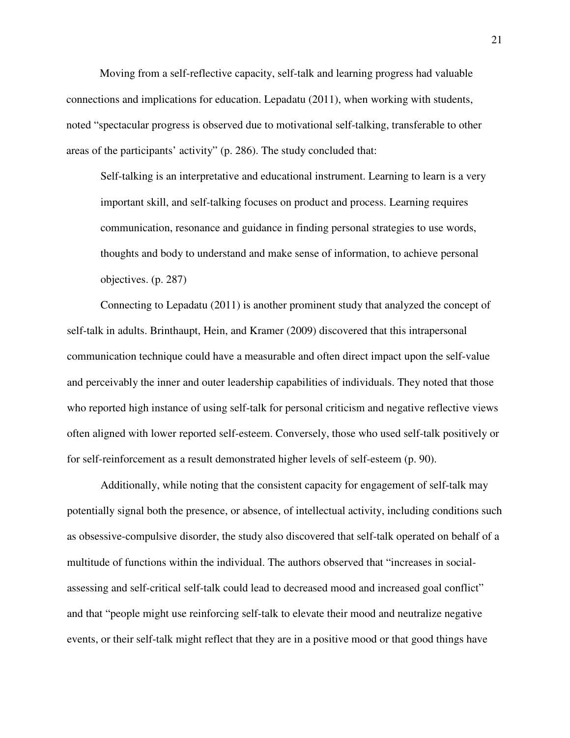Moving from a self-reflective capacity, self-talk and learning progress had valuable connections and implications for education. Lepadatu (2011), when working with students, noted "spectacular progress is observed due to motivational self-talking, transferable to other areas of the participants' activity" (p. 286). The study concluded that:

Self-talking is an interpretative and educational instrument. Learning to learn is a very important skill, and self-talking focuses on product and process. Learning requires communication, resonance and guidance in finding personal strategies to use words, thoughts and body to understand and make sense of information, to achieve personal objectives. (p. 287)

Connecting to Lepadatu (2011) is another prominent study that analyzed the concept of self-talk in adults. Brinthaupt, Hein, and Kramer (2009) discovered that this intrapersonal communication technique could have a measurable and often direct impact upon the self-value and perceivably the inner and outer leadership capabilities of individuals. They noted that those who reported high instance of using self-talk for personal criticism and negative reflective views often aligned with lower reported self-esteem. Conversely, those who used self-talk positively or for self-reinforcement as a result demonstrated higher levels of self-esteem (p. 90).

Additionally, while noting that the consistent capacity for engagement of self-talk may potentially signal both the presence, or absence, of intellectual activity, including conditions such as obsessive-compulsive disorder, the study also discovered that self-talk operated on behalf of a multitude of functions within the individual. The authors observed that "increases in socialassessing and self-critical self-talk could lead to decreased mood and increased goal conflict" and that "people might use reinforcing self-talk to elevate their mood and neutralize negative events, or their self-talk might reflect that they are in a positive mood or that good things have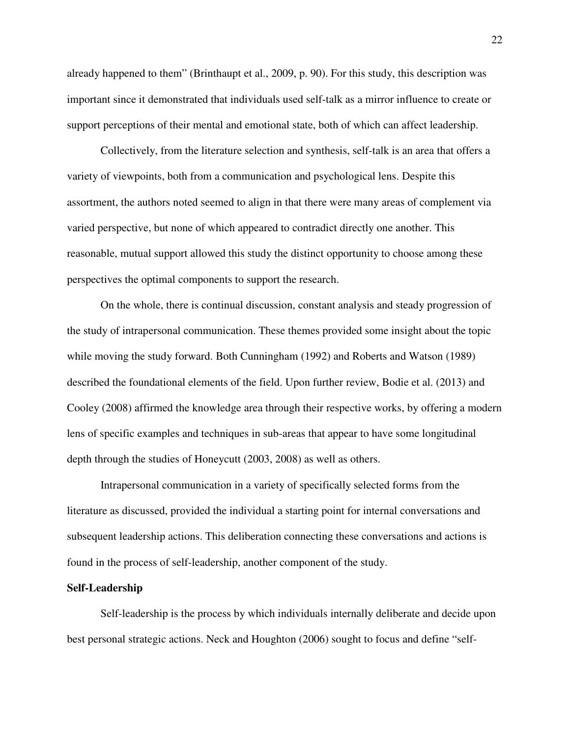already happened to them" (Brinthaupt et al., 2009, p. 90). For this study, this description was important since it demonstrated that individuals used self-talk as a mirror influence to create or support perceptions of their mental and emotional state, both of which can affect leadership.

Collectively, from the literature selection and synthesis, self-talk is an area that offers a variety of viewpoints, both from a communication and psychological lens. Despite this assortment, the authors noted seemed to align in that there were many areas of complement via varied perspective, but none of which appeared to contradict directly one another. This reasonable, mutual support allowed this study the distinct opportunity to choose among these perspectives the optimal components to support the research.

On the whole, there is continual discussion, constant analysis and steady progression of the study of intrapersonal communication. These themes provided some insight about the topic while moving the study forward. Both Cunningham (1992) and Roberts and Watson (1989) described the foundational elements of the field. Upon further review, Bodie et al. (2013) and Cooley (2008) affirmed the knowledge area through their respective works, by offering a modern lens of specific examples and techniques in sub-areas that appear to have some longitudinal depth through the studies of Honeycutt (2003, 2008) as well as others.

Intrapersonal communication in a variety of specifically selected forms from the literature as discussed, provided the individual a starting point for internal conversations and subsequent leadership actions. This deliberation connecting these conversations and actions is found in the process of self-leadership, another component of the study.

#### **Self-Leadership**

Self-leadership is the process by which individuals internally deliberate and decide upon best personal strategic actions. Neck and Houghton (2006) sought to focus and define "self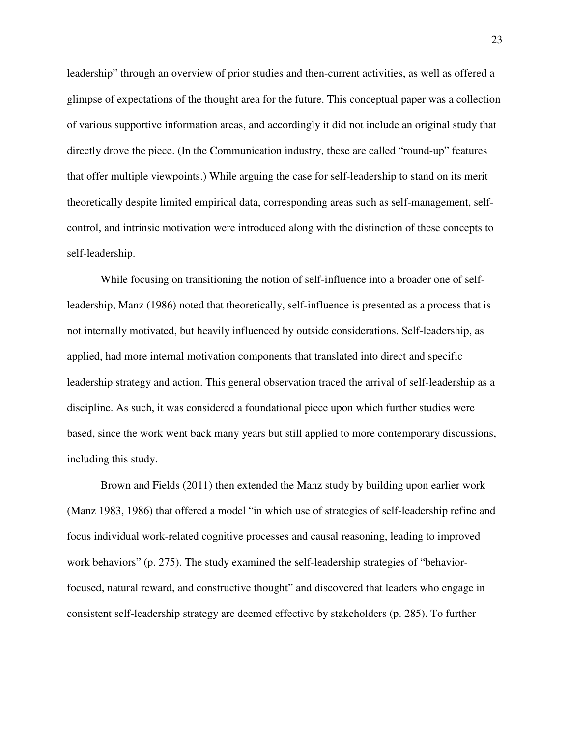leadership" through an overview of prior studies and then-current activities, as well as offered a glimpse of expectations of the thought area for the future. This conceptual paper was a collection of various supportive information areas, and accordingly it did not include an original study that directly drove the piece. (In the Communication industry, these are called "round-up" features that offer multiple viewpoints.) While arguing the case for self-leadership to stand on its merit theoretically despite limited empirical data, corresponding areas such as self-management, selfcontrol, and intrinsic motivation were introduced along with the distinction of these concepts to self-leadership.

While focusing on transitioning the notion of self-influence into a broader one of selfleadership, Manz (1986) noted that theoretically, self-influence is presented as a process that is not internally motivated, but heavily influenced by outside considerations. Self-leadership, as applied, had more internal motivation components that translated into direct and specific leadership strategy and action. This general observation traced the arrival of self-leadership as a discipline. As such, it was considered a foundational piece upon which further studies were based, since the work went back many years but still applied to more contemporary discussions, including this study.

Brown and Fields (2011) then extended the Manz study by building upon earlier work (Manz 1983, 1986) that offered a model "in which use of strategies of self-leadership refine and focus individual work-related cognitive processes and causal reasoning, leading to improved work behaviors" (p. 275). The study examined the self-leadership strategies of "behaviorfocused, natural reward, and constructive thought" and discovered that leaders who engage in consistent self-leadership strategy are deemed effective by stakeholders (p. 285). To further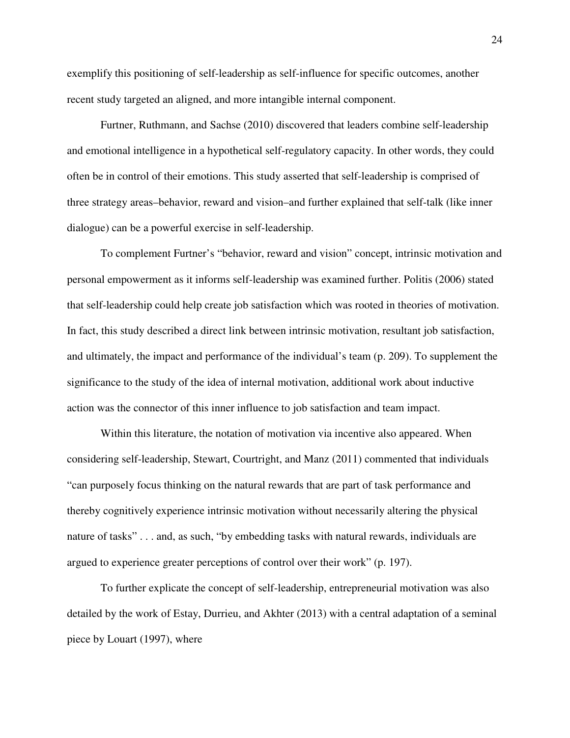exemplify this positioning of self-leadership as self-influence for specific outcomes, another recent study targeted an aligned, and more intangible internal component.

Furtner, Ruthmann, and Sachse (2010) discovered that leaders combine self-leadership and emotional intelligence in a hypothetical self-regulatory capacity. In other words, they could often be in control of their emotions. This study asserted that self-leadership is comprised of three strategy areas–behavior, reward and vision–and further explained that self-talk (like inner dialogue) can be a powerful exercise in self-leadership.

To complement Furtner's "behavior, reward and vision" concept, intrinsic motivation and personal empowerment as it informs self-leadership was examined further. Politis (2006) stated that self-leadership could help create job satisfaction which was rooted in theories of motivation. In fact, this study described a direct link between intrinsic motivation, resultant job satisfaction, and ultimately, the impact and performance of the individual's team (p. 209). To supplement the significance to the study of the idea of internal motivation, additional work about inductive action was the connector of this inner influence to job satisfaction and team impact.

Within this literature, the notation of motivation via incentive also appeared. When considering self-leadership, Stewart, Courtright, and Manz (2011) commented that individuals "can purposely focus thinking on the natural rewards that are part of task performance and thereby cognitively experience intrinsic motivation without necessarily altering the physical nature of tasks" . . . and, as such, "by embedding tasks with natural rewards, individuals are argued to experience greater perceptions of control over their work" (p. 197).

To further explicate the concept of self-leadership, entrepreneurial motivation was also detailed by the work of Estay, Durrieu, and Akhter (2013) with a central adaptation of a seminal piece by Louart (1997), where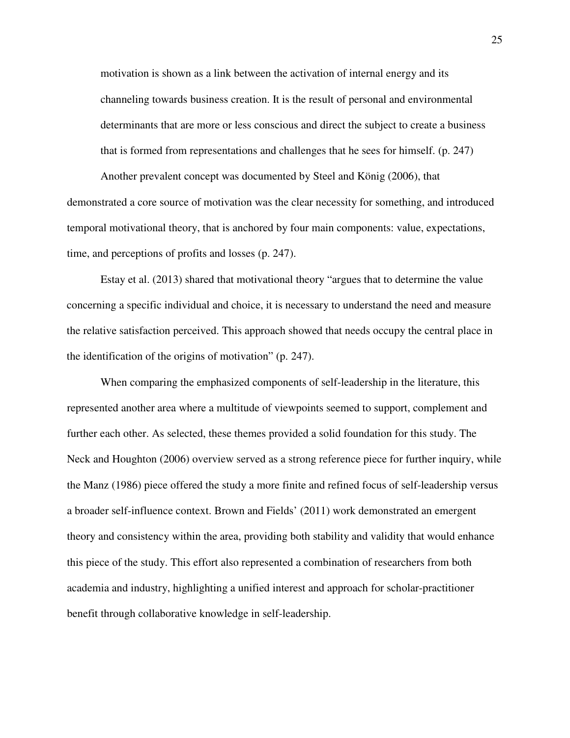motivation is shown as a link between the activation of internal energy and its channeling towards business creation. It is the result of personal and environmental determinants that are more or less conscious and direct the subject to create a business that is formed from representations and challenges that he sees for himself. (p. 247)

Another prevalent concept was documented by Steel and König (2006), that demonstrated a core source of motivation was the clear necessity for something, and introduced temporal motivational theory, that is anchored by four main components: value, expectations, time, and perceptions of profits and losses (p. 247).

 Estay et al. (2013) shared that motivational theory "argues that to determine the value concerning a specific individual and choice, it is necessary to understand the need and measure the relative satisfaction perceived. This approach showed that needs occupy the central place in the identification of the origins of motivation" (p. 247).

When comparing the emphasized components of self-leadership in the literature, this represented another area where a multitude of viewpoints seemed to support, complement and further each other. As selected, these themes provided a solid foundation for this study. The Neck and Houghton (2006) overview served as a strong reference piece for further inquiry, while the Manz (1986) piece offered the study a more finite and refined focus of self-leadership versus a broader self-influence context. Brown and Fields' (2011) work demonstrated an emergent theory and consistency within the area, providing both stability and validity that would enhance this piece of the study. This effort also represented a combination of researchers from both academia and industry, highlighting a unified interest and approach for scholar-practitioner benefit through collaborative knowledge in self-leadership.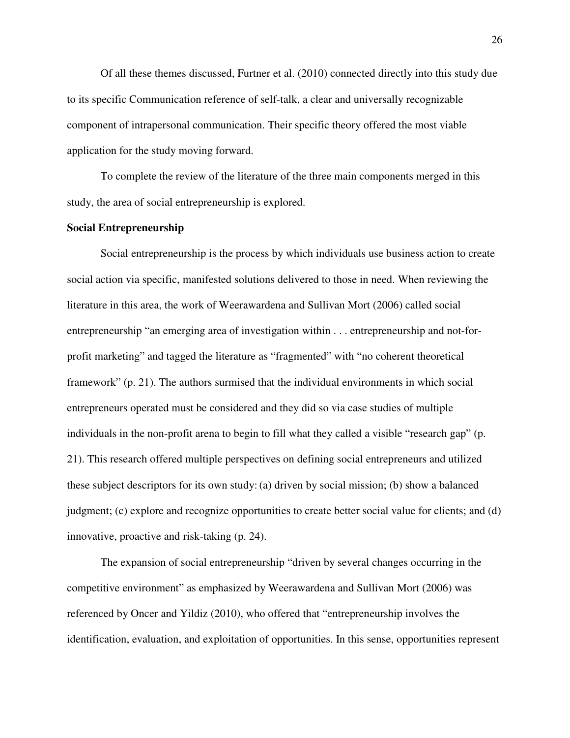Of all these themes discussed, Furtner et al. (2010) connected directly into this study due to its specific Communication reference of self-talk, a clear and universally recognizable component of intrapersonal communication. Their specific theory offered the most viable application for the study moving forward.

To complete the review of the literature of the three main components merged in this study, the area of social entrepreneurship is explored.

#### **Social Entrepreneurship**

Social entrepreneurship is the process by which individuals use business action to create social action via specific, manifested solutions delivered to those in need. When reviewing the literature in this area, the work of Weerawardena and Sullivan Mort (2006) called social entrepreneurship "an emerging area of investigation within . . . entrepreneurship and not-forprofit marketing" and tagged the literature as "fragmented" with "no coherent theoretical framework" (p. 21). The authors surmised that the individual environments in which social entrepreneurs operated must be considered and they did so via case studies of multiple individuals in the non-profit arena to begin to fill what they called a visible "research gap" (p. 21). This research offered multiple perspectives on defining social entrepreneurs and utilized these subject descriptors for its own study: (a) driven by social mission; (b) show a balanced judgment; (c) explore and recognize opportunities to create better social value for clients; and (d) innovative, proactive and risk-taking (p. 24).

The expansion of social entrepreneurship "driven by several changes occurring in the competitive environment" as emphasized by Weerawardena and Sullivan Mort (2006) was referenced by Oncer and Yildiz (2010), who offered that "entrepreneurship involves the identification, evaluation, and exploitation of opportunities. In this sense, opportunities represent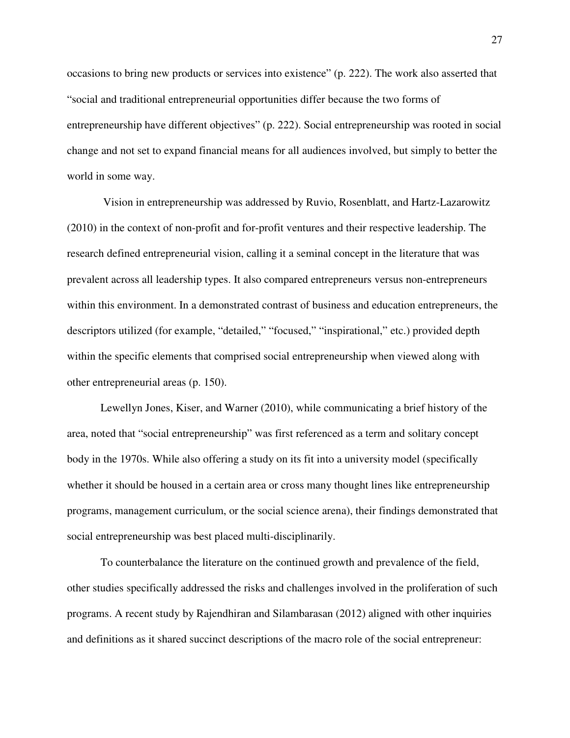occasions to bring new products or services into existence" (p. 222). The work also asserted that "social and traditional entrepreneurial opportunities differ because the two forms of entrepreneurship have different objectives" (p. 222). Social entrepreneurship was rooted in social change and not set to expand financial means for all audiences involved, but simply to better the world in some way.

 Vision in entrepreneurship was addressed by Ruvio, Rosenblatt, and Hartz-Lazarowitz (2010) in the context of non-profit and for-profit ventures and their respective leadership. The research defined entrepreneurial vision, calling it a seminal concept in the literature that was prevalent across all leadership types. It also compared entrepreneurs versus non-entrepreneurs within this environment. In a demonstrated contrast of business and education entrepreneurs, the descriptors utilized (for example, "detailed," "focused," "inspirational," etc.) provided depth within the specific elements that comprised social entrepreneurship when viewed along with other entrepreneurial areas (p. 150).

Lewellyn Jones, Kiser, and Warner (2010), while communicating a brief history of the area, noted that "social entrepreneurship" was first referenced as a term and solitary concept body in the 1970s. While also offering a study on its fit into a university model (specifically whether it should be housed in a certain area or cross many thought lines like entrepreneurship programs, management curriculum, or the social science arena), their findings demonstrated that social entrepreneurship was best placed multi-disciplinarily.

To counterbalance the literature on the continued growth and prevalence of the field, other studies specifically addressed the risks and challenges involved in the proliferation of such programs. A recent study by Rajendhiran and Silambarasan (2012) aligned with other inquiries and definitions as it shared succinct descriptions of the macro role of the social entrepreneur: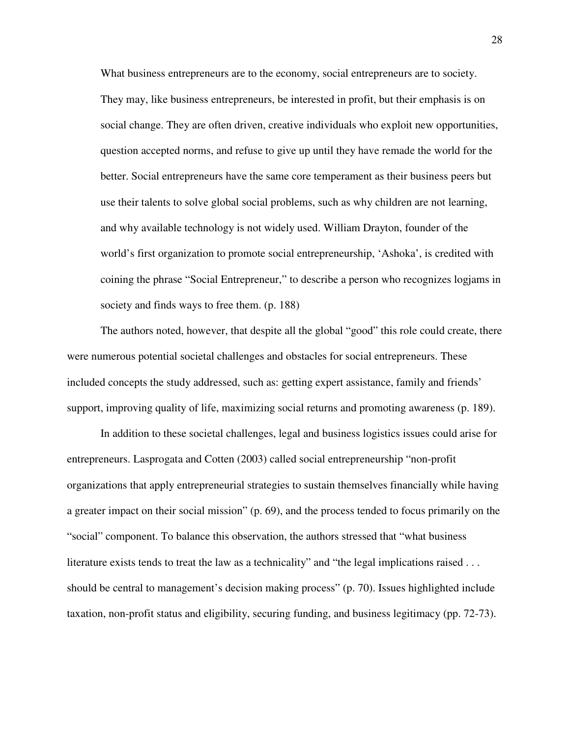What business entrepreneurs are to the economy, social entrepreneurs are to society. They may, like business entrepreneurs, be interested in profit, but their emphasis is on social change. They are often driven, creative individuals who exploit new opportunities, question accepted norms, and refuse to give up until they have remade the world for the better. Social entrepreneurs have the same core temperament as their business peers but use their talents to solve global social problems, such as why children are not learning, and why available technology is not widely used. William Drayton, founder of the world's first organization to promote social entrepreneurship, 'Ashoka', is credited with coining the phrase "Social Entrepreneur," to describe a person who recognizes logjams in society and finds ways to free them. (p. 188)

The authors noted, however, that despite all the global "good" this role could create, there were numerous potential societal challenges and obstacles for social entrepreneurs. These included concepts the study addressed, such as: getting expert assistance, family and friends' support, improving quality of life, maximizing social returns and promoting awareness (p. 189).

In addition to these societal challenges, legal and business logistics issues could arise for entrepreneurs. Lasprogata and Cotten (2003) called social entrepreneurship "non-profit organizations that apply entrepreneurial strategies to sustain themselves financially while having a greater impact on their social mission" (p. 69), and the process tended to focus primarily on the "social" component. To balance this observation, the authors stressed that "what business literature exists tends to treat the law as a technicality" and "the legal implications raised . . . should be central to management's decision making process" (p. 70). Issues highlighted include taxation, non-profit status and eligibility, securing funding, and business legitimacy (pp. 72-73).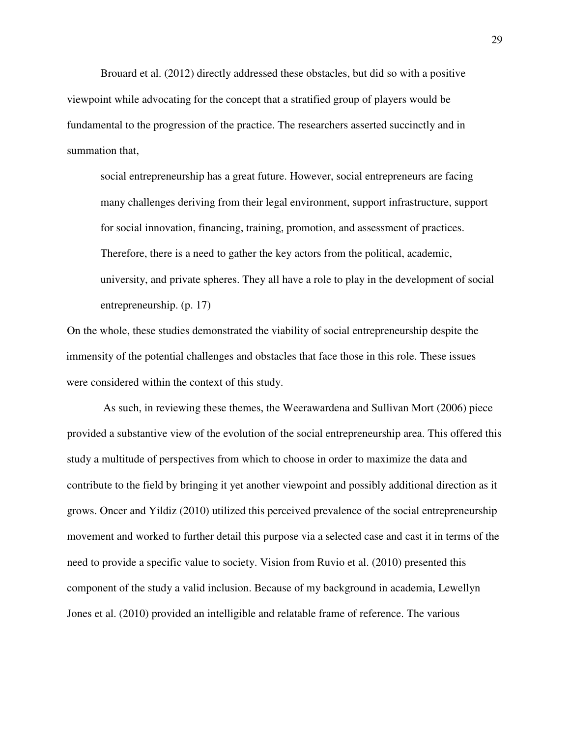Brouard et al. (2012) directly addressed these obstacles, but did so with a positive viewpoint while advocating for the concept that a stratified group of players would be fundamental to the progression of the practice. The researchers asserted succinctly and in summation that,

social entrepreneurship has a great future. However, social entrepreneurs are facing many challenges deriving from their legal environment, support infrastructure, support for social innovation, financing, training, promotion, and assessment of practices. Therefore, there is a need to gather the key actors from the political, academic, university, and private spheres. They all have a role to play in the development of social entrepreneurship. (p. 17)

On the whole, these studies demonstrated the viability of social entrepreneurship despite the immensity of the potential challenges and obstacles that face those in this role. These issues were considered within the context of this study.

 As such, in reviewing these themes, the Weerawardena and Sullivan Mort (2006) piece provided a substantive view of the evolution of the social entrepreneurship area. This offered this study a multitude of perspectives from which to choose in order to maximize the data and contribute to the field by bringing it yet another viewpoint and possibly additional direction as it grows. Oncer and Yildiz (2010) utilized this perceived prevalence of the social entrepreneurship movement and worked to further detail this purpose via a selected case and cast it in terms of the need to provide a specific value to society. Vision from Ruvio et al. (2010) presented this component of the study a valid inclusion. Because of my background in academia, Lewellyn Jones et al. (2010) provided an intelligible and relatable frame of reference. The various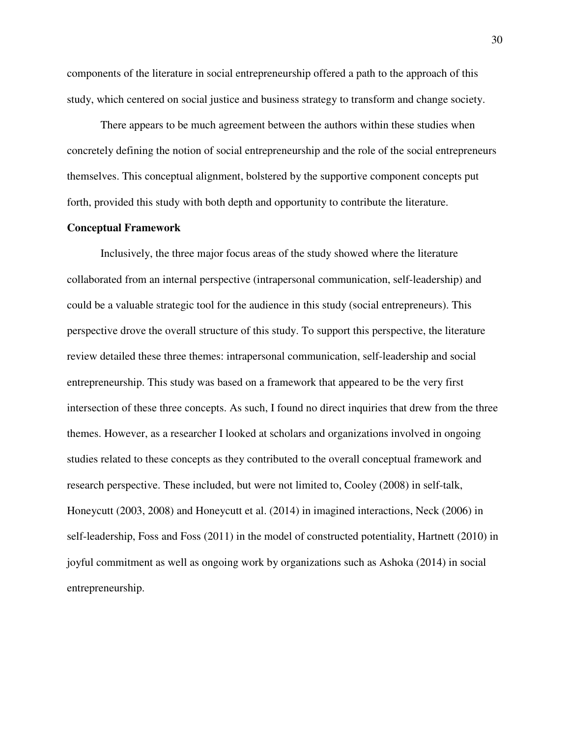components of the literature in social entrepreneurship offered a path to the approach of this study, which centered on social justice and business strategy to transform and change society.

There appears to be much agreement between the authors within these studies when concretely defining the notion of social entrepreneurship and the role of the social entrepreneurs themselves. This conceptual alignment, bolstered by the supportive component concepts put forth, provided this study with both depth and opportunity to contribute the literature.

### **Conceptual Framework**

Inclusively, the three major focus areas of the study showed where the literature collaborated from an internal perspective (intrapersonal communication, self-leadership) and could be a valuable strategic tool for the audience in this study (social entrepreneurs). This perspective drove the overall structure of this study. To support this perspective, the literature review detailed these three themes: intrapersonal communication, self-leadership and social entrepreneurship. This study was based on a framework that appeared to be the very first intersection of these three concepts. As such, I found no direct inquiries that drew from the three themes. However, as a researcher I looked at scholars and organizations involved in ongoing studies related to these concepts as they contributed to the overall conceptual framework and research perspective. These included, but were not limited to, Cooley (2008) in self-talk, Honeycutt (2003, 2008) and Honeycutt et al. (2014) in imagined interactions, Neck (2006) in self-leadership, Foss and Foss (2011) in the model of constructed potentiality, Hartnett (2010) in joyful commitment as well as ongoing work by organizations such as Ashoka (2014) in social entrepreneurship.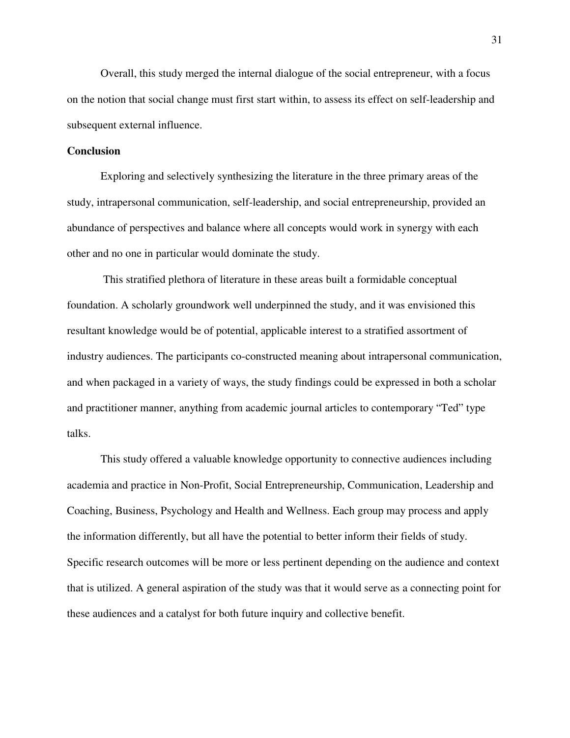Overall, this study merged the internal dialogue of the social entrepreneur, with a focus on the notion that social change must first start within, to assess its effect on self-leadership and subsequent external influence.

## **Conclusion**

Exploring and selectively synthesizing the literature in the three primary areas of the study, intrapersonal communication, self-leadership, and social entrepreneurship, provided an abundance of perspectives and balance where all concepts would work in synergy with each other and no one in particular would dominate the study.

 This stratified plethora of literature in these areas built a formidable conceptual foundation. A scholarly groundwork well underpinned the study, and it was envisioned this resultant knowledge would be of potential, applicable interest to a stratified assortment of industry audiences. The participants co-constructed meaning about intrapersonal communication, and when packaged in a variety of ways, the study findings could be expressed in both a scholar and practitioner manner, anything from academic journal articles to contemporary "Ted" type talks.

This study offered a valuable knowledge opportunity to connective audiences including academia and practice in Non-Profit, Social Entrepreneurship, Communication, Leadership and Coaching, Business, Psychology and Health and Wellness. Each group may process and apply the information differently, but all have the potential to better inform their fields of study. Specific research outcomes will be more or less pertinent depending on the audience and context that is utilized. A general aspiration of the study was that it would serve as a connecting point for these audiences and a catalyst for both future inquiry and collective benefit.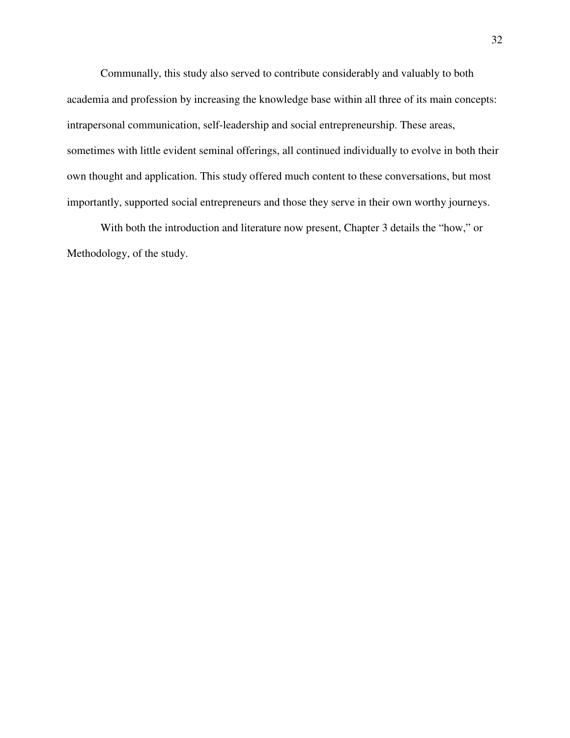Communally, this study also served to contribute considerably and valuably to both academia and profession by increasing the knowledge base within all three of its main concepts: intrapersonal communication, self-leadership and social entrepreneurship. These areas, sometimes with little evident seminal offerings, all continued individually to evolve in both their own thought and application. This study offered much content to these conversations, but most importantly, supported social entrepreneurs and those they serve in their own worthy journeys.

With both the introduction and literature now present, Chapter 3 details the "how," or Methodology, of the study.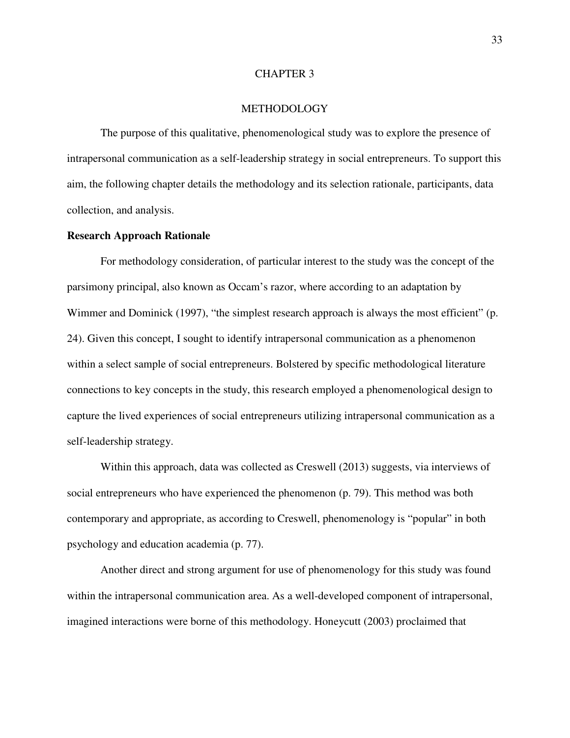## CHAPTER 3

## **METHODOLOGY**

The purpose of this qualitative, phenomenological study was to explore the presence of intrapersonal communication as a self-leadership strategy in social entrepreneurs. To support this aim, the following chapter details the methodology and its selection rationale, participants, data collection, and analysis.

# **Research Approach Rationale**

For methodology consideration, of particular interest to the study was the concept of the parsimony principal, also known as Occam's razor, where according to an adaptation by Wimmer and Dominick (1997), "the simplest research approach is always the most efficient" (p. 24). Given this concept, I sought to identify intrapersonal communication as a phenomenon within a select sample of social entrepreneurs. Bolstered by specific methodological literature connections to key concepts in the study, this research employed a phenomenological design to capture the lived experiences of social entrepreneurs utilizing intrapersonal communication as a self-leadership strategy.

Within this approach, data was collected as Creswell (2013) suggests, via interviews of social entrepreneurs who have experienced the phenomenon (p. 79). This method was both contemporary and appropriate, as according to Creswell, phenomenology is "popular" in both psychology and education academia (p. 77).

Another direct and strong argument for use of phenomenology for this study was found within the intrapersonal communication area. As a well-developed component of intrapersonal, imagined interactions were borne of this methodology. Honeycutt (2003) proclaimed that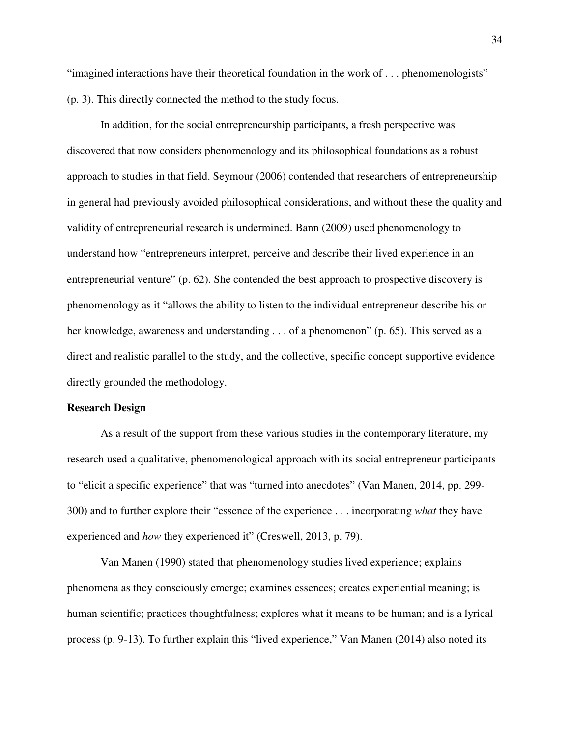"imagined interactions have their theoretical foundation in the work of . . . phenomenologists" (p. 3). This directly connected the method to the study focus.

In addition, for the social entrepreneurship participants, a fresh perspective was discovered that now considers phenomenology and its philosophical foundations as a robust approach to studies in that field. Seymour (2006) contended that researchers of entrepreneurship in general had previously avoided philosophical considerations, and without these the quality and validity of entrepreneurial research is undermined. Bann (2009) used phenomenology to understand how "entrepreneurs interpret, perceive and describe their lived experience in an entrepreneurial venture" (p. 62). She contended the best approach to prospective discovery is phenomenology as it "allows the ability to listen to the individual entrepreneur describe his or her knowledge, awareness and understanding . . . of a phenomenon" (p. 65). This served as a direct and realistic parallel to the study, and the collective, specific concept supportive evidence directly grounded the methodology.

### **Research Design**

As a result of the support from these various studies in the contemporary literature, my research used a qualitative, phenomenological approach with its social entrepreneur participants to "elicit a specific experience" that was "turned into anecdotes" (Van Manen, 2014, pp. 299- 300) and to further explore their "essence of the experience . . . incorporating *what* they have experienced and *how* they experienced it" (Creswell, 2013, p. 79).

Van Manen (1990) stated that phenomenology studies lived experience; explains phenomena as they consciously emerge; examines essences; creates experiential meaning; is human scientific; practices thoughtfulness; explores what it means to be human; and is a lyrical process (p. 9-13). To further explain this "lived experience," Van Manen (2014) also noted its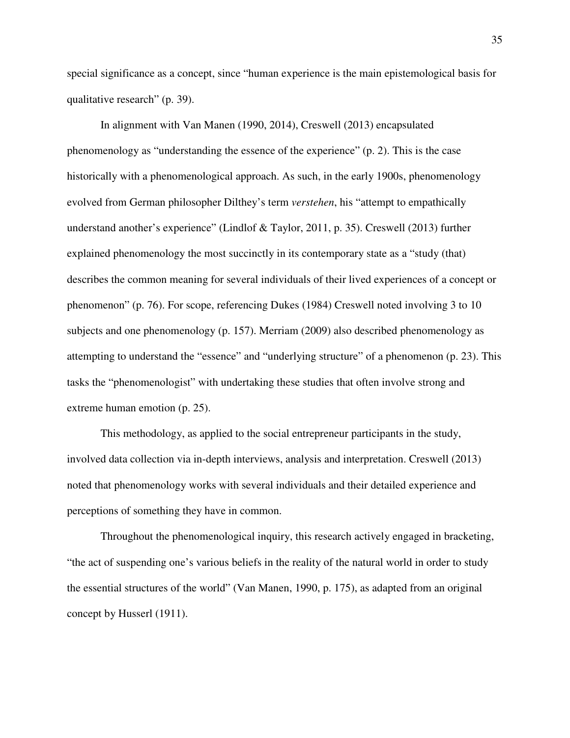special significance as a concept, since "human experience is the main epistemological basis for qualitative research" (p. 39).

In alignment with Van Manen (1990, 2014), Creswell (2013) encapsulated phenomenology as "understanding the essence of the experience" (p. 2). This is the case historically with a phenomenological approach. As such, in the early 1900s, phenomenology evolved from German philosopher Dilthey's term *verstehen*, his "attempt to empathically understand another's experience" (Lindlof & Taylor, 2011, p. 35). Creswell (2013) further explained phenomenology the most succinctly in its contemporary state as a "study (that) describes the common meaning for several individuals of their lived experiences of a concept or phenomenon" (p. 76). For scope, referencing Dukes (1984) Creswell noted involving 3 to 10 subjects and one phenomenology (p. 157). Merriam (2009) also described phenomenology as attempting to understand the "essence" and "underlying structure" of a phenomenon (p. 23). This tasks the "phenomenologist" with undertaking these studies that often involve strong and extreme human emotion (p. 25).

This methodology, as applied to the social entrepreneur participants in the study, involved data collection via in-depth interviews, analysis and interpretation. Creswell (2013) noted that phenomenology works with several individuals and their detailed experience and perceptions of something they have in common.

Throughout the phenomenological inquiry, this research actively engaged in bracketing, "the act of suspending one's various beliefs in the reality of the natural world in order to study the essential structures of the world" (Van Manen, 1990, p. 175), as adapted from an original concept by Husserl (1911).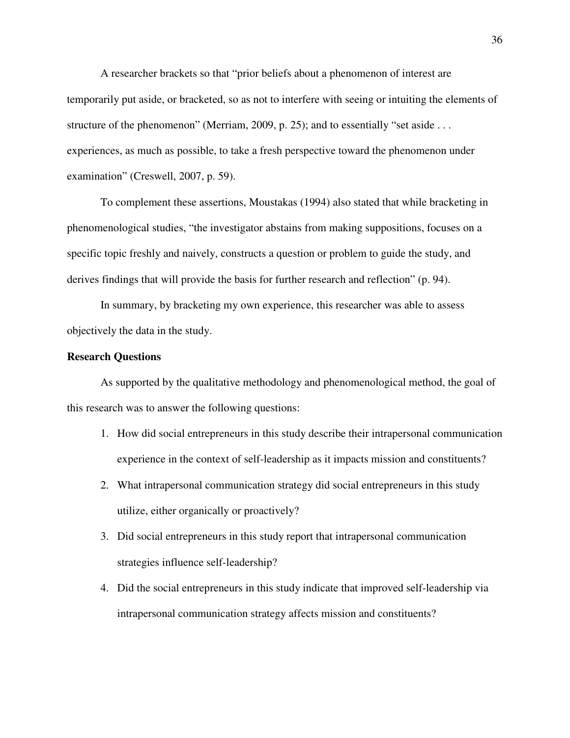A researcher brackets so that "prior beliefs about a phenomenon of interest are temporarily put aside, or bracketed, so as not to interfere with seeing or intuiting the elements of structure of the phenomenon" (Merriam, 2009, p. 25); and to essentially "set aside . . . experiences, as much as possible, to take a fresh perspective toward the phenomenon under examination" (Creswell, 2007, p. 59).

To complement these assertions, Moustakas (1994) also stated that while bracketing in phenomenological studies, "the investigator abstains from making suppositions, focuses on a specific topic freshly and naively, constructs a question or problem to guide the study, and derives findings that will provide the basis for further research and reflection" (p. 94).

In summary, by bracketing my own experience, this researcher was able to assess objectively the data in the study.

# **Research Questions**

As supported by the qualitative methodology and phenomenological method, the goal of this research was to answer the following questions:

- 1. How did social entrepreneurs in this study describe their intrapersonal communication experience in the context of self-leadership as it impacts mission and constituents?
- 2. What intrapersonal communication strategy did social entrepreneurs in this study utilize, either organically or proactively?
- 3. Did social entrepreneurs in this study report that intrapersonal communication strategies influence self-leadership?
- 4. Did the social entrepreneurs in this study indicate that improved self-leadership via intrapersonal communication strategy affects mission and constituents?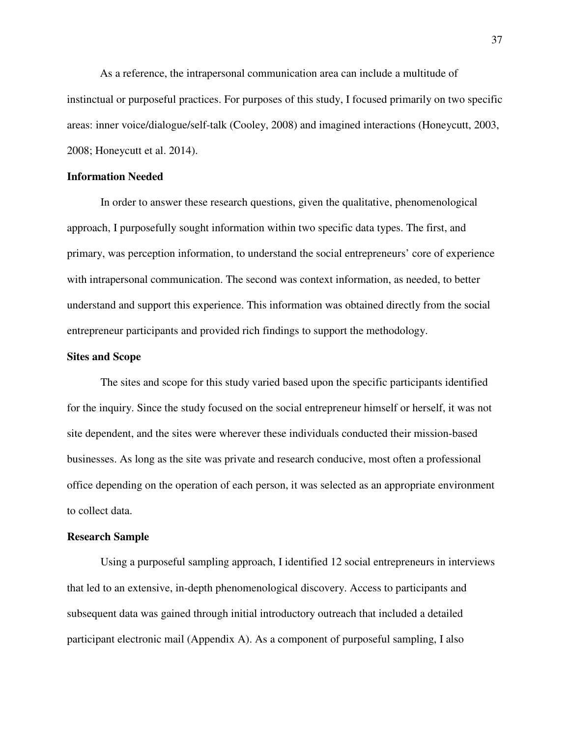As a reference, the intrapersonal communication area can include a multitude of instinctual or purposeful practices. For purposes of this study, I focused primarily on two specific areas: inner voice/dialogue/self-talk (Cooley, 2008) and imagined interactions (Honeycutt, 2003, 2008; Honeycutt et al. 2014).

## **Information Needed**

In order to answer these research questions, given the qualitative, phenomenological approach, I purposefully sought information within two specific data types. The first, and primary, was perception information, to understand the social entrepreneurs' core of experience with intrapersonal communication. The second was context information, as needed, to better understand and support this experience. This information was obtained directly from the social entrepreneur participants and provided rich findings to support the methodology.

## **Sites and Scope**

The sites and scope for this study varied based upon the specific participants identified for the inquiry. Since the study focused on the social entrepreneur himself or herself, it was not site dependent, and the sites were wherever these individuals conducted their mission-based businesses. As long as the site was private and research conducive, most often a professional office depending on the operation of each person, it was selected as an appropriate environment to collect data.

#### **Research Sample**

Using a purposeful sampling approach, I identified 12 social entrepreneurs in interviews that led to an extensive, in-depth phenomenological discovery. Access to participants and subsequent data was gained through initial introductory outreach that included a detailed participant electronic mail (Appendix A). As a component of purposeful sampling, I also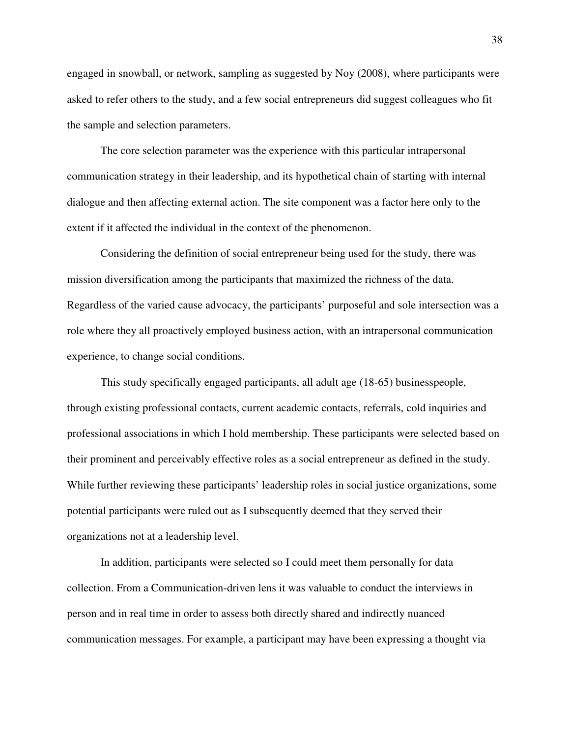engaged in snowball, or network, sampling as suggested by Noy (2008), where participants were asked to refer others to the study, and a few social entrepreneurs did suggest colleagues who fit the sample and selection parameters.

The core selection parameter was the experience with this particular intrapersonal communication strategy in their leadership, and its hypothetical chain of starting with internal dialogue and then affecting external action. The site component was a factor here only to the extent if it affected the individual in the context of the phenomenon.

Considering the definition of social entrepreneur being used for the study, there was mission diversification among the participants that maximized the richness of the data. Regardless of the varied cause advocacy, the participants' purposeful and sole intersection was a role where they all proactively employed business action, with an intrapersonal communication experience, to change social conditions.

This study specifically engaged participants, all adult age (18-65) businesspeople, through existing professional contacts, current academic contacts, referrals, cold inquiries and professional associations in which I hold membership. These participants were selected based on their prominent and perceivably effective roles as a social entrepreneur as defined in the study. While further reviewing these participants' leadership roles in social justice organizations, some potential participants were ruled out as I subsequently deemed that they served their organizations not at a leadership level.

In addition, participants were selected so I could meet them personally for data collection. From a Communication-driven lens it was valuable to conduct the interviews in person and in real time in order to assess both directly shared and indirectly nuanced communication messages. For example, a participant may have been expressing a thought via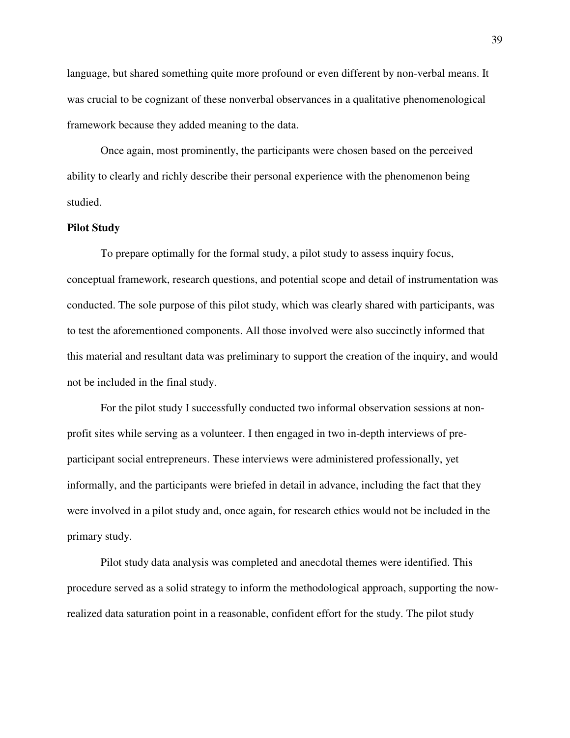language, but shared something quite more profound or even different by non-verbal means. It was crucial to be cognizant of these nonverbal observances in a qualitative phenomenological framework because they added meaning to the data.

Once again, most prominently, the participants were chosen based on the perceived ability to clearly and richly describe their personal experience with the phenomenon being studied.

### **Pilot Study**

To prepare optimally for the formal study, a pilot study to assess inquiry focus, conceptual framework, research questions, and potential scope and detail of instrumentation was conducted. The sole purpose of this pilot study, which was clearly shared with participants, was to test the aforementioned components. All those involved were also succinctly informed that this material and resultant data was preliminary to support the creation of the inquiry, and would not be included in the final study.

For the pilot study I successfully conducted two informal observation sessions at nonprofit sites while serving as a volunteer. I then engaged in two in-depth interviews of preparticipant social entrepreneurs. These interviews were administered professionally, yet informally, and the participants were briefed in detail in advance, including the fact that they were involved in a pilot study and, once again, for research ethics would not be included in the primary study.

Pilot study data analysis was completed and anecdotal themes were identified. This procedure served as a solid strategy to inform the methodological approach, supporting the nowrealized data saturation point in a reasonable, confident effort for the study. The pilot study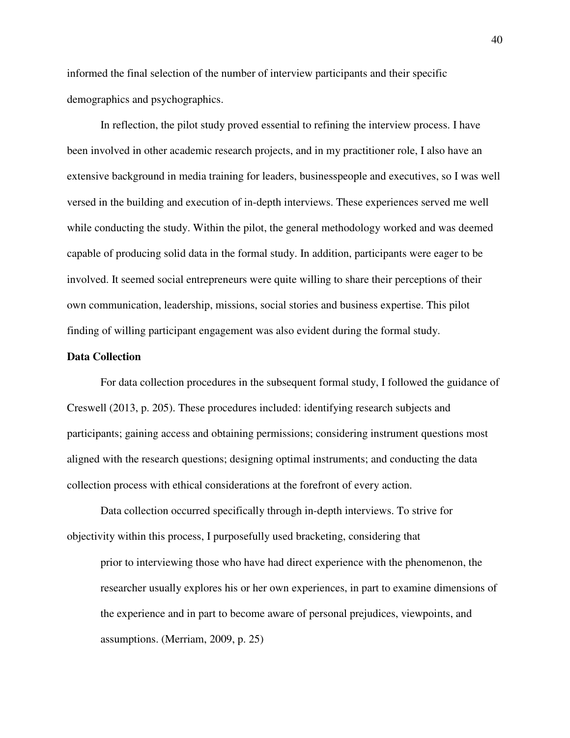informed the final selection of the number of interview participants and their specific demographics and psychographics.

In reflection, the pilot study proved essential to refining the interview process. I have been involved in other academic research projects, and in my practitioner role, I also have an extensive background in media training for leaders, businesspeople and executives, so I was well versed in the building and execution of in-depth interviews. These experiences served me well while conducting the study. Within the pilot, the general methodology worked and was deemed capable of producing solid data in the formal study. In addition, participants were eager to be involved. It seemed social entrepreneurs were quite willing to share their perceptions of their own communication, leadership, missions, social stories and business expertise. This pilot finding of willing participant engagement was also evident during the formal study.

## **Data Collection**

For data collection procedures in the subsequent formal study, I followed the guidance of Creswell (2013, p. 205). These procedures included: identifying research subjects and participants; gaining access and obtaining permissions; considering instrument questions most aligned with the research questions; designing optimal instruments; and conducting the data collection process with ethical considerations at the forefront of every action.

Data collection occurred specifically through in-depth interviews. To strive for objectivity within this process, I purposefully used bracketing, considering that

prior to interviewing those who have had direct experience with the phenomenon, the researcher usually explores his or her own experiences, in part to examine dimensions of the experience and in part to become aware of personal prejudices, viewpoints, and assumptions. (Merriam, 2009, p. 25)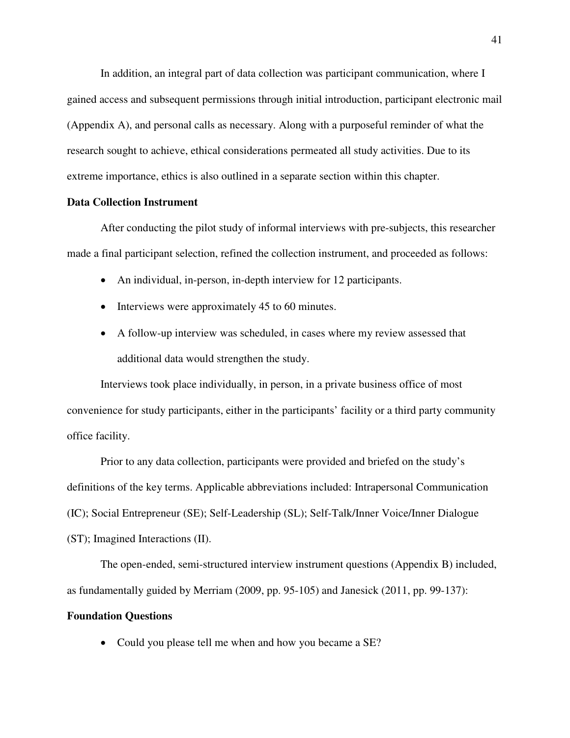In addition, an integral part of data collection was participant communication, where I gained access and subsequent permissions through initial introduction, participant electronic mail (Appendix A), and personal calls as necessary. Along with a purposeful reminder of what the research sought to achieve, ethical considerations permeated all study activities. Due to its extreme importance, ethics is also outlined in a separate section within this chapter.

## **Data Collection Instrument**

After conducting the pilot study of informal interviews with pre-subjects, this researcher made a final participant selection, refined the collection instrument, and proceeded as follows:

- An individual, in-person, in-depth interview for 12 participants.
- Interviews were approximately 45 to 60 minutes.
- A follow-up interview was scheduled, in cases where my review assessed that additional data would strengthen the study.

Interviews took place individually, in person, in a private business office of most convenience for study participants, either in the participants' facility or a third party community office facility.

Prior to any data collection, participants were provided and briefed on the study's definitions of the key terms. Applicable abbreviations included: Intrapersonal Communication (IC); Social Entrepreneur (SE); Self-Leadership (SL); Self-Talk/Inner Voice/Inner Dialogue (ST); Imagined Interactions (II).

The open-ended, semi-structured interview instrument questions (Appendix B) included, as fundamentally guided by Merriam (2009, pp. 95-105) and Janesick (2011, pp. 99-137):

# **Foundation Questions**

• Could you please tell me when and how you became a SE?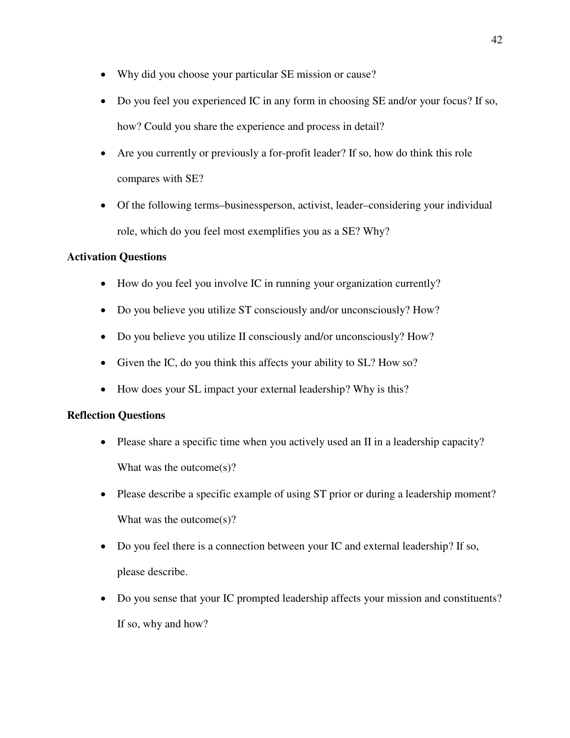- Why did you choose your particular SE mission or cause?
- Do you feel you experienced IC in any form in choosing SE and/or your focus? If so, how? Could you share the experience and process in detail?
- Are you currently or previously a for-profit leader? If so, how do think this role compares with SE?
- Of the following terms–businessperson, activist, leader–considering your individual role, which do you feel most exemplifies you as a SE? Why?

# **Activation Questions**

- How do you feel you involve IC in running your organization currently?
- Do you believe you utilize ST consciously and/or unconsciously? How?
- Do you believe you utilize II consciously and/or unconsciously? How?
- Given the IC, do you think this affects your ability to SL? How so?
- How does your SL impact your external leadership? Why is this?

# **Reflection Questions**

- Please share a specific time when you actively used an II in a leadership capacity? What was the outcome(s)?
- Please describe a specific example of using ST prior or during a leadership moment? What was the outcome(s)?
- Do you feel there is a connection between your IC and external leadership? If so, please describe.
- Do you sense that your IC prompted leadership affects your mission and constituents? If so, why and how?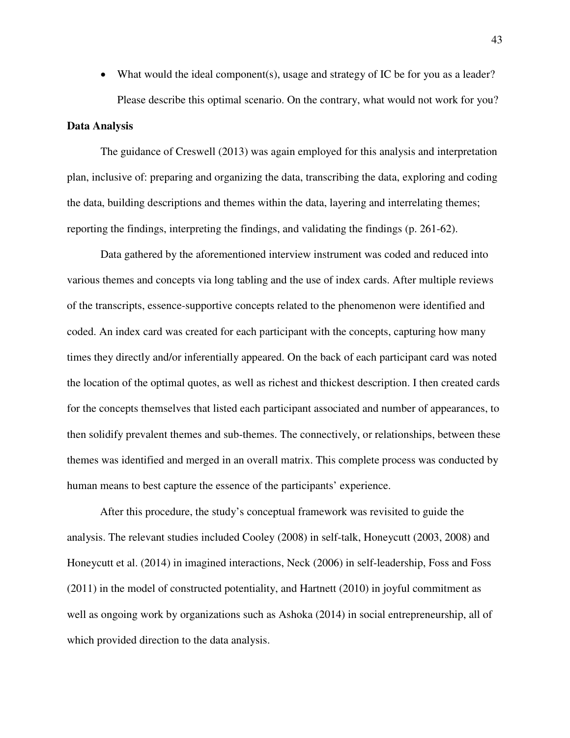• What would the ideal component(s), usage and strategy of IC be for you as a leader? Please describe this optimal scenario. On the contrary, what would not work for you?

### **Data Analysis**

The guidance of Creswell (2013) was again employed for this analysis and interpretation plan, inclusive of: preparing and organizing the data, transcribing the data, exploring and coding the data, building descriptions and themes within the data, layering and interrelating themes; reporting the findings, interpreting the findings, and validating the findings (p. 261-62).

Data gathered by the aforementioned interview instrument was coded and reduced into various themes and concepts via long tabling and the use of index cards. After multiple reviews of the transcripts, essence-supportive concepts related to the phenomenon were identified and coded. An index card was created for each participant with the concepts, capturing how many times they directly and/or inferentially appeared. On the back of each participant card was noted the location of the optimal quotes, as well as richest and thickest description. I then created cards for the concepts themselves that listed each participant associated and number of appearances, to then solidify prevalent themes and sub-themes. The connectively, or relationships, between these themes was identified and merged in an overall matrix. This complete process was conducted by human means to best capture the essence of the participants' experience.

After this procedure, the study's conceptual framework was revisited to guide the analysis. The relevant studies included Cooley (2008) in self-talk, Honeycutt (2003, 2008) and Honeycutt et al. (2014) in imagined interactions, Neck (2006) in self-leadership, Foss and Foss (2011) in the model of constructed potentiality, and Hartnett (2010) in joyful commitment as well as ongoing work by organizations such as Ashoka (2014) in social entrepreneurship, all of which provided direction to the data analysis.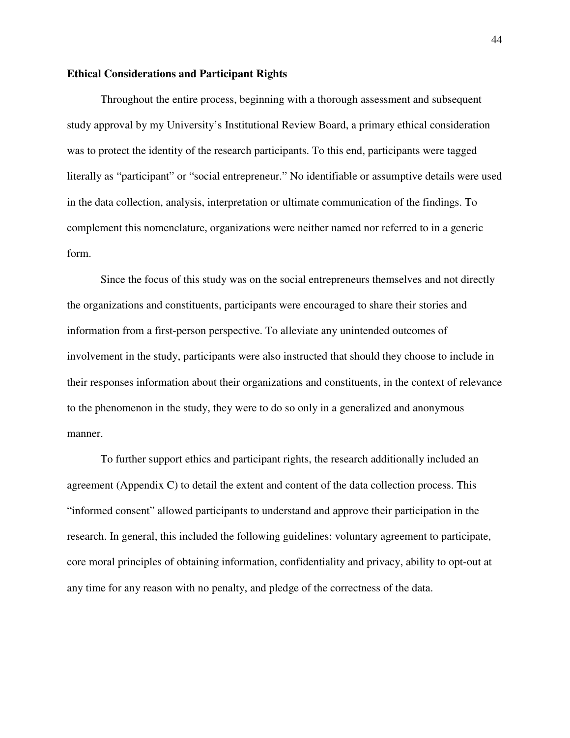# **Ethical Considerations and Participant Rights**

Throughout the entire process, beginning with a thorough assessment and subsequent study approval by my University's Institutional Review Board, a primary ethical consideration was to protect the identity of the research participants. To this end, participants were tagged literally as "participant" or "social entrepreneur." No identifiable or assumptive details were used in the data collection, analysis, interpretation or ultimate communication of the findings. To complement this nomenclature, organizations were neither named nor referred to in a generic form.

Since the focus of this study was on the social entrepreneurs themselves and not directly the organizations and constituents, participants were encouraged to share their stories and information from a first-person perspective. To alleviate any unintended outcomes of involvement in the study, participants were also instructed that should they choose to include in their responses information about their organizations and constituents, in the context of relevance to the phenomenon in the study, they were to do so only in a generalized and anonymous manner.

To further support ethics and participant rights, the research additionally included an agreement (Appendix C) to detail the extent and content of the data collection process. This "informed consent" allowed participants to understand and approve their participation in the research. In general, this included the following guidelines: voluntary agreement to participate, core moral principles of obtaining information, confidentiality and privacy, ability to opt-out at any time for any reason with no penalty, and pledge of the correctness of the data.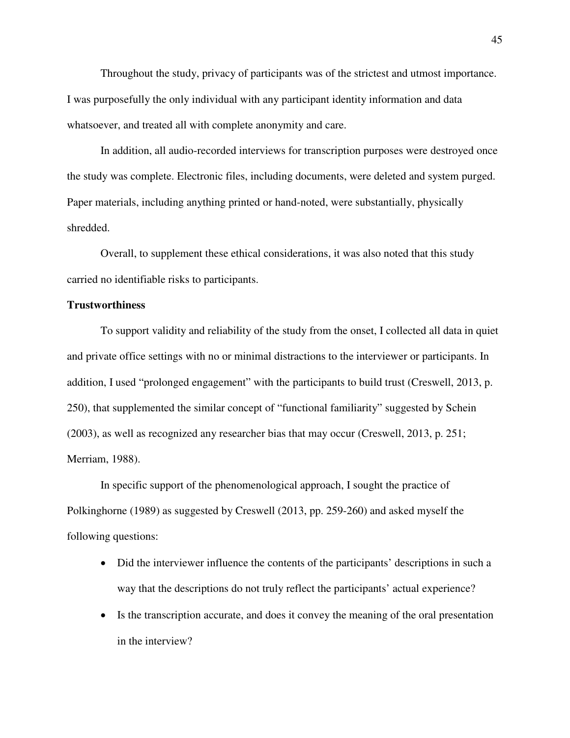Throughout the study, privacy of participants was of the strictest and utmost importance. I was purposefully the only individual with any participant identity information and data whatsoever, and treated all with complete anonymity and care.

In addition, all audio-recorded interviews for transcription purposes were destroyed once the study was complete. Electronic files, including documents, were deleted and system purged. Paper materials, including anything printed or hand-noted, were substantially, physically shredded.

Overall, to supplement these ethical considerations, it was also noted that this study carried no identifiable risks to participants.

# **Trustworthiness**

To support validity and reliability of the study from the onset, I collected all data in quiet and private office settings with no or minimal distractions to the interviewer or participants. In addition, I used "prolonged engagement" with the participants to build trust (Creswell, 2013, p. 250), that supplemented the similar concept of "functional familiarity" suggested by Schein (2003), as well as recognized any researcher bias that may occur (Creswell, 2013, p. 251; Merriam, 1988).

In specific support of the phenomenological approach, I sought the practice of Polkinghorne (1989) as suggested by Creswell (2013, pp. 259-260) and asked myself the following questions:

- Did the interviewer influence the contents of the participants' descriptions in such a way that the descriptions do not truly reflect the participants' actual experience?
- Is the transcription accurate, and does it convey the meaning of the oral presentation in the interview?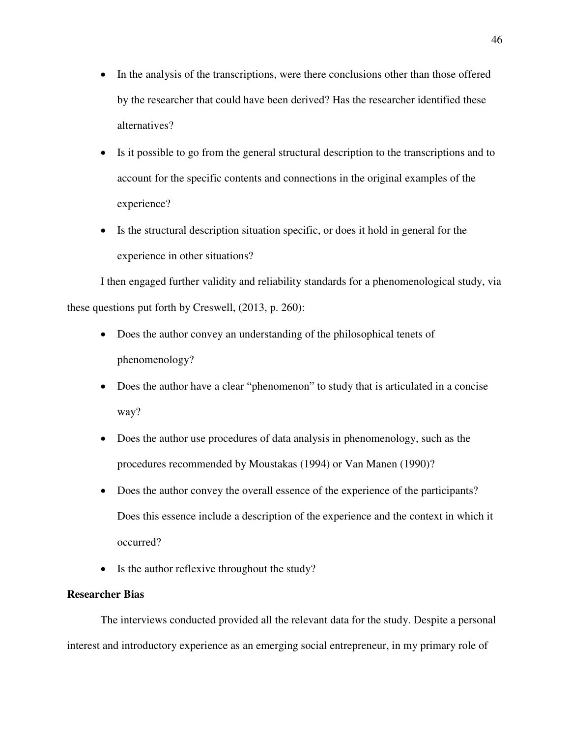- In the analysis of the transcriptions, were there conclusions other than those offered by the researcher that could have been derived? Has the researcher identified these alternatives?
- Is it possible to go from the general structural description to the transcriptions and to account for the specific contents and connections in the original examples of the experience?
- Is the structural description situation specific, or does it hold in general for the experience in other situations?

I then engaged further validity and reliability standards for a phenomenological study, via these questions put forth by Creswell, (2013, p. 260):

- Does the author convey an understanding of the philosophical tenets of phenomenology?
- Does the author have a clear "phenomenon" to study that is articulated in a concise way?
- Does the author use procedures of data analysis in phenomenology, such as the procedures recommended by Moustakas (1994) or Van Manen (1990)?
- Does the author convey the overall essence of the experience of the participants? Does this essence include a description of the experience and the context in which it occurred?
- Is the author reflexive throughout the study?

# **Researcher Bias**

The interviews conducted provided all the relevant data for the study. Despite a personal interest and introductory experience as an emerging social entrepreneur, in my primary role of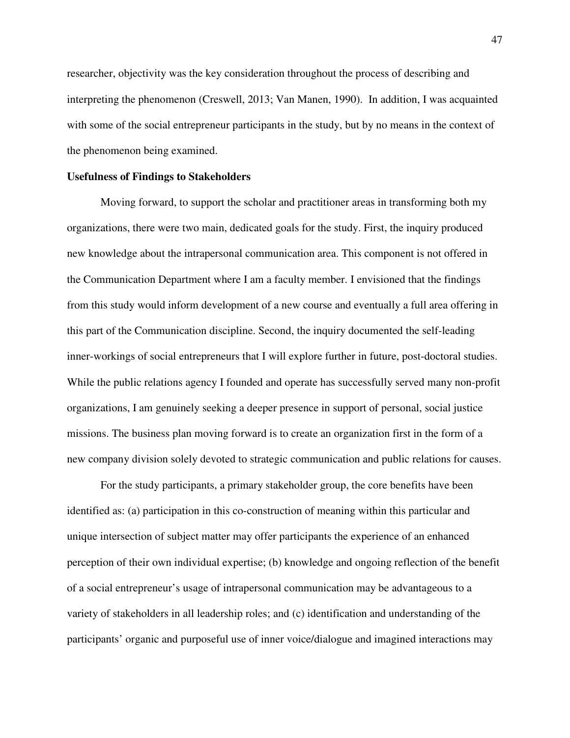researcher, objectivity was the key consideration throughout the process of describing and interpreting the phenomenon (Creswell, 2013; Van Manen, 1990). In addition, I was acquainted with some of the social entrepreneur participants in the study, but by no means in the context of the phenomenon being examined.

## **Usefulness of Findings to Stakeholders**

Moving forward, to support the scholar and practitioner areas in transforming both my organizations, there were two main, dedicated goals for the study. First, the inquiry produced new knowledge about the intrapersonal communication area. This component is not offered in the Communication Department where I am a faculty member. I envisioned that the findings from this study would inform development of a new course and eventually a full area offering in this part of the Communication discipline. Second, the inquiry documented the self-leading inner-workings of social entrepreneurs that I will explore further in future, post-doctoral studies. While the public relations agency I founded and operate has successfully served many non-profit organizations, I am genuinely seeking a deeper presence in support of personal, social justice missions. The business plan moving forward is to create an organization first in the form of a new company division solely devoted to strategic communication and public relations for causes.

For the study participants, a primary stakeholder group, the core benefits have been identified as: (a) participation in this co-construction of meaning within this particular and unique intersection of subject matter may offer participants the experience of an enhanced perception of their own individual expertise; (b) knowledge and ongoing reflection of the benefit of a social entrepreneur's usage of intrapersonal communication may be advantageous to a variety of stakeholders in all leadership roles; and (c) identification and understanding of the participants' organic and purposeful use of inner voice/dialogue and imagined interactions may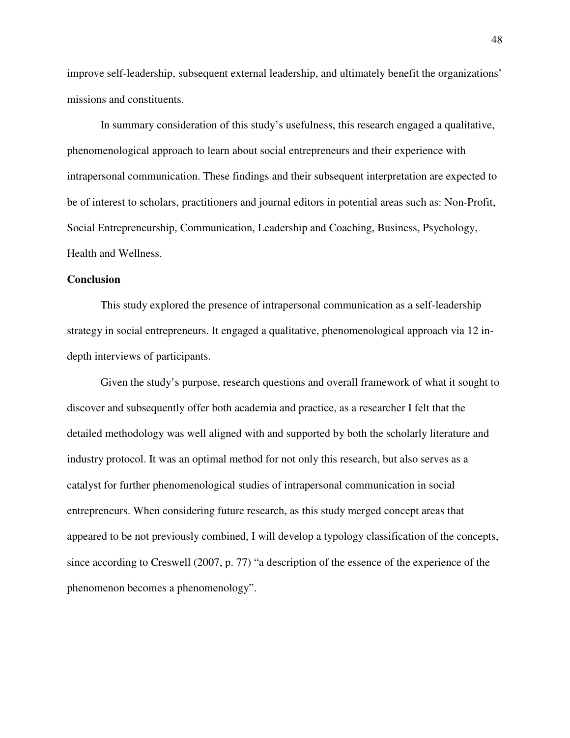improve self-leadership, subsequent external leadership, and ultimately benefit the organizations' missions and constituents.

In summary consideration of this study's usefulness, this research engaged a qualitative, phenomenological approach to learn about social entrepreneurs and their experience with intrapersonal communication. These findings and their subsequent interpretation are expected to be of interest to scholars, practitioners and journal editors in potential areas such as: Non-Profit, Social Entrepreneurship, Communication, Leadership and Coaching, Business, Psychology, Health and Wellness.

# **Conclusion**

This study explored the presence of intrapersonal communication as a self-leadership strategy in social entrepreneurs. It engaged a qualitative, phenomenological approach via 12 indepth interviews of participants.

Given the study's purpose, research questions and overall framework of what it sought to discover and subsequently offer both academia and practice, as a researcher I felt that the detailed methodology was well aligned with and supported by both the scholarly literature and industry protocol. It was an optimal method for not only this research, but also serves as a catalyst for further phenomenological studies of intrapersonal communication in social entrepreneurs. When considering future research, as this study merged concept areas that appeared to be not previously combined, I will develop a typology classification of the concepts, since according to Creswell (2007, p. 77) "a description of the essence of the experience of the phenomenon becomes a phenomenology".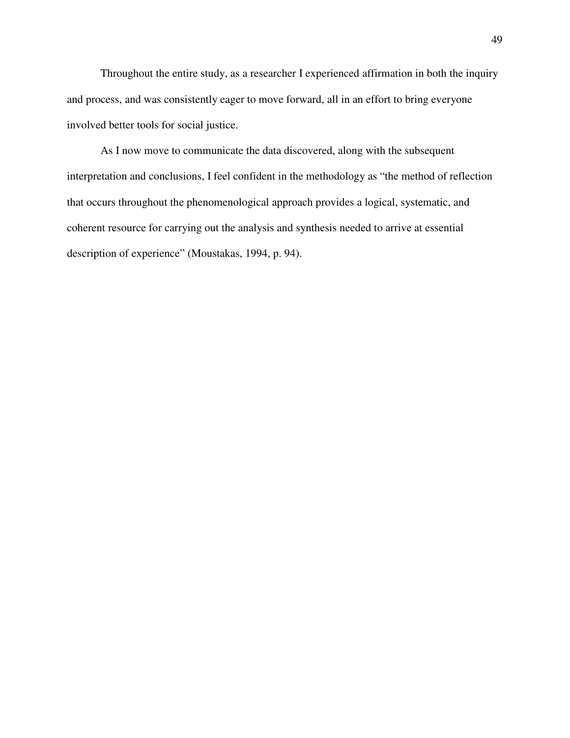Throughout the entire study, as a researcher I experienced affirmation in both the inquiry and process, and was consistently eager to move forward, all in an effort to bring everyone involved better tools for social justice.

As I now move to communicate the data discovered, along with the subsequent interpretation and conclusions, I feel confident in the methodology as "the method of reflection that occurs throughout the phenomenological approach provides a logical, systematic, and coherent resource for carrying out the analysis and synthesis needed to arrive at essential description of experience" (Moustakas, 1994, p. 94).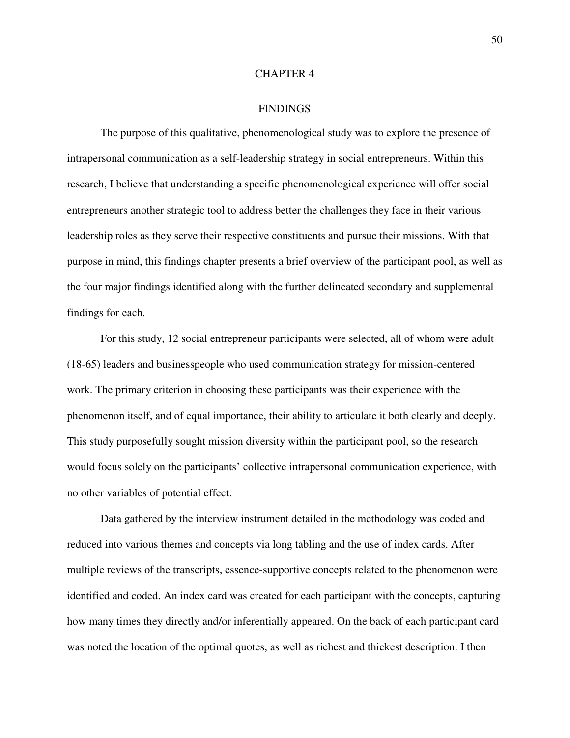#### CHAPTER 4

### **FINDINGS**

The purpose of this qualitative, phenomenological study was to explore the presence of intrapersonal communication as a self-leadership strategy in social entrepreneurs. Within this research, I believe that understanding a specific phenomenological experience will offer social entrepreneurs another strategic tool to address better the challenges they face in their various leadership roles as they serve their respective constituents and pursue their missions. With that purpose in mind, this findings chapter presents a brief overview of the participant pool, as well as the four major findings identified along with the further delineated secondary and supplemental findings for each.

For this study, 12 social entrepreneur participants were selected, all of whom were adult (18-65) leaders and businesspeople who used communication strategy for mission-centered work. The primary criterion in choosing these participants was their experience with the phenomenon itself, and of equal importance, their ability to articulate it both clearly and deeply. This study purposefully sought mission diversity within the participant pool, so the research would focus solely on the participants' collective intrapersonal communication experience, with no other variables of potential effect.

Data gathered by the interview instrument detailed in the methodology was coded and reduced into various themes and concepts via long tabling and the use of index cards. After multiple reviews of the transcripts, essence-supportive concepts related to the phenomenon were identified and coded. An index card was created for each participant with the concepts, capturing how many times they directly and/or inferentially appeared. On the back of each participant card was noted the location of the optimal quotes, as well as richest and thickest description. I then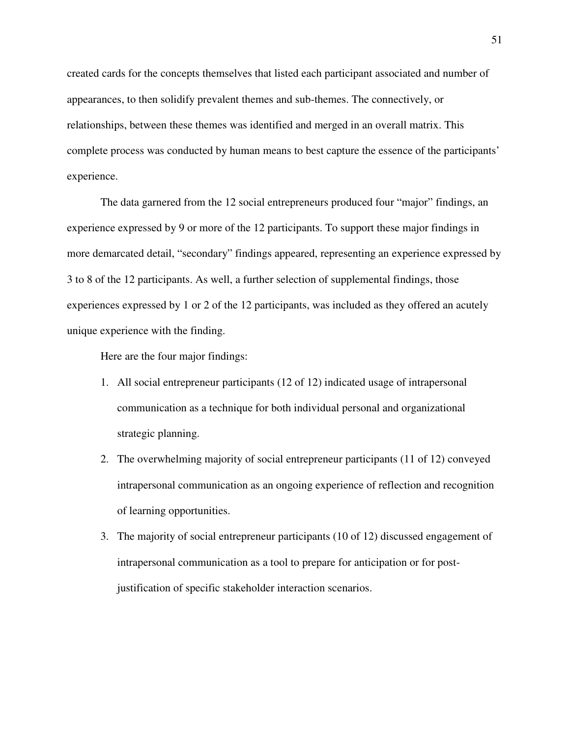created cards for the concepts themselves that listed each participant associated and number of appearances, to then solidify prevalent themes and sub-themes. The connectively, or relationships, between these themes was identified and merged in an overall matrix. This complete process was conducted by human means to best capture the essence of the participants' experience.

The data garnered from the 12 social entrepreneurs produced four "major" findings, an experience expressed by 9 or more of the 12 participants. To support these major findings in more demarcated detail, "secondary" findings appeared, representing an experience expressed by 3 to 8 of the 12 participants. As well, a further selection of supplemental findings, those experiences expressed by 1 or 2 of the 12 participants, was included as they offered an acutely unique experience with the finding.

Here are the four major findings:

- 1. All social entrepreneur participants (12 of 12) indicated usage of intrapersonal communication as a technique for both individual personal and organizational strategic planning.
- 2. The overwhelming majority of social entrepreneur participants (11 of 12) conveyed intrapersonal communication as an ongoing experience of reflection and recognition of learning opportunities.
- 3. The majority of social entrepreneur participants (10 of 12) discussed engagement of intrapersonal communication as a tool to prepare for anticipation or for postjustification of specific stakeholder interaction scenarios.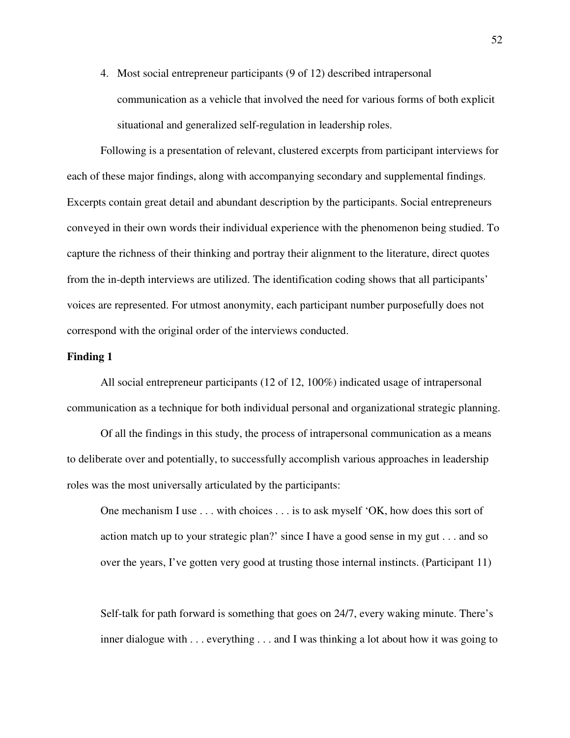4. Most social entrepreneur participants (9 of 12) described intrapersonal communication as a vehicle that involved the need for various forms of both explicit situational and generalized self-regulation in leadership roles.

Following is a presentation of relevant, clustered excerpts from participant interviews for each of these major findings, along with accompanying secondary and supplemental findings. Excerpts contain great detail and abundant description by the participants. Social entrepreneurs conveyed in their own words their individual experience with the phenomenon being studied. To capture the richness of their thinking and portray their alignment to the literature, direct quotes from the in-depth interviews are utilized. The identification coding shows that all participants' voices are represented. For utmost anonymity, each participant number purposefully does not correspond with the original order of the interviews conducted.

# **Finding 1**

All social entrepreneur participants (12 of 12, 100%) indicated usage of intrapersonal communication as a technique for both individual personal and organizational strategic planning.

Of all the findings in this study, the process of intrapersonal communication as a means to deliberate over and potentially, to successfully accomplish various approaches in leadership roles was the most universally articulated by the participants:

One mechanism I use . . . with choices . . . is to ask myself 'OK, how does this sort of action match up to your strategic plan?' since I have a good sense in my gut . . . and so over the years, I've gotten very good at trusting those internal instincts. (Participant 11)

Self-talk for path forward is something that goes on 24/7, every waking minute. There's inner dialogue with . . . everything . . . and I was thinking a lot about how it was going to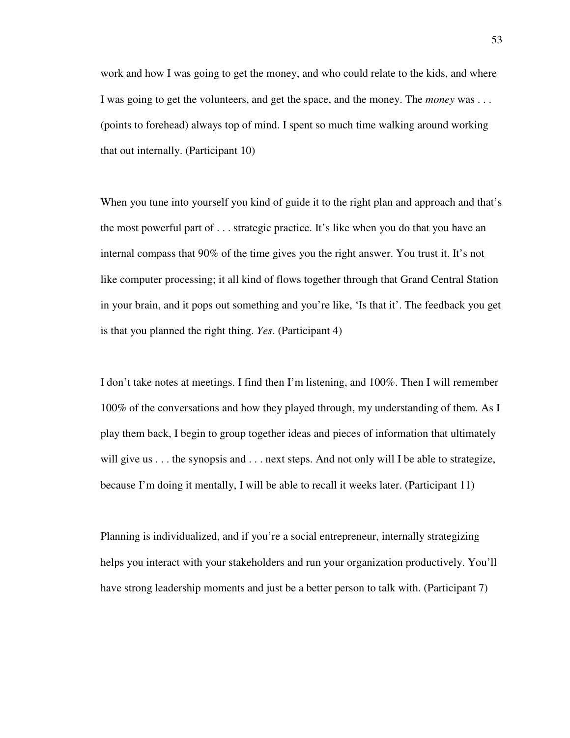work and how I was going to get the money, and who could relate to the kids, and where I was going to get the volunteers, and get the space, and the money. The *money* was . . . (points to forehead) always top of mind. I spent so much time walking around working that out internally. (Participant 10)

When you tune into yourself you kind of guide it to the right plan and approach and that's the most powerful part of . . . strategic practice. It's like when you do that you have an internal compass that 90% of the time gives you the right answer. You trust it. It's not like computer processing; it all kind of flows together through that Grand Central Station in your brain, and it pops out something and you're like, 'Is that it'. The feedback you get is that you planned the right thing. *Yes*. (Participant 4)

I don't take notes at meetings. I find then I'm listening, and 100%. Then I will remember 100% of the conversations and how they played through, my understanding of them. As I play them back, I begin to group together ideas and pieces of information that ultimately will give us . . . the synopsis and . . . next steps. And not only will I be able to strategize, because I'm doing it mentally, I will be able to recall it weeks later. (Participant 11)

Planning is individualized, and if you're a social entrepreneur, internally strategizing helps you interact with your stakeholders and run your organization productively. You'll have strong leadership moments and just be a better person to talk with. (Participant 7)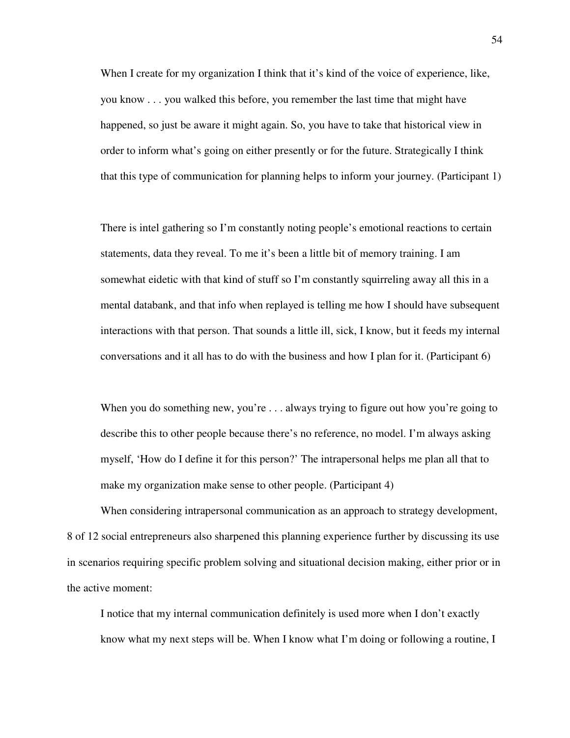When I create for my organization I think that it's kind of the voice of experience, like, you know . . . you walked this before, you remember the last time that might have happened, so just be aware it might again. So, you have to take that historical view in order to inform what's going on either presently or for the future. Strategically I think that this type of communication for planning helps to inform your journey. (Participant 1)

There is intel gathering so I'm constantly noting people's emotional reactions to certain statements, data they reveal. To me it's been a little bit of memory training. I am somewhat eidetic with that kind of stuff so I'm constantly squirreling away all this in a mental databank, and that info when replayed is telling me how I should have subsequent interactions with that person. That sounds a little ill, sick, I know, but it feeds my internal conversations and it all has to do with the business and how I plan for it. (Participant 6)

When you do something new, you're . . . always trying to figure out how you're going to describe this to other people because there's no reference, no model. I'm always asking myself, 'How do I define it for this person?' The intrapersonal helps me plan all that to make my organization make sense to other people. (Participant 4)

When considering intrapersonal communication as an approach to strategy development, 8 of 12 social entrepreneurs also sharpened this planning experience further by discussing its use in scenarios requiring specific problem solving and situational decision making, either prior or in the active moment:

I notice that my internal communication definitely is used more when I don't exactly know what my next steps will be. When I know what I'm doing or following a routine, I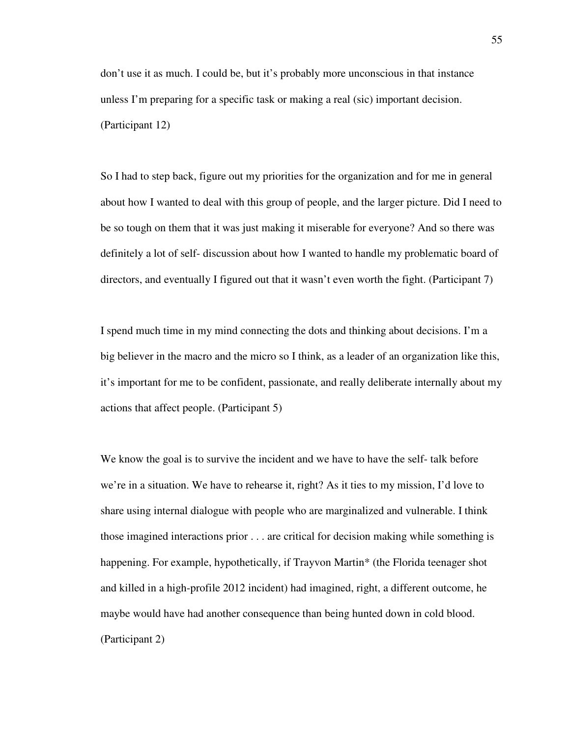don't use it as much. I could be, but it's probably more unconscious in that instance unless I'm preparing for a specific task or making a real (sic) important decision. (Participant 12)

So I had to step back, figure out my priorities for the organization and for me in general about how I wanted to deal with this group of people, and the larger picture. Did I need to be so tough on them that it was just making it miserable for everyone? And so there was definitely a lot of self- discussion about how I wanted to handle my problematic board of directors, and eventually I figured out that it wasn't even worth the fight. (Participant 7)

I spend much time in my mind connecting the dots and thinking about decisions. I'm a big believer in the macro and the micro so I think, as a leader of an organization like this, it's important for me to be confident, passionate, and really deliberate internally about my actions that affect people. (Participant 5)

We know the goal is to survive the incident and we have to have the self- talk before we're in a situation. We have to rehearse it, right? As it ties to my mission, I'd love to share using internal dialogue with people who are marginalized and vulnerable. I think those imagined interactions prior . . . are critical for decision making while something is happening. For example, hypothetically, if Trayvon Martin\* (the Florida teenager shot and killed in a high-profile 2012 incident) had imagined, right, a different outcome, he maybe would have had another consequence than being hunted down in cold blood. (Participant 2)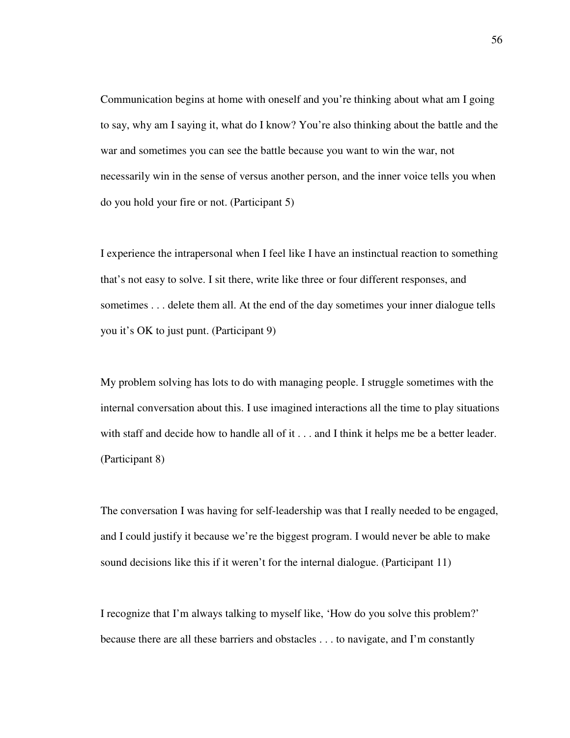Communication begins at home with oneself and you're thinking about what am I going to say, why am I saying it, what do I know? You're also thinking about the battle and the war and sometimes you can see the battle because you want to win the war, not necessarily win in the sense of versus another person, and the inner voice tells you when do you hold your fire or not. (Participant 5)

I experience the intrapersonal when I feel like I have an instinctual reaction to something that's not easy to solve. I sit there, write like three or four different responses, and sometimes . . . delete them all. At the end of the day sometimes your inner dialogue tells you it's OK to just punt. (Participant 9)

My problem solving has lots to do with managing people. I struggle sometimes with the internal conversation about this. I use imagined interactions all the time to play situations with staff and decide how to handle all of it . . . and I think it helps me be a better leader. (Participant 8)

The conversation I was having for self-leadership was that I really needed to be engaged, and I could justify it because we're the biggest program. I would never be able to make sound decisions like this if it weren't for the internal dialogue. (Participant 11)

I recognize that I'm always talking to myself like, 'How do you solve this problem?' because there are all these barriers and obstacles . . . to navigate, and I'm constantly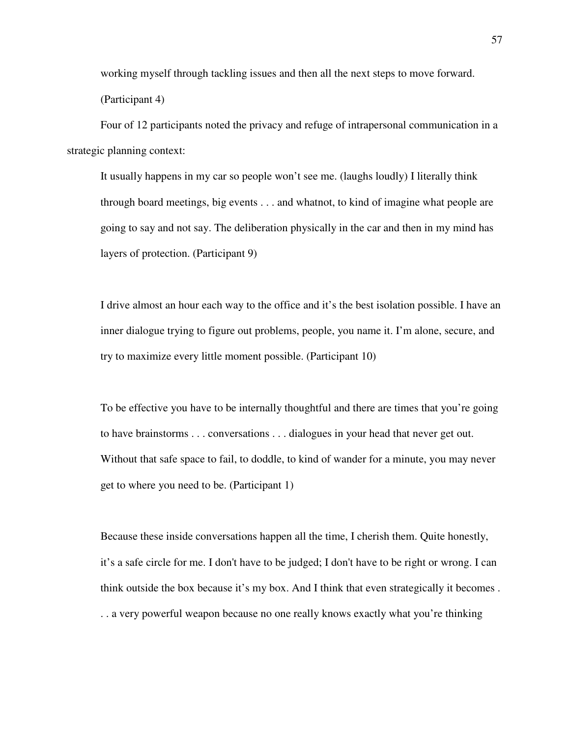working myself through tackling issues and then all the next steps to move forward. (Participant 4)

Four of 12 participants noted the privacy and refuge of intrapersonal communication in a strategic planning context:

It usually happens in my car so people won't see me. (laughs loudly) I literally think through board meetings, big events . . . and whatnot, to kind of imagine what people are going to say and not say. The deliberation physically in the car and then in my mind has layers of protection. (Participant 9)

I drive almost an hour each way to the office and it's the best isolation possible. I have an inner dialogue trying to figure out problems, people, you name it. I'm alone, secure, and try to maximize every little moment possible. (Participant 10)

To be effective you have to be internally thoughtful and there are times that you're going to have brainstorms . . . conversations . . . dialogues in your head that never get out. Without that safe space to fail, to doddle, to kind of wander for a minute, you may never get to where you need to be. (Participant 1)

Because these inside conversations happen all the time, I cherish them. Quite honestly, it's a safe circle for me. I don't have to be judged; I don't have to be right or wrong. I can think outside the box because it's my box. And I think that even strategically it becomes . . . a very powerful weapon because no one really knows exactly what you're thinking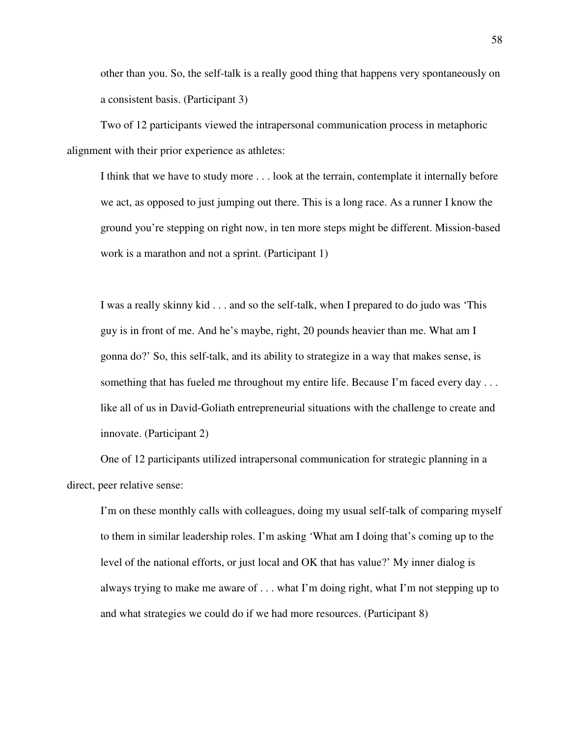other than you. So, the self-talk is a really good thing that happens very spontaneously on a consistent basis. (Participant 3)

Two of 12 participants viewed the intrapersonal communication process in metaphoric alignment with their prior experience as athletes:

I think that we have to study more . . . look at the terrain, contemplate it internally before we act, as opposed to just jumping out there. This is a long race. As a runner I know the ground you're stepping on right now, in ten more steps might be different. Mission-based work is a marathon and not a sprint. (Participant 1)

I was a really skinny kid . . . and so the self-talk, when I prepared to do judo was 'This guy is in front of me. And he's maybe, right, 20 pounds heavier than me. What am I gonna do?' So, this self-talk, and its ability to strategize in a way that makes sense, is something that has fueled me throughout my entire life. Because I'm faced every day . . . like all of us in David-Goliath entrepreneurial situations with the challenge to create and innovate. (Participant 2)

One of 12 participants utilized intrapersonal communication for strategic planning in a direct, peer relative sense:

I'm on these monthly calls with colleagues, doing my usual self-talk of comparing myself to them in similar leadership roles. I'm asking 'What am I doing that's coming up to the level of the national efforts, or just local and OK that has value?' My inner dialog is always trying to make me aware of . . . what I'm doing right, what I'm not stepping up to and what strategies we could do if we had more resources. (Participant 8)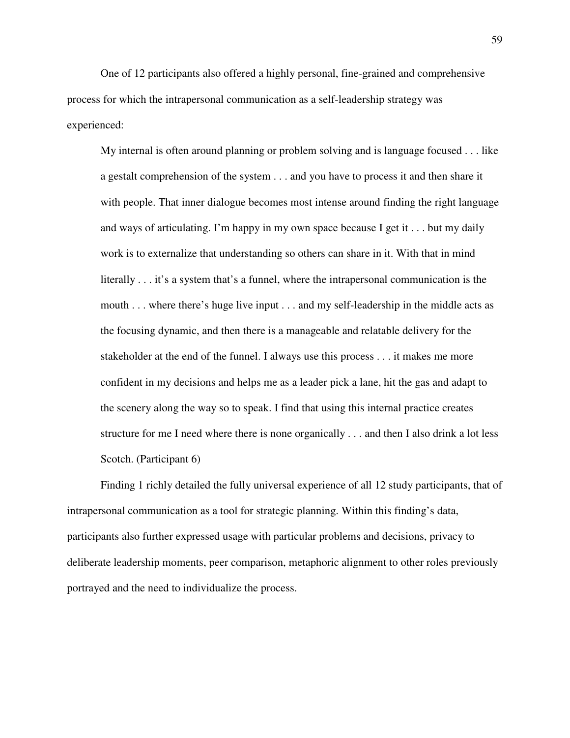One of 12 participants also offered a highly personal, fine-grained and comprehensive process for which the intrapersonal communication as a self-leadership strategy was experienced:

My internal is often around planning or problem solving and is language focused . . . like a gestalt comprehension of the system . . . and you have to process it and then share it with people. That inner dialogue becomes most intense around finding the right language and ways of articulating. I'm happy in my own space because I get it . . . but my daily work is to externalize that understanding so others can share in it. With that in mind literally . . . it's a system that's a funnel, where the intrapersonal communication is the mouth . . . where there's huge live input . . . and my self-leadership in the middle acts as the focusing dynamic, and then there is a manageable and relatable delivery for the stakeholder at the end of the funnel. I always use this process . . . it makes me more confident in my decisions and helps me as a leader pick a lane, hit the gas and adapt to the scenery along the way so to speak. I find that using this internal practice creates structure for me I need where there is none organically . . . and then I also drink a lot less Scotch. (Participant 6)

Finding 1 richly detailed the fully universal experience of all 12 study participants, that of intrapersonal communication as a tool for strategic planning. Within this finding's data, participants also further expressed usage with particular problems and decisions, privacy to deliberate leadership moments, peer comparison, metaphoric alignment to other roles previously portrayed and the need to individualize the process.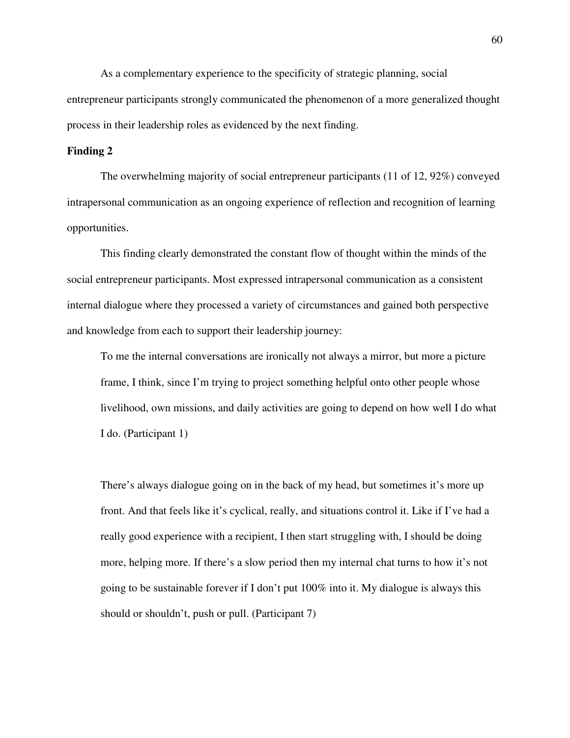As a complementary experience to the specificity of strategic planning, social entrepreneur participants strongly communicated the phenomenon of a more generalized thought process in their leadership roles as evidenced by the next finding.

# **Finding 2**

The overwhelming majority of social entrepreneur participants (11 of 12, 92%) conveyed intrapersonal communication as an ongoing experience of reflection and recognition of learning opportunities.

This finding clearly demonstrated the constant flow of thought within the minds of the social entrepreneur participants. Most expressed intrapersonal communication as a consistent internal dialogue where they processed a variety of circumstances and gained both perspective and knowledge from each to support their leadership journey:

To me the internal conversations are ironically not always a mirror, but more a picture frame, I think, since I'm trying to project something helpful onto other people whose livelihood, own missions, and daily activities are going to depend on how well I do what I do. (Participant 1)

There's always dialogue going on in the back of my head, but sometimes it's more up front. And that feels like it's cyclical, really, and situations control it. Like if I've had a really good experience with a recipient, I then start struggling with, I should be doing more, helping more. If there's a slow period then my internal chat turns to how it's not going to be sustainable forever if I don't put 100% into it. My dialogue is always this should or shouldn't, push or pull. (Participant 7)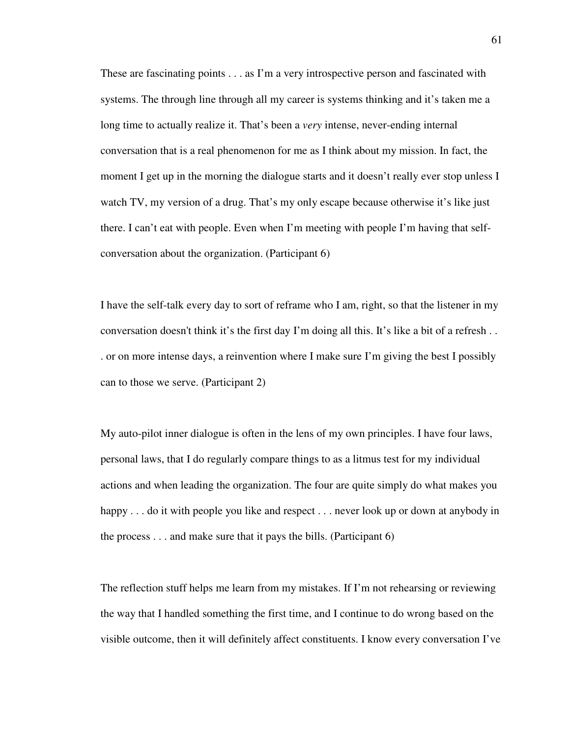These are fascinating points . . . as I'm a very introspective person and fascinated with systems. The through line through all my career is systems thinking and it's taken me a long time to actually realize it. That's been a *very* intense, never-ending internal conversation that is a real phenomenon for me as I think about my mission. In fact, the moment I get up in the morning the dialogue starts and it doesn't really ever stop unless I watch TV, my version of a drug. That's my only escape because otherwise it's like just there. I can't eat with people. Even when I'm meeting with people I'm having that selfconversation about the organization. (Participant 6)

I have the self-talk every day to sort of reframe who I am, right, so that the listener in my conversation doesn't think it's the first day I'm doing all this. It's like a bit of a refresh . . . or on more intense days, a reinvention where I make sure I'm giving the best I possibly can to those we serve. (Participant 2)

My auto-pilot inner dialogue is often in the lens of my own principles. I have four laws, personal laws, that I do regularly compare things to as a litmus test for my individual actions and when leading the organization. The four are quite simply do what makes you happy . . . do it with people you like and respect . . . never look up or down at anybody in the process . . . and make sure that it pays the bills. (Participant 6)

The reflection stuff helps me learn from my mistakes. If I'm not rehearsing or reviewing the way that I handled something the first time, and I continue to do wrong based on the visible outcome, then it will definitely affect constituents. I know every conversation I've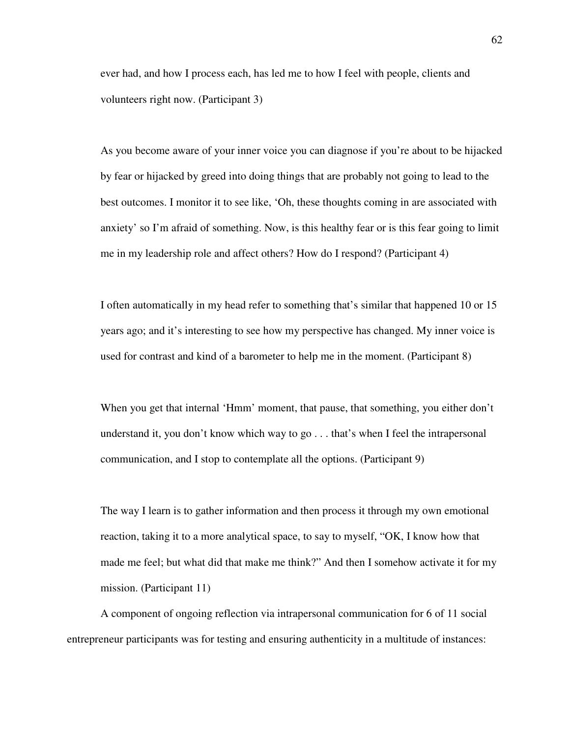ever had, and how I process each, has led me to how I feel with people, clients and volunteers right now. (Participant 3)

As you become aware of your inner voice you can diagnose if you're about to be hijacked by fear or hijacked by greed into doing things that are probably not going to lead to the best outcomes. I monitor it to see like, 'Oh, these thoughts coming in are associated with anxiety' so I'm afraid of something. Now, is this healthy fear or is this fear going to limit me in my leadership role and affect others? How do I respond? (Participant 4)

I often automatically in my head refer to something that's similar that happened 10 or 15 years ago; and it's interesting to see how my perspective has changed. My inner voice is used for contrast and kind of a barometer to help me in the moment. (Participant 8)

When you get that internal 'Hmm' moment, that pause, that something, you either don't understand it, you don't know which way to go . . . that's when I feel the intrapersonal communication, and I stop to contemplate all the options. (Participant 9)

The way I learn is to gather information and then process it through my own emotional reaction, taking it to a more analytical space, to say to myself, "OK, I know how that made me feel; but what did that make me think?" And then I somehow activate it for my mission. (Participant 11)

A component of ongoing reflection via intrapersonal communication for 6 of 11 social entrepreneur participants was for testing and ensuring authenticity in a multitude of instances: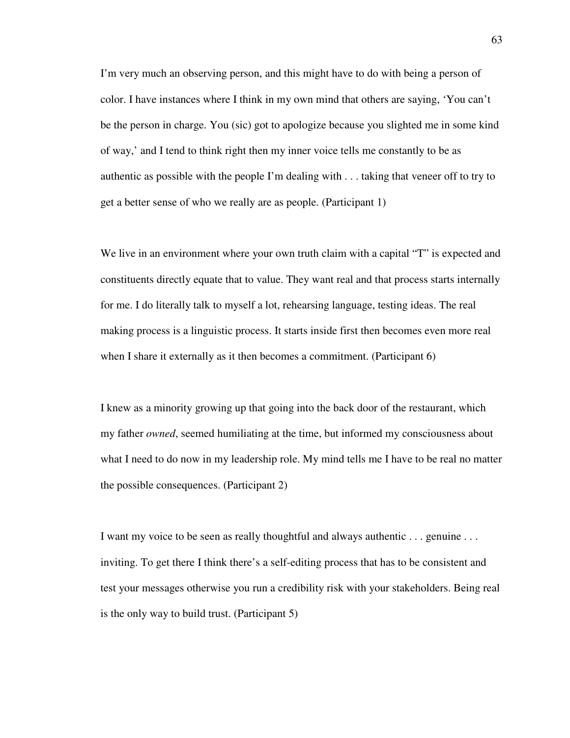I'm very much an observing person, and this might have to do with being a person of color. I have instances where I think in my own mind that others are saying, 'You can't be the person in charge. You (sic) got to apologize because you slighted me in some kind of way,' and I tend to think right then my inner voice tells me constantly to be as authentic as possible with the people I'm dealing with . . . taking that veneer off to try to get a better sense of who we really are as people. (Participant 1)

We live in an environment where your own truth claim with a capital "T" is expected and constituents directly equate that to value. They want real and that process starts internally for me. I do literally talk to myself a lot, rehearsing language, testing ideas. The real making process is a linguistic process. It starts inside first then becomes even more real when I share it externally as it then becomes a commitment. (Participant 6)

I knew as a minority growing up that going into the back door of the restaurant, which my father *owned*, seemed humiliating at the time, but informed my consciousness about what I need to do now in my leadership role. My mind tells me I have to be real no matter the possible consequences. (Participant 2)

I want my voice to be seen as really thoughtful and always authentic . . . genuine . . . inviting. To get there I think there's a self-editing process that has to be consistent and test your messages otherwise you run a credibility risk with your stakeholders. Being real is the only way to build trust. (Participant 5)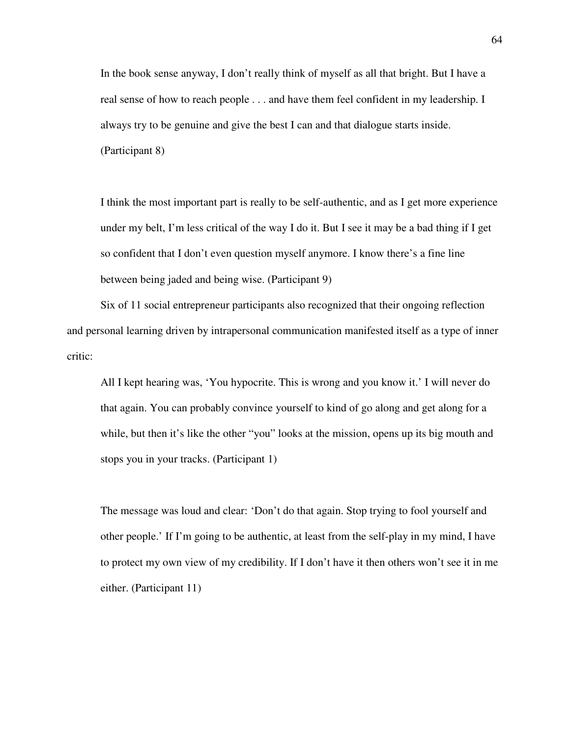In the book sense anyway, I don't really think of myself as all that bright. But I have a real sense of how to reach people . . . and have them feel confident in my leadership. I always try to be genuine and give the best I can and that dialogue starts inside. (Participant 8)

I think the most important part is really to be self-authentic, and as I get more experience under my belt, I'm less critical of the way I do it. But I see it may be a bad thing if I get so confident that I don't even question myself anymore. I know there's a fine line between being jaded and being wise. (Participant 9)

Six of 11 social entrepreneur participants also recognized that their ongoing reflection and personal learning driven by intrapersonal communication manifested itself as a type of inner critic:

All I kept hearing was, 'You hypocrite. This is wrong and you know it.' I will never do that again. You can probably convince yourself to kind of go along and get along for a while, but then it's like the other "you" looks at the mission, opens up its big mouth and stops you in your tracks. (Participant 1)

The message was loud and clear: 'Don't do that again. Stop trying to fool yourself and other people.' If I'm going to be authentic, at least from the self-play in my mind, I have to protect my own view of my credibility. If I don't have it then others won't see it in me either. (Participant 11)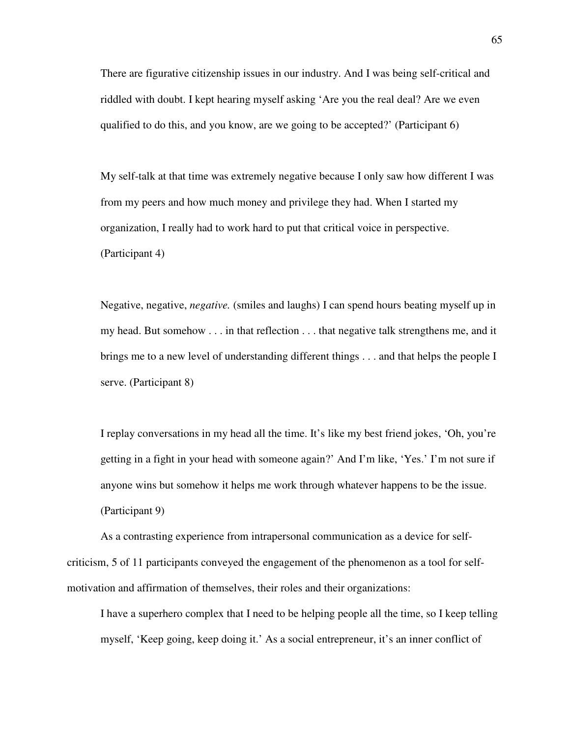There are figurative citizenship issues in our industry. And I was being self-critical and riddled with doubt. I kept hearing myself asking 'Are you the real deal? Are we even qualified to do this, and you know, are we going to be accepted?' (Participant 6)

My self-talk at that time was extremely negative because I only saw how different I was from my peers and how much money and privilege they had. When I started my organization, I really had to work hard to put that critical voice in perspective. (Participant 4)

Negative, negative, *negative.* (smiles and laughs) I can spend hours beating myself up in my head. But somehow . . . in that reflection . . . that negative talk strengthens me, and it brings me to a new level of understanding different things . . . and that helps the people I serve. (Participant 8)

I replay conversations in my head all the time. It's like my best friend jokes, 'Oh, you're getting in a fight in your head with someone again?' And I'm like, 'Yes.' I'm not sure if anyone wins but somehow it helps me work through whatever happens to be the issue. (Participant 9)

As a contrasting experience from intrapersonal communication as a device for selfcriticism, 5 of 11 participants conveyed the engagement of the phenomenon as a tool for selfmotivation and affirmation of themselves, their roles and their organizations:

I have a superhero complex that I need to be helping people all the time, so I keep telling myself, 'Keep going, keep doing it.' As a social entrepreneur, it's an inner conflict of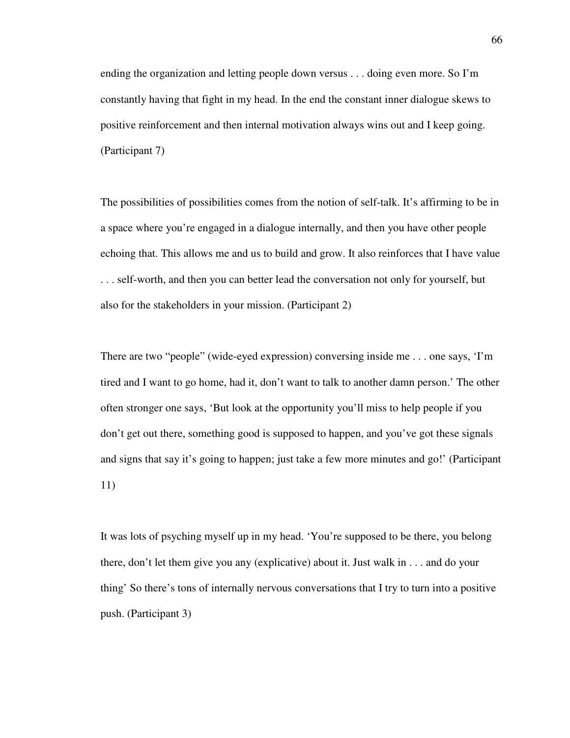ending the organization and letting people down versus . . . doing even more. So I'm constantly having that fight in my head. In the end the constant inner dialogue skews to positive reinforcement and then internal motivation always wins out and I keep going. (Participant 7)

The possibilities of possibilities comes from the notion of self-talk. It's affirming to be in a space where you're engaged in a dialogue internally, and then you have other people echoing that. This allows me and us to build and grow. It also reinforces that I have value . . . self-worth, and then you can better lead the conversation not only for yourself, but also for the stakeholders in your mission. (Participant 2)

There are two "people" (wide-eyed expression) conversing inside me . . . one says, 'I'm tired and I want to go home, had it, don't want to talk to another damn person.' The other often stronger one says, 'But look at the opportunity you'll miss to help people if you don't get out there, something good is supposed to happen, and you've got these signals and signs that say it's going to happen; just take a few more minutes and go!' (Participant 11)

It was lots of psyching myself up in my head. 'You're supposed to be there, you belong there, don't let them give you any (explicative) about it. Just walk in . . . and do your thing' So there's tons of internally nervous conversations that I try to turn into a positive push. (Participant 3)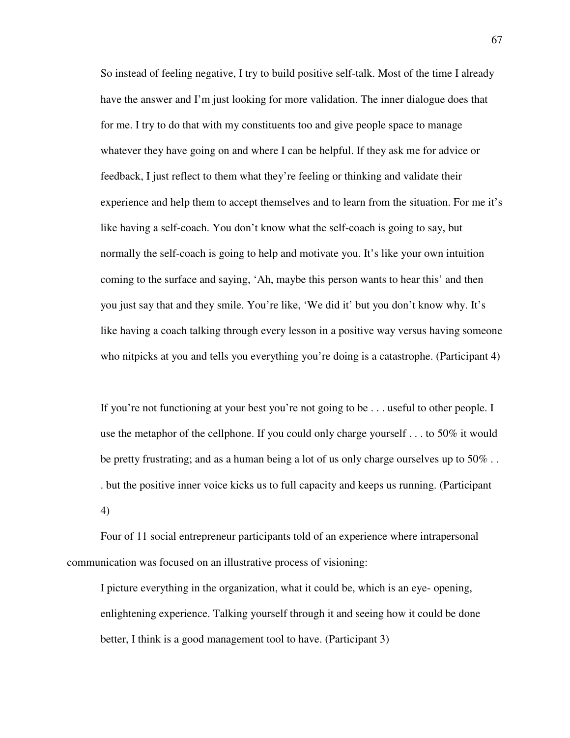So instead of feeling negative, I try to build positive self-talk. Most of the time I already have the answer and I'm just looking for more validation. The inner dialogue does that for me. I try to do that with my constituents too and give people space to manage whatever they have going on and where I can be helpful. If they ask me for advice or feedback, I just reflect to them what they're feeling or thinking and validate their experience and help them to accept themselves and to learn from the situation. For me it's like having a self-coach. You don't know what the self-coach is going to say, but normally the self-coach is going to help and motivate you. It's like your own intuition coming to the surface and saying, 'Ah, maybe this person wants to hear this' and then you just say that and they smile. You're like, 'We did it' but you don't know why. It's like having a coach talking through every lesson in a positive way versus having someone who nitpicks at you and tells you everything you're doing is a catastrophe. (Participant 4)

If you're not functioning at your best you're not going to be . . . useful to other people. I use the metaphor of the cellphone. If you could only charge yourself . . . to 50% it would be pretty frustrating; and as a human being a lot of us only charge ourselves up to  $50\%$ . . but the positive inner voice kicks us to full capacity and keeps us running. (Participant 4)

Four of 11 social entrepreneur participants told of an experience where intrapersonal communication was focused on an illustrative process of visioning:

I picture everything in the organization, what it could be, which is an eye- opening, enlightening experience. Talking yourself through it and seeing how it could be done better, I think is a good management tool to have. (Participant 3)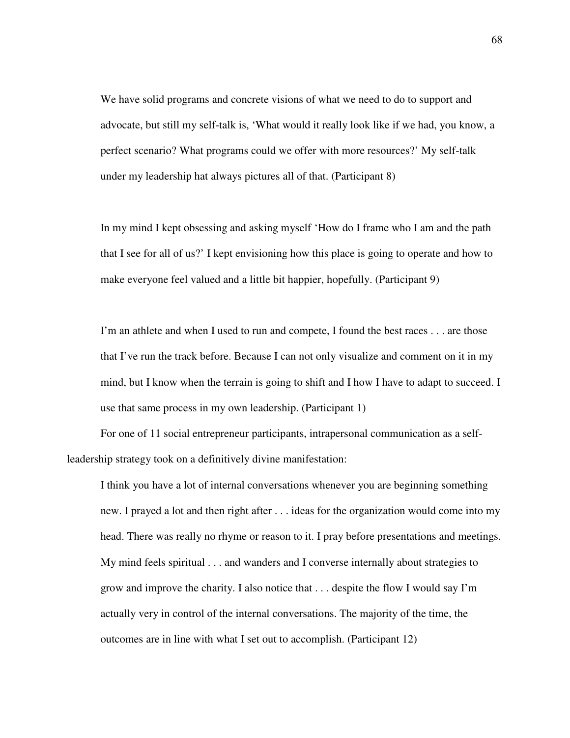We have solid programs and concrete visions of what we need to do to support and advocate, but still my self-talk is, 'What would it really look like if we had, you know, a perfect scenario? What programs could we offer with more resources?' My self-talk under my leadership hat always pictures all of that. (Participant 8)

In my mind I kept obsessing and asking myself 'How do I frame who I am and the path that I see for all of us?' I kept envisioning how this place is going to operate and how to make everyone feel valued and a little bit happier, hopefully. (Participant 9)

I'm an athlete and when I used to run and compete, I found the best races . . . are those that I've run the track before. Because I can not only visualize and comment on it in my mind, but I know when the terrain is going to shift and I how I have to adapt to succeed. I use that same process in my own leadership. (Participant 1)

For one of 11 social entrepreneur participants, intrapersonal communication as a selfleadership strategy took on a definitively divine manifestation:

I think you have a lot of internal conversations whenever you are beginning something new. I prayed a lot and then right after . . . ideas for the organization would come into my head. There was really no rhyme or reason to it. I pray before presentations and meetings. My mind feels spiritual . . . and wanders and I converse internally about strategies to grow and improve the charity. I also notice that . . . despite the flow I would say I'm actually very in control of the internal conversations. The majority of the time, the outcomes are in line with what I set out to accomplish. (Participant 12)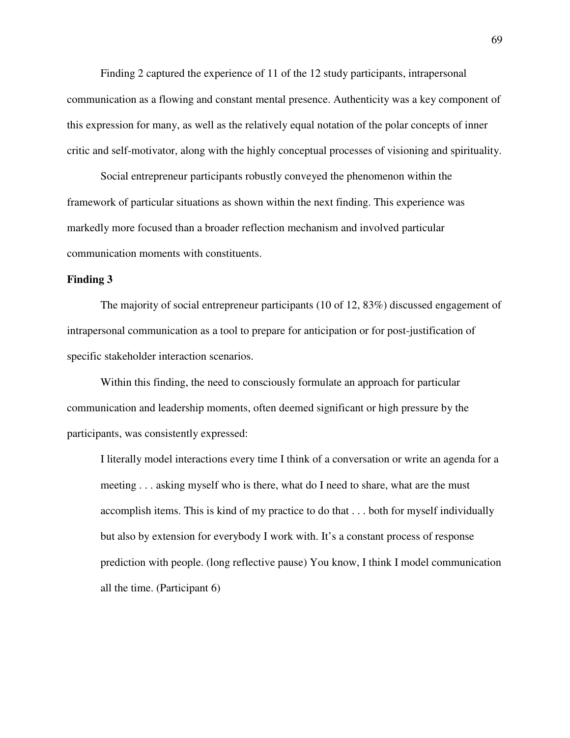Finding 2 captured the experience of 11 of the 12 study participants, intrapersonal communication as a flowing and constant mental presence. Authenticity was a key component of this expression for many, as well as the relatively equal notation of the polar concepts of inner critic and self-motivator, along with the highly conceptual processes of visioning and spirituality.

Social entrepreneur participants robustly conveyed the phenomenon within the framework of particular situations as shown within the next finding. This experience was markedly more focused than a broader reflection mechanism and involved particular communication moments with constituents.

# **Finding 3**

The majority of social entrepreneur participants (10 of 12, 83%) discussed engagement of intrapersonal communication as a tool to prepare for anticipation or for post-justification of specific stakeholder interaction scenarios.

Within this finding, the need to consciously formulate an approach for particular communication and leadership moments, often deemed significant or high pressure by the participants, was consistently expressed:

I literally model interactions every time I think of a conversation or write an agenda for a meeting . . . asking myself who is there, what do I need to share, what are the must accomplish items. This is kind of my practice to do that . . . both for myself individually but also by extension for everybody I work with. It's a constant process of response prediction with people. (long reflective pause) You know, I think I model communication all the time. (Participant 6)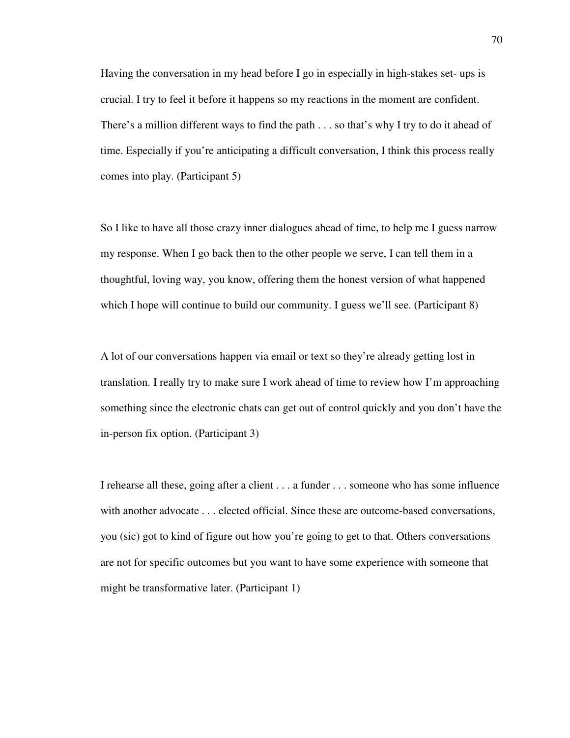Having the conversation in my head before I go in especially in high-stakes set- ups is crucial. I try to feel it before it happens so my reactions in the moment are confident. There's a million different ways to find the path . . . so that's why I try to do it ahead of time. Especially if you're anticipating a difficult conversation, I think this process really comes into play. (Participant 5)

So I like to have all those crazy inner dialogues ahead of time, to help me I guess narrow my response. When I go back then to the other people we serve, I can tell them in a thoughtful, loving way, you know, offering them the honest version of what happened which I hope will continue to build our community. I guess we'll see. (Participant 8)

A lot of our conversations happen via email or text so they're already getting lost in translation. I really try to make sure I work ahead of time to review how I'm approaching something since the electronic chats can get out of control quickly and you don't have the in-person fix option. (Participant 3)

I rehearse all these, going after a client . . . a funder . . . someone who has some influence with another advocate . . . elected official. Since these are outcome-based conversations, you (sic) got to kind of figure out how you're going to get to that. Others conversations are not for specific outcomes but you want to have some experience with someone that might be transformative later. (Participant 1)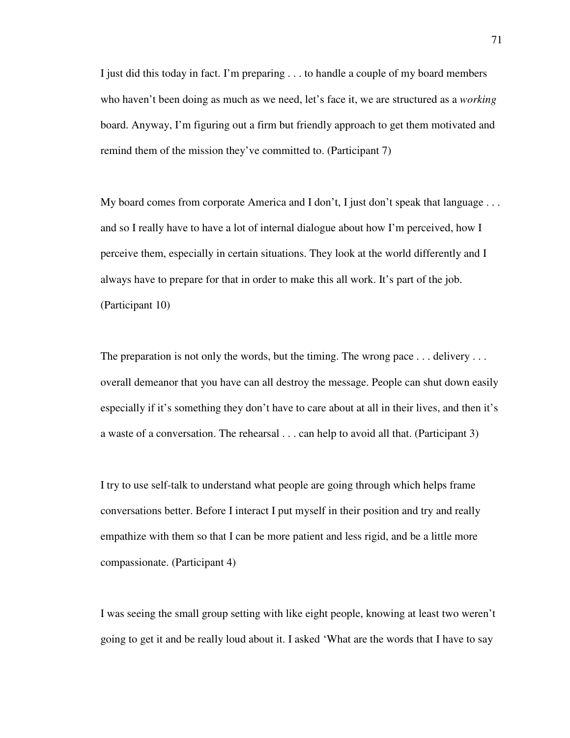I just did this today in fact. I'm preparing . . . to handle a couple of my board members who haven't been doing as much as we need, let's face it, we are structured as a *working* board. Anyway, I'm figuring out a firm but friendly approach to get them motivated and remind them of the mission they've committed to. (Participant 7)

My board comes from corporate America and I don't, I just don't speak that language ... and so I really have to have a lot of internal dialogue about how I'm perceived, how I perceive them, especially in certain situations. They look at the world differently and I always have to prepare for that in order to make this all work. It's part of the job. (Participant 10)

The preparation is not only the words, but the timing. The wrong pace . . . delivery . . . overall demeanor that you have can all destroy the message. People can shut down easily especially if it's something they don't have to care about at all in their lives, and then it's a waste of a conversation. The rehearsal . . . can help to avoid all that. (Participant 3)

I try to use self-talk to understand what people are going through which helps frame conversations better. Before I interact I put myself in their position and try and really empathize with them so that I can be more patient and less rigid, and be a little more compassionate. (Participant 4)

I was seeing the small group setting with like eight people, knowing at least two weren't going to get it and be really loud about it. I asked 'What are the words that I have to say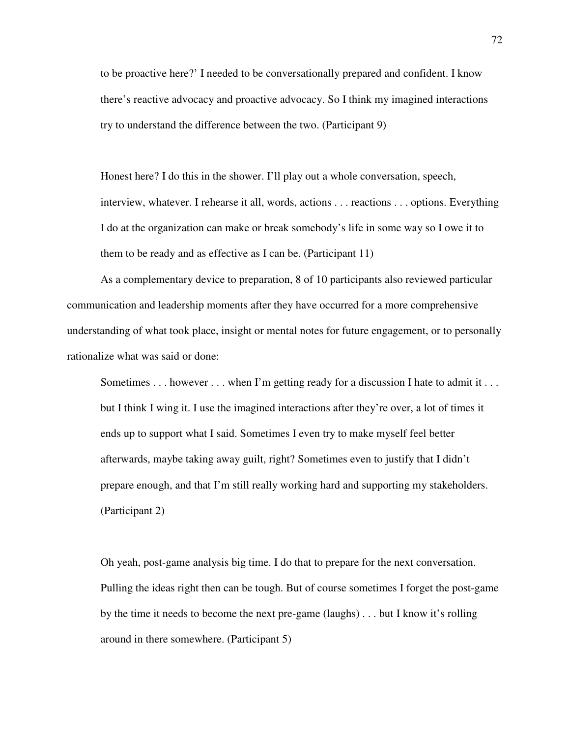to be proactive here?' I needed to be conversationally prepared and confident. I know there's reactive advocacy and proactive advocacy. So I think my imagined interactions try to understand the difference between the two. (Participant 9)

Honest here? I do this in the shower. I'll play out a whole conversation, speech, interview, whatever. I rehearse it all, words, actions . . . reactions . . . options. Everything I do at the organization can make or break somebody's life in some way so I owe it to them to be ready and as effective as I can be. (Participant 11)

As a complementary device to preparation, 8 of 10 participants also reviewed particular communication and leadership moments after they have occurred for a more comprehensive understanding of what took place, insight or mental notes for future engagement, or to personally rationalize what was said or done:

Sometimes . . . however . . . when I'm getting ready for a discussion I hate to admit it . . . but I think I wing it. I use the imagined interactions after they're over, a lot of times it ends up to support what I said. Sometimes I even try to make myself feel better afterwards, maybe taking away guilt, right? Sometimes even to justify that I didn't prepare enough, and that I'm still really working hard and supporting my stakeholders. (Participant 2)

Oh yeah, post-game analysis big time. I do that to prepare for the next conversation. Pulling the ideas right then can be tough. But of course sometimes I forget the post-game by the time it needs to become the next pre-game (laughs) . . . but I know it's rolling around in there somewhere. (Participant 5)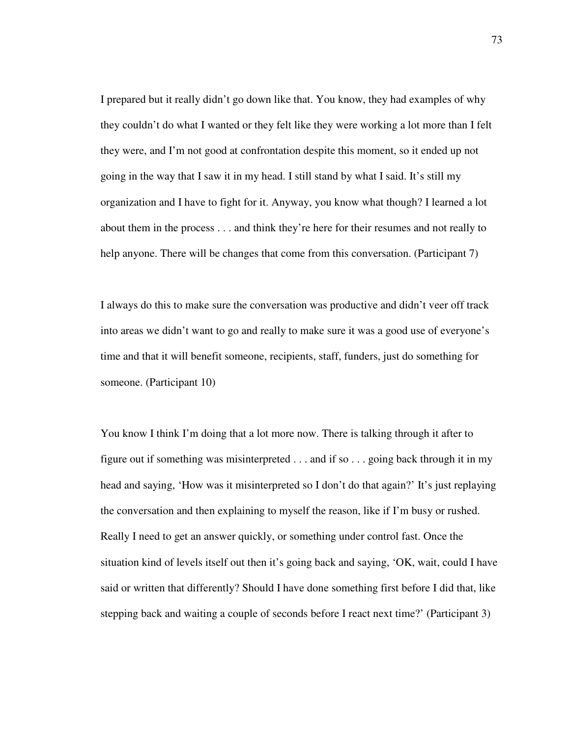I prepared but it really didn't go down like that. You know, they had examples of why they couldn't do what I wanted or they felt like they were working a lot more than I felt they were, and I'm not good at confrontation despite this moment, so it ended up not going in the way that I saw it in my head. I still stand by what I said. It's still my organization and I have to fight for it. Anyway, you know what though? I learned a lot about them in the process . . . and think they're here for their resumes and not really to help anyone. There will be changes that come from this conversation. (Participant 7)

I always do this to make sure the conversation was productive and didn't veer off track into areas we didn't want to go and really to make sure it was a good use of everyone's time and that it will benefit someone, recipients, staff, funders, just do something for someone. (Participant 10)

You know I think I'm doing that a lot more now. There is talking through it after to figure out if something was misinterpreted  $\dots$  and if so  $\dots$  going back through it in my head and saying, 'How was it misinterpreted so I don't do that again?' It's just replaying the conversation and then explaining to myself the reason, like if I'm busy or rushed. Really I need to get an answer quickly, or something under control fast. Once the situation kind of levels itself out then it's going back and saying, 'OK, wait, could I have said or written that differently? Should I have done something first before I did that, like stepping back and waiting a couple of seconds before I react next time?' (Participant 3)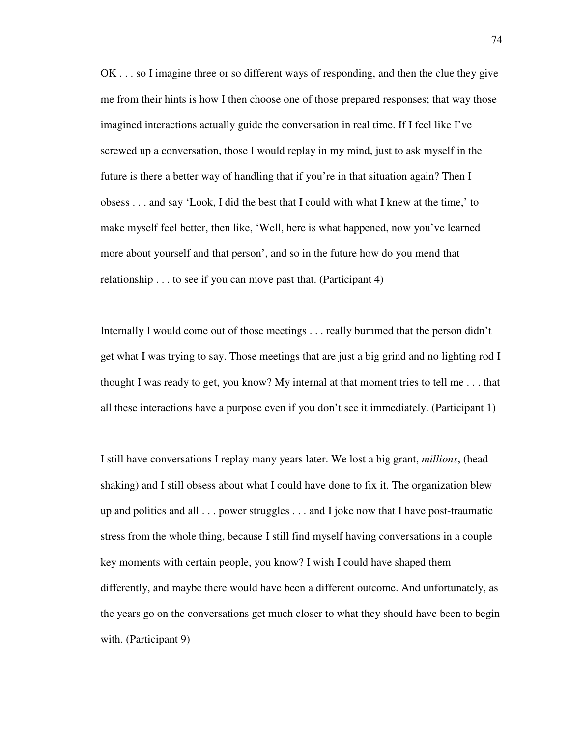OK . . . so I imagine three or so different ways of responding, and then the clue they give me from their hints is how I then choose one of those prepared responses; that way those imagined interactions actually guide the conversation in real time. If I feel like I've screwed up a conversation, those I would replay in my mind, just to ask myself in the future is there a better way of handling that if you're in that situation again? Then I obsess . . . and say 'Look, I did the best that I could with what I knew at the time,' to make myself feel better, then like, 'Well, here is what happened, now you've learned more about yourself and that person', and so in the future how do you mend that relationship . . . to see if you can move past that. (Participant 4)

Internally I would come out of those meetings . . . really bummed that the person didn't get what I was trying to say. Those meetings that are just a big grind and no lighting rod I thought I was ready to get, you know? My internal at that moment tries to tell me . . . that all these interactions have a purpose even if you don't see it immediately. (Participant 1)

I still have conversations I replay many years later. We lost a big grant, *millions*, (head shaking) and I still obsess about what I could have done to fix it. The organization blew up and politics and all . . . power struggles . . . and I joke now that I have post-traumatic stress from the whole thing, because I still find myself having conversations in a couple key moments with certain people, you know? I wish I could have shaped them differently, and maybe there would have been a different outcome. And unfortunately, as the years go on the conversations get much closer to what they should have been to begin with. (Participant 9)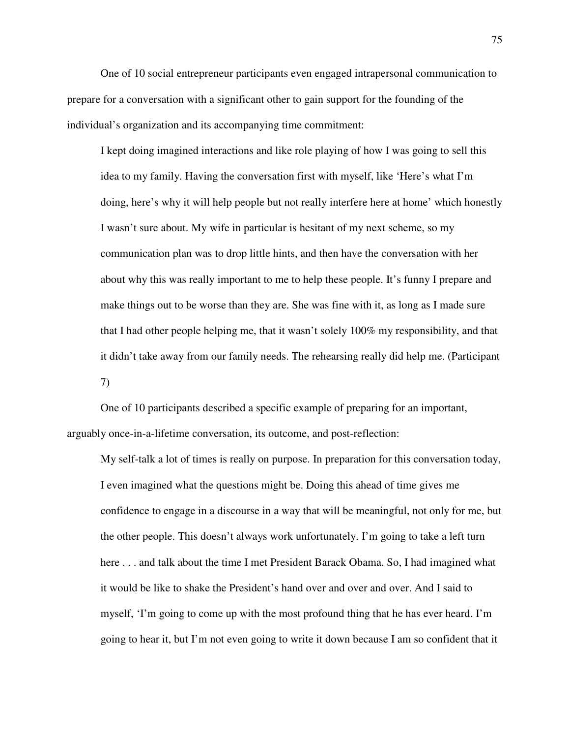One of 10 social entrepreneur participants even engaged intrapersonal communication to prepare for a conversation with a significant other to gain support for the founding of the individual's organization and its accompanying time commitment:

I kept doing imagined interactions and like role playing of how I was going to sell this idea to my family. Having the conversation first with myself, like 'Here's what I'm doing, here's why it will help people but not really interfere here at home' which honestly I wasn't sure about. My wife in particular is hesitant of my next scheme, so my communication plan was to drop little hints, and then have the conversation with her about why this was really important to me to help these people. It's funny I prepare and make things out to be worse than they are. She was fine with it, as long as I made sure that I had other people helping me, that it wasn't solely 100% my responsibility, and that it didn't take away from our family needs. The rehearsing really did help me. (Participant 7)

 One of 10 participants described a specific example of preparing for an important, arguably once-in-a-lifetime conversation, its outcome, and post-reflection:

My self-talk a lot of times is really on purpose. In preparation for this conversation today, I even imagined what the questions might be. Doing this ahead of time gives me confidence to engage in a discourse in a way that will be meaningful, not only for me, but the other people. This doesn't always work unfortunately. I'm going to take a left turn here . . . and talk about the time I met President Barack Obama. So, I had imagined what it would be like to shake the President's hand over and over and over. And I said to myself, 'I'm going to come up with the most profound thing that he has ever heard. I'm going to hear it, but I'm not even going to write it down because I am so confident that it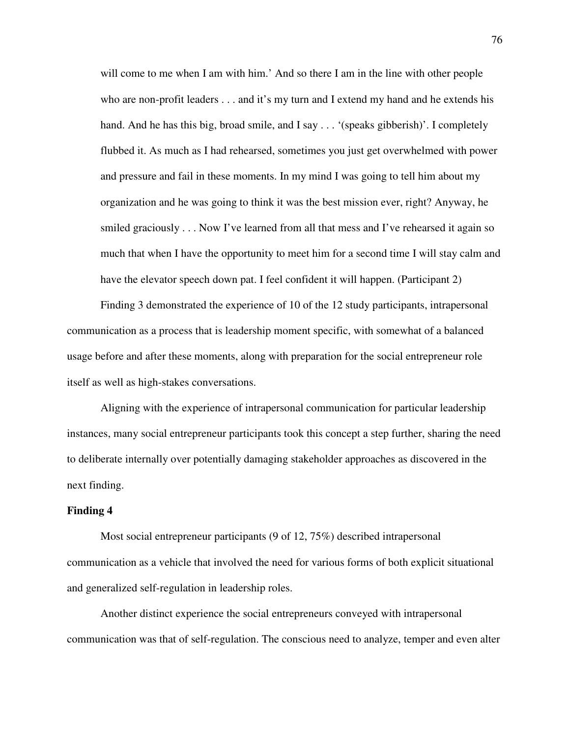will come to me when I am with him.' And so there I am in the line with other people who are non-profit leaders . . . and it's my turn and I extend my hand and he extends his hand. And he has this big, broad smile, and I say . . . '(speaks gibberish)'. I completely flubbed it. As much as I had rehearsed, sometimes you just get overwhelmed with power and pressure and fail in these moments. In my mind I was going to tell him about my organization and he was going to think it was the best mission ever, right? Anyway, he smiled graciously . . . Now I've learned from all that mess and I've rehearsed it again so much that when I have the opportunity to meet him for a second time I will stay calm and have the elevator speech down pat. I feel confident it will happen. (Participant 2)

Finding 3 demonstrated the experience of 10 of the 12 study participants, intrapersonal communication as a process that is leadership moment specific, with somewhat of a balanced usage before and after these moments, along with preparation for the social entrepreneur role itself as well as high-stakes conversations.

Aligning with the experience of intrapersonal communication for particular leadership instances, many social entrepreneur participants took this concept a step further, sharing the need to deliberate internally over potentially damaging stakeholder approaches as discovered in the next finding.

## **Finding 4**

Most social entrepreneur participants (9 of 12, 75%) described intrapersonal communication as a vehicle that involved the need for various forms of both explicit situational and generalized self-regulation in leadership roles.

Another distinct experience the social entrepreneurs conveyed with intrapersonal communication was that of self-regulation. The conscious need to analyze, temper and even alter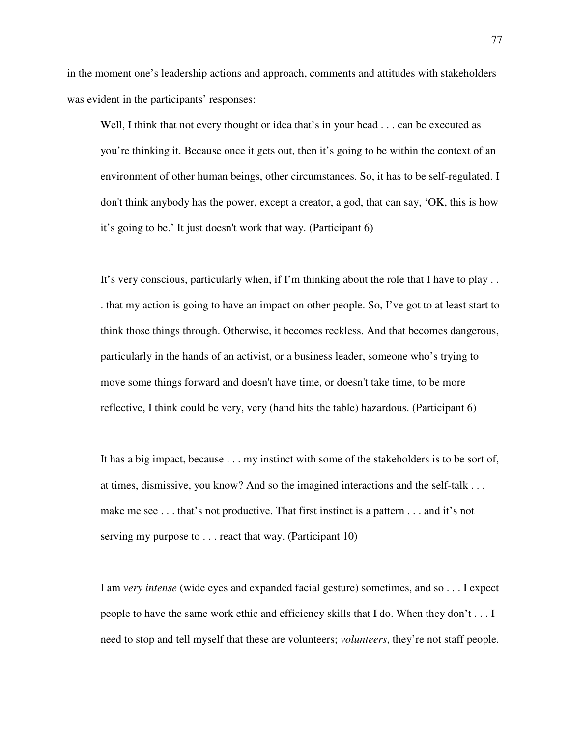in the moment one's leadership actions and approach, comments and attitudes with stakeholders was evident in the participants' responses:

Well, I think that not every thought or idea that's in your head . . . can be executed as you're thinking it. Because once it gets out, then it's going to be within the context of an environment of other human beings, other circumstances. So, it has to be self-regulated. I don't think anybody has the power, except a creator, a god, that can say, 'OK, this is how it's going to be.' It just doesn't work that way. (Participant 6)

It's very conscious, particularly when, if I'm thinking about the role that I have to play . . . that my action is going to have an impact on other people. So, I've got to at least start to think those things through. Otherwise, it becomes reckless. And that becomes dangerous, particularly in the hands of an activist, or a business leader, someone who's trying to move some things forward and doesn't have time, or doesn't take time, to be more reflective, I think could be very, very (hand hits the table) hazardous. (Participant 6)

It has a big impact, because . . . my instinct with some of the stakeholders is to be sort of, at times, dismissive, you know? And so the imagined interactions and the self-talk . . . make me see . . . that's not productive. That first instinct is a pattern . . . and it's not serving my purpose to . . . react that way. (Participant 10)

I am *very intense* (wide eyes and expanded facial gesture) sometimes, and so . . . I expect people to have the same work ethic and efficiency skills that I do. When they don't . . . I need to stop and tell myself that these are volunteers; *volunteers*, they're not staff people.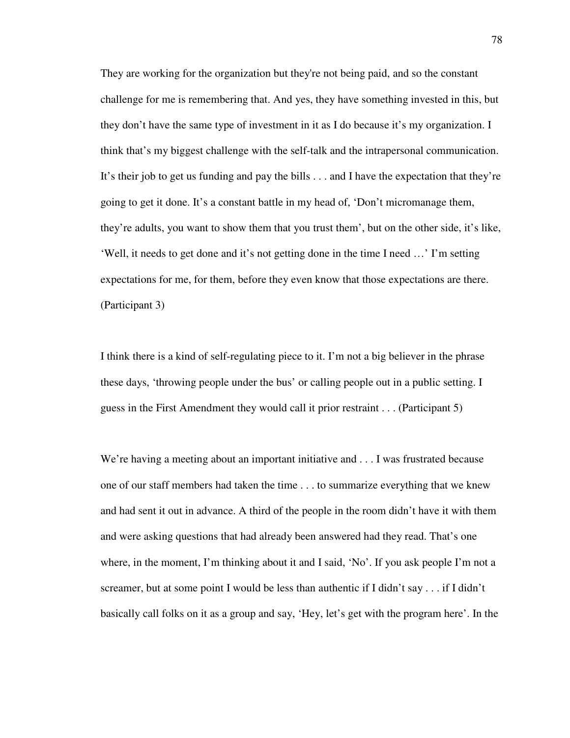They are working for the organization but they're not being paid, and so the constant challenge for me is remembering that. And yes, they have something invested in this, but they don't have the same type of investment in it as I do because it's my organization. I think that's my biggest challenge with the self-talk and the intrapersonal communication. It's their job to get us funding and pay the bills . . . and I have the expectation that they're going to get it done. It's a constant battle in my head of, 'Don't micromanage them, they're adults, you want to show them that you trust them', but on the other side, it's like, 'Well, it needs to get done and it's not getting done in the time I need …' I'm setting expectations for me, for them, before they even know that those expectations are there. (Participant 3)

I think there is a kind of self-regulating piece to it. I'm not a big believer in the phrase these days, 'throwing people under the bus' or calling people out in a public setting. I guess in the First Amendment they would call it prior restraint . . . (Participant 5)

We're having a meeting about an important initiative and . . . I was frustrated because one of our staff members had taken the time . . . to summarize everything that we knew and had sent it out in advance. A third of the people in the room didn't have it with them and were asking questions that had already been answered had they read. That's one where, in the moment, I'm thinking about it and I said, 'No'. If you ask people I'm not a screamer, but at some point I would be less than authentic if I didn't say . . . if I didn't basically call folks on it as a group and say, 'Hey, let's get with the program here'. In the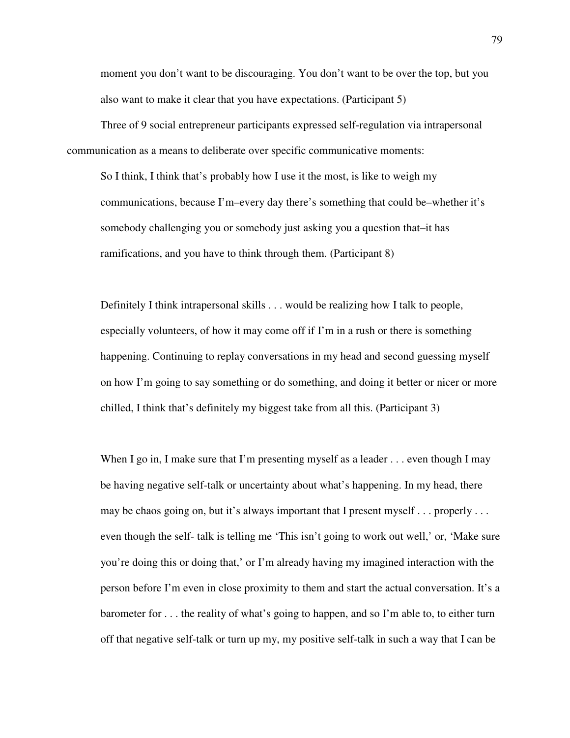moment you don't want to be discouraging. You don't want to be over the top, but you also want to make it clear that you have expectations. (Participant 5)

Three of 9 social entrepreneur participants expressed self-regulation via intrapersonal communication as a means to deliberate over specific communicative moments:

So I think, I think that's probably how I use it the most, is like to weigh my communications, because I'm–every day there's something that could be–whether it's somebody challenging you or somebody just asking you a question that–it has ramifications, and you have to think through them. (Participant 8)

Definitely I think intrapersonal skills . . . would be realizing how I talk to people, especially volunteers, of how it may come off if I'm in a rush or there is something happening. Continuing to replay conversations in my head and second guessing myself on how I'm going to say something or do something, and doing it better or nicer or more chilled, I think that's definitely my biggest take from all this. (Participant 3)

When I go in, I make sure that I'm presenting myself as a leader . . . even though I may be having negative self-talk or uncertainty about what's happening. In my head, there may be chaos going on, but it's always important that I present myself . . . properly . . . even though the self- talk is telling me 'This isn't going to work out well,' or, 'Make sure you're doing this or doing that,' or I'm already having my imagined interaction with the person before I'm even in close proximity to them and start the actual conversation. It's a barometer for . . . the reality of what's going to happen, and so I'm able to, to either turn off that negative self-talk or turn up my, my positive self-talk in such a way that I can be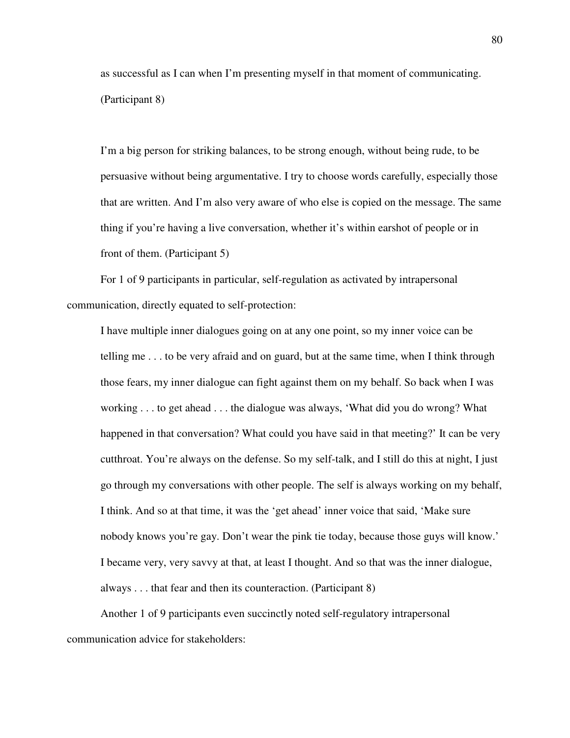as successful as I can when I'm presenting myself in that moment of communicating. (Participant 8)

I'm a big person for striking balances, to be strong enough, without being rude, to be persuasive without being argumentative. I try to choose words carefully, especially those that are written. And I'm also very aware of who else is copied on the message. The same thing if you're having a live conversation, whether it's within earshot of people or in front of them. (Participant 5)

For 1 of 9 participants in particular, self-regulation as activated by intrapersonal communication, directly equated to self-protection:

I have multiple inner dialogues going on at any one point, so my inner voice can be telling me . . . to be very afraid and on guard, but at the same time, when I think through those fears, my inner dialogue can fight against them on my behalf. So back when I was working . . . to get ahead . . . the dialogue was always, 'What did you do wrong? What happened in that conversation? What could you have said in that meeting?' It can be very cutthroat. You're always on the defense. So my self-talk, and I still do this at night, I just go through my conversations with other people. The self is always working on my behalf, I think. And so at that time, it was the 'get ahead' inner voice that said, 'Make sure nobody knows you're gay. Don't wear the pink tie today, because those guys will know.' I became very, very savvy at that, at least I thought. And so that was the inner dialogue, always . . . that fear and then its counteraction. (Participant 8)

Another 1 of 9 participants even succinctly noted self-regulatory intrapersonal communication advice for stakeholders: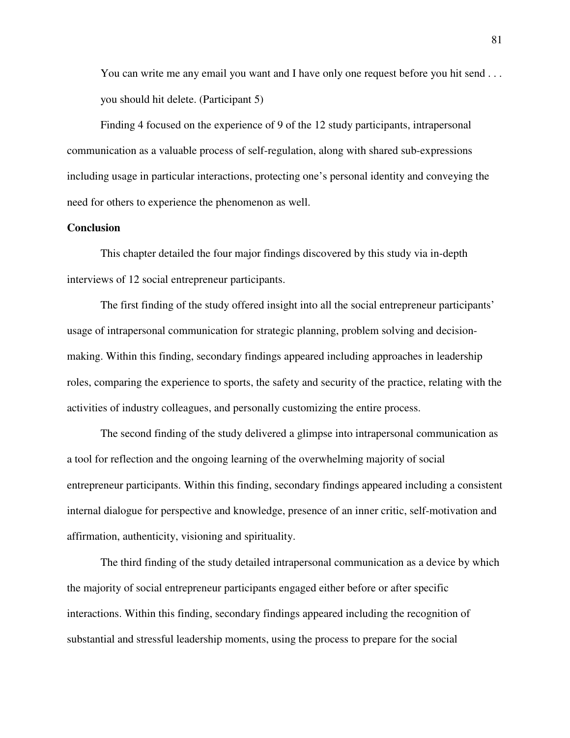You can write me any email you want and I have only one request before you hit send . . . you should hit delete. (Participant 5)

Finding 4 focused on the experience of 9 of the 12 study participants, intrapersonal communication as a valuable process of self-regulation, along with shared sub-expressions including usage in particular interactions, protecting one's personal identity and conveying the need for others to experience the phenomenon as well.

# **Conclusion**

This chapter detailed the four major findings discovered by this study via in-depth interviews of 12 social entrepreneur participants.

The first finding of the study offered insight into all the social entrepreneur participants' usage of intrapersonal communication for strategic planning, problem solving and decisionmaking. Within this finding, secondary findings appeared including approaches in leadership roles, comparing the experience to sports, the safety and security of the practice, relating with the activities of industry colleagues, and personally customizing the entire process.

The second finding of the study delivered a glimpse into intrapersonal communication as a tool for reflection and the ongoing learning of the overwhelming majority of social entrepreneur participants. Within this finding, secondary findings appeared including a consistent internal dialogue for perspective and knowledge, presence of an inner critic, self-motivation and affirmation, authenticity, visioning and spirituality.

The third finding of the study detailed intrapersonal communication as a device by which the majority of social entrepreneur participants engaged either before or after specific interactions. Within this finding, secondary findings appeared including the recognition of substantial and stressful leadership moments, using the process to prepare for the social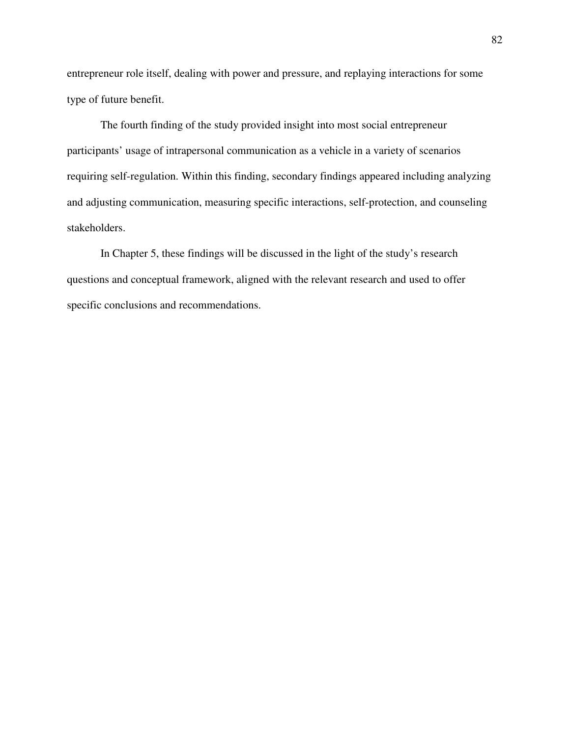entrepreneur role itself, dealing with power and pressure, and replaying interactions for some type of future benefit.

The fourth finding of the study provided insight into most social entrepreneur participants' usage of intrapersonal communication as a vehicle in a variety of scenarios requiring self-regulation. Within this finding, secondary findings appeared including analyzing and adjusting communication, measuring specific interactions, self-protection, and counseling stakeholders.

In Chapter 5, these findings will be discussed in the light of the study's research questions and conceptual framework, aligned with the relevant research and used to offer specific conclusions and recommendations.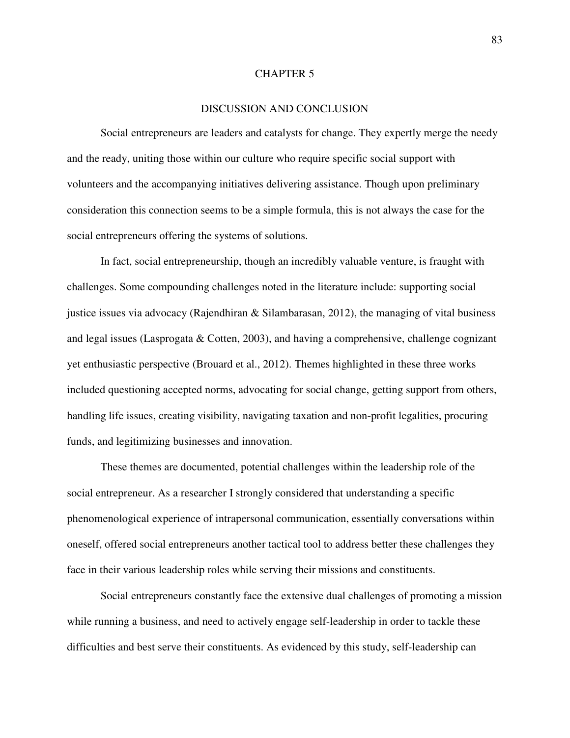### CHAPTER 5

# DISCUSSION AND CONCLUSION

Social entrepreneurs are leaders and catalysts for change. They expertly merge the needy and the ready, uniting those within our culture who require specific social support with volunteers and the accompanying initiatives delivering assistance. Though upon preliminary consideration this connection seems to be a simple formula, this is not always the case for the social entrepreneurs offering the systems of solutions.

In fact, social entrepreneurship, though an incredibly valuable venture, is fraught with challenges. Some compounding challenges noted in the literature include: supporting social justice issues via advocacy (Rajendhiran  $\&$  Silambarasan, 2012), the managing of vital business and legal issues (Lasprogata & Cotten, 2003), and having a comprehensive, challenge cognizant yet enthusiastic perspective (Brouard et al., 2012). Themes highlighted in these three works included questioning accepted norms, advocating for social change, getting support from others, handling life issues, creating visibility, navigating taxation and non-profit legalities, procuring funds, and legitimizing businesses and innovation.

These themes are documented, potential challenges within the leadership role of the social entrepreneur. As a researcher I strongly considered that understanding a specific phenomenological experience of intrapersonal communication, essentially conversations within oneself, offered social entrepreneurs another tactical tool to address better these challenges they face in their various leadership roles while serving their missions and constituents.

Social entrepreneurs constantly face the extensive dual challenges of promoting a mission while running a business, and need to actively engage self-leadership in order to tackle these difficulties and best serve their constituents. As evidenced by this study, self-leadership can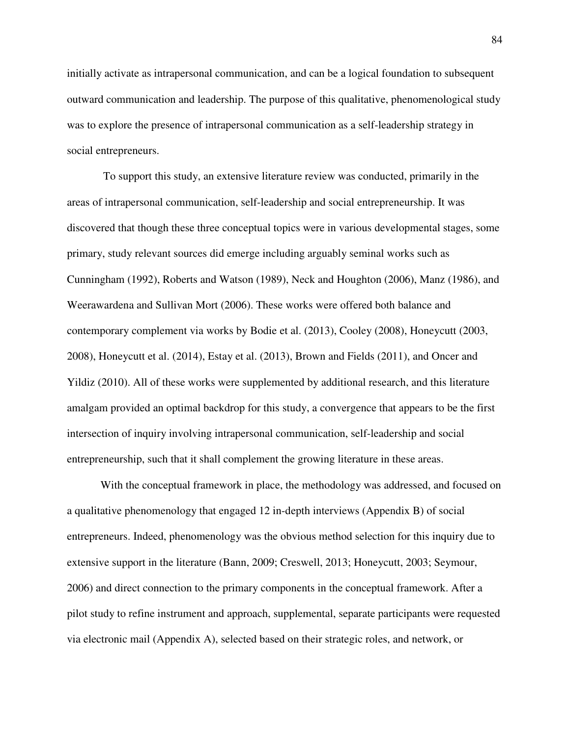initially activate as intrapersonal communication, and can be a logical foundation to subsequent outward communication and leadership. The purpose of this qualitative, phenomenological study was to explore the presence of intrapersonal communication as a self-leadership strategy in social entrepreneurs.

 To support this study, an extensive literature review was conducted, primarily in the areas of intrapersonal communication, self-leadership and social entrepreneurship. It was discovered that though these three conceptual topics were in various developmental stages, some primary, study relevant sources did emerge including arguably seminal works such as Cunningham (1992), Roberts and Watson (1989), Neck and Houghton (2006), Manz (1986), and Weerawardena and Sullivan Mort (2006). These works were offered both balance and contemporary complement via works by Bodie et al. (2013), Cooley (2008), Honeycutt (2003, 2008), Honeycutt et al. (2014), Estay et al. (2013), Brown and Fields (2011), and Oncer and Yildiz (2010). All of these works were supplemented by additional research, and this literature amalgam provided an optimal backdrop for this study, a convergence that appears to be the first intersection of inquiry involving intrapersonal communication, self-leadership and social entrepreneurship, such that it shall complement the growing literature in these areas.

With the conceptual framework in place, the methodology was addressed, and focused on a qualitative phenomenology that engaged 12 in-depth interviews (Appendix B) of social entrepreneurs. Indeed, phenomenology was the obvious method selection for this inquiry due to extensive support in the literature (Bann, 2009; Creswell, 2013; Honeycutt, 2003; Seymour, 2006) and direct connection to the primary components in the conceptual framework. After a pilot study to refine instrument and approach, supplemental, separate participants were requested via electronic mail (Appendix A), selected based on their strategic roles, and network, or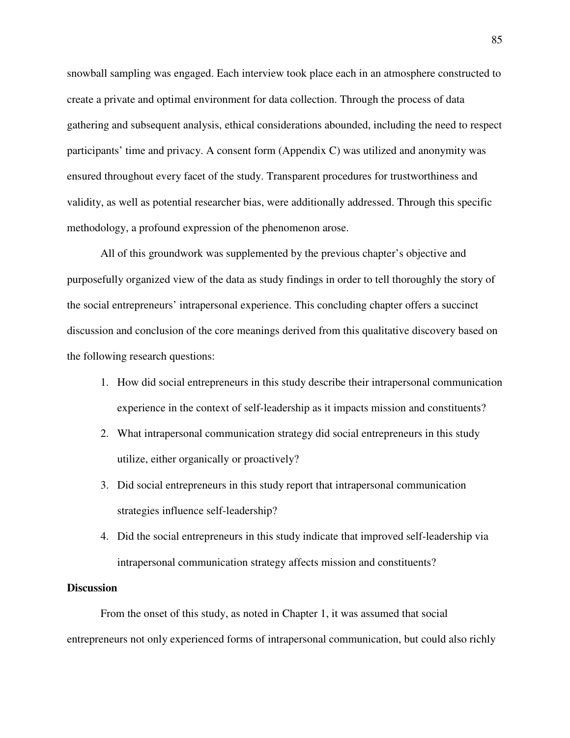snowball sampling was engaged. Each interview took place each in an atmosphere constructed to create a private and optimal environment for data collection. Through the process of data gathering and subsequent analysis, ethical considerations abounded, including the need to respect participants' time and privacy. A consent form (Appendix C) was utilized and anonymity was ensured throughout every facet of the study. Transparent procedures for trustworthiness and validity, as well as potential researcher bias, were additionally addressed. Through this specific methodology, a profound expression of the phenomenon arose.

All of this groundwork was supplemented by the previous chapter's objective and purposefully organized view of the data as study findings in order to tell thoroughly the story of the social entrepreneurs' intrapersonal experience. This concluding chapter offers a succinct discussion and conclusion of the core meanings derived from this qualitative discovery based on the following research questions:

- 1. How did social entrepreneurs in this study describe their intrapersonal communication experience in the context of self-leadership as it impacts mission and constituents?
- 2. What intrapersonal communication strategy did social entrepreneurs in this study utilize, either organically or proactively?
- 3. Did social entrepreneurs in this study report that intrapersonal communication strategies influence self-leadership?
- 4. Did the social entrepreneurs in this study indicate that improved self-leadership via intrapersonal communication strategy affects mission and constituents?

### **Discussion**

From the onset of this study, as noted in Chapter 1, it was assumed that social entrepreneurs not only experienced forms of intrapersonal communication, but could also richly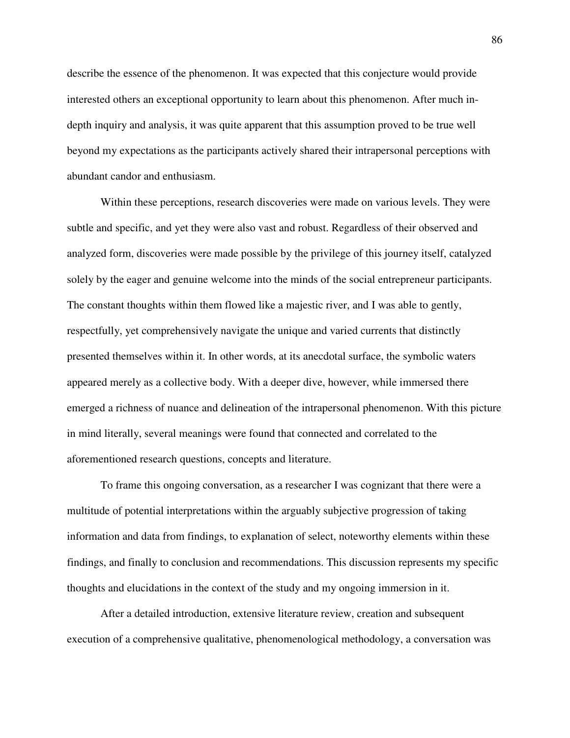describe the essence of the phenomenon. It was expected that this conjecture would provide interested others an exceptional opportunity to learn about this phenomenon. After much indepth inquiry and analysis, it was quite apparent that this assumption proved to be true well beyond my expectations as the participants actively shared their intrapersonal perceptions with abundant candor and enthusiasm.

Within these perceptions, research discoveries were made on various levels. They were subtle and specific, and yet they were also vast and robust. Regardless of their observed and analyzed form, discoveries were made possible by the privilege of this journey itself, catalyzed solely by the eager and genuine welcome into the minds of the social entrepreneur participants. The constant thoughts within them flowed like a majestic river, and I was able to gently, respectfully, yet comprehensively navigate the unique and varied currents that distinctly presented themselves within it. In other words, at its anecdotal surface, the symbolic waters appeared merely as a collective body. With a deeper dive, however, while immersed there emerged a richness of nuance and delineation of the intrapersonal phenomenon. With this picture in mind literally, several meanings were found that connected and correlated to the aforementioned research questions, concepts and literature.

To frame this ongoing conversation, as a researcher I was cognizant that there were a multitude of potential interpretations within the arguably subjective progression of taking information and data from findings, to explanation of select, noteworthy elements within these findings, and finally to conclusion and recommendations. This discussion represents my specific thoughts and elucidations in the context of the study and my ongoing immersion in it.

After a detailed introduction, extensive literature review, creation and subsequent execution of a comprehensive qualitative, phenomenological methodology, a conversation was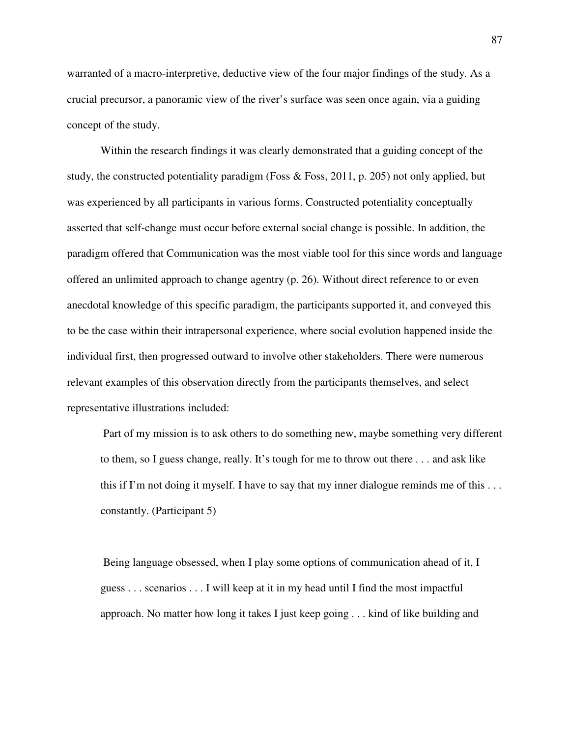warranted of a macro-interpretive, deductive view of the four major findings of the study. As a crucial precursor, a panoramic view of the river's surface was seen once again, via a guiding concept of the study.

Within the research findings it was clearly demonstrated that a guiding concept of the study, the constructed potentiality paradigm (Foss & Foss, 2011, p. 205) not only applied, but was experienced by all participants in various forms. Constructed potentiality conceptually asserted that self-change must occur before external social change is possible. In addition, the paradigm offered that Communication was the most viable tool for this since words and language offered an unlimited approach to change agentry (p. 26). Without direct reference to or even anecdotal knowledge of this specific paradigm, the participants supported it, and conveyed this to be the case within their intrapersonal experience, where social evolution happened inside the individual first, then progressed outward to involve other stakeholders. There were numerous relevant examples of this observation directly from the participants themselves, and select representative illustrations included:

 Part of my mission is to ask others to do something new, maybe something very different to them, so I guess change, really. It's tough for me to throw out there . . . and ask like this if I'm not doing it myself. I have to say that my inner dialogue reminds me of this  $\dots$ constantly. (Participant 5)

 Being language obsessed, when I play some options of communication ahead of it, I guess . . . scenarios . . . I will keep at it in my head until I find the most impactful approach. No matter how long it takes I just keep going . . . kind of like building and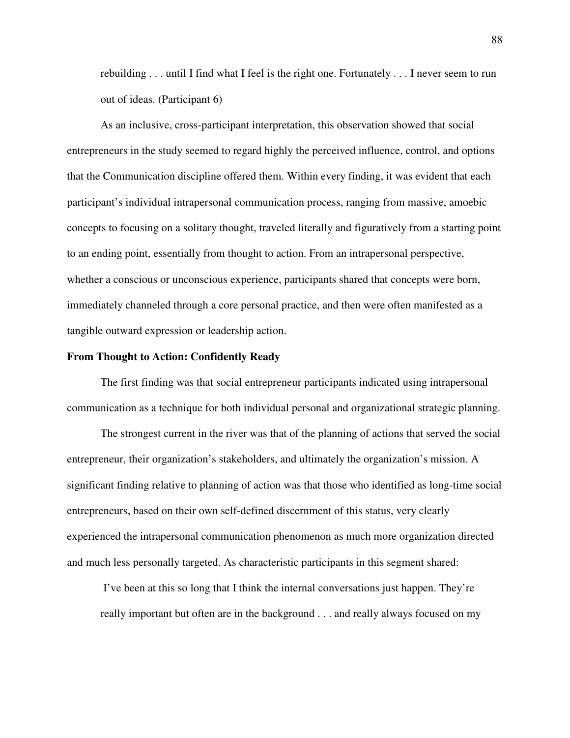rebuilding . . . until I find what I feel is the right one. Fortunately . . . I never seem to run out of ideas. (Participant 6)

As an inclusive, cross-participant interpretation, this observation showed that social entrepreneurs in the study seemed to regard highly the perceived influence, control, and options that the Communication discipline offered them. Within every finding, it was evident that each participant's individual intrapersonal communication process, ranging from massive, amoebic concepts to focusing on a solitary thought, traveled literally and figuratively from a starting point to an ending point, essentially from thought to action. From an intrapersonal perspective, whether a conscious or unconscious experience, participants shared that concepts were born, immediately channeled through a core personal practice, and then were often manifested as a tangible outward expression or leadership action.

### **From Thought to Action: Confidently Ready**

The first finding was that social entrepreneur participants indicated using intrapersonal communication as a technique for both individual personal and organizational strategic planning.

The strongest current in the river was that of the planning of actions that served the social entrepreneur, their organization's stakeholders, and ultimately the organization's mission. A significant finding relative to planning of action was that those who identified as long-time social entrepreneurs, based on their own self-defined discernment of this status, very clearly experienced the intrapersonal communication phenomenon as much more organization directed and much less personally targeted. As characteristic participants in this segment shared:

 I've been at this so long that I think the internal conversations just happen. They're really important but often are in the background . . . and really always focused on my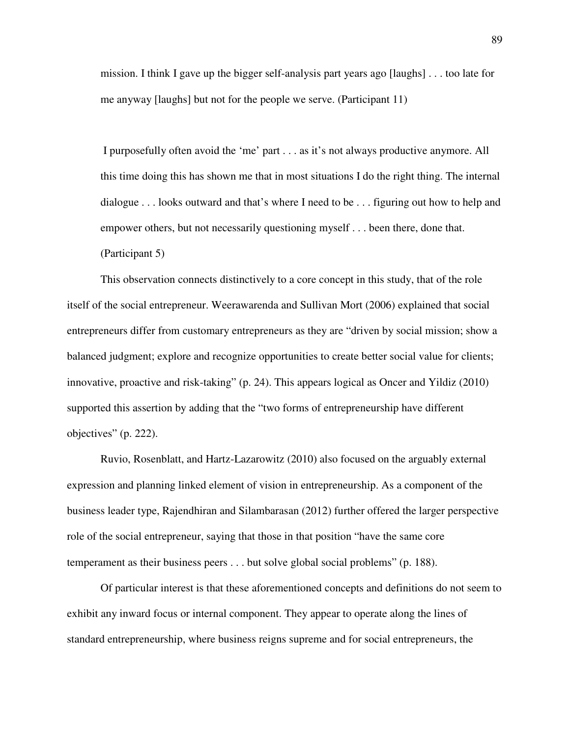mission. I think I gave up the bigger self-analysis part years ago [laughs] . . . too late for me anyway [laughs] but not for the people we serve. (Participant 11)

 I purposefully often avoid the 'me' part . . . as it's not always productive anymore. All this time doing this has shown me that in most situations I do the right thing. The internal dialogue . . . looks outward and that's where I need to be . . . figuring out how to help and empower others, but not necessarily questioning myself . . . been there, done that.

(Participant 5)

This observation connects distinctively to a core concept in this study, that of the role itself of the social entrepreneur. Weerawarenda and Sullivan Mort (2006) explained that social entrepreneurs differ from customary entrepreneurs as they are "driven by social mission; show a balanced judgment; explore and recognize opportunities to create better social value for clients; innovative, proactive and risk-taking" (p. 24). This appears logical as Oncer and Yildiz (2010) supported this assertion by adding that the "two forms of entrepreneurship have different objectives" (p. 222).

Ruvio, Rosenblatt, and Hartz-Lazarowitz (2010) also focused on the arguably external expression and planning linked element of vision in entrepreneurship. As a component of the business leader type, Rajendhiran and Silambarasan (2012) further offered the larger perspective role of the social entrepreneur, saying that those in that position "have the same core temperament as their business peers . . . but solve global social problems" (p. 188).

Of particular interest is that these aforementioned concepts and definitions do not seem to exhibit any inward focus or internal component. They appear to operate along the lines of standard entrepreneurship, where business reigns supreme and for social entrepreneurs, the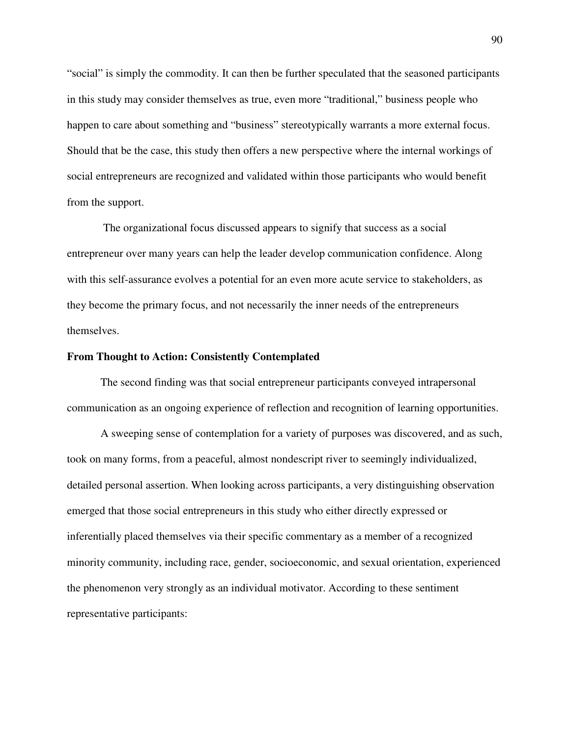"social" is simply the commodity. It can then be further speculated that the seasoned participants in this study may consider themselves as true, even more "traditional," business people who happen to care about something and "business" stereotypically warrants a more external focus. Should that be the case, this study then offers a new perspective where the internal workings of social entrepreneurs are recognized and validated within those participants who would benefit from the support.

 The organizational focus discussed appears to signify that success as a social entrepreneur over many years can help the leader develop communication confidence. Along with this self-assurance evolves a potential for an even more acute service to stakeholders, as they become the primary focus, and not necessarily the inner needs of the entrepreneurs themselves.

## **From Thought to Action: Consistently Contemplated**

The second finding was that social entrepreneur participants conveyed intrapersonal communication as an ongoing experience of reflection and recognition of learning opportunities.

A sweeping sense of contemplation for a variety of purposes was discovered, and as such, took on many forms, from a peaceful, almost nondescript river to seemingly individualized, detailed personal assertion. When looking across participants, a very distinguishing observation emerged that those social entrepreneurs in this study who either directly expressed or inferentially placed themselves via their specific commentary as a member of a recognized minority community, including race, gender, socioeconomic, and sexual orientation, experienced the phenomenon very strongly as an individual motivator. According to these sentiment representative participants: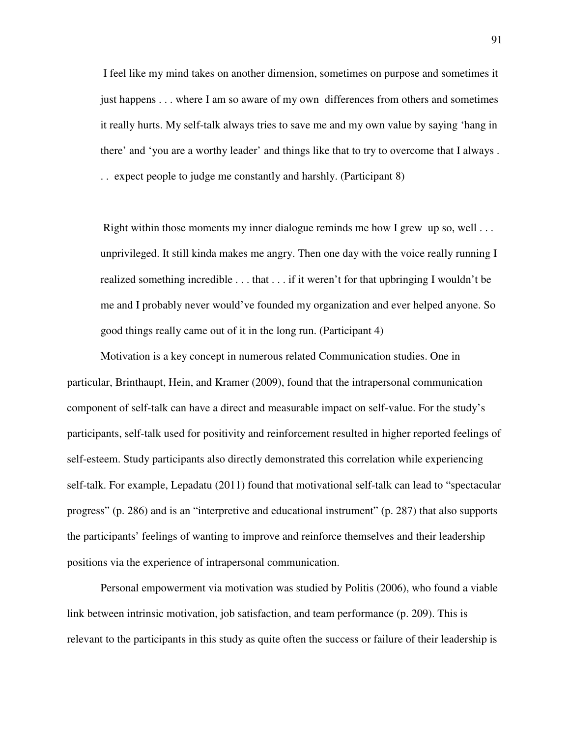I feel like my mind takes on another dimension, sometimes on purpose and sometimes it just happens . . . where I am so aware of my own differences from others and sometimes it really hurts. My self-talk always tries to save me and my own value by saying 'hang in there' and 'you are a worthy leader' and things like that to try to overcome that I always . . . expect people to judge me constantly and harshly. (Participant 8)

Right within those moments my inner dialogue reminds me how I grew up so, well  $\dots$ unprivileged. It still kinda makes me angry. Then one day with the voice really running I realized something incredible . . . that . . . if it weren't for that upbringing I wouldn't be me and I probably never would've founded my organization and ever helped anyone. So good things really came out of it in the long run. (Participant 4)

Motivation is a key concept in numerous related Communication studies. One in particular, Brinthaupt, Hein, and Kramer (2009), found that the intrapersonal communication component of self-talk can have a direct and measurable impact on self-value. For the study's participants, self-talk used for positivity and reinforcement resulted in higher reported feelings of self-esteem. Study participants also directly demonstrated this correlation while experiencing self-talk. For example, Lepadatu (2011) found that motivational self-talk can lead to "spectacular progress" (p. 286) and is an "interpretive and educational instrument" (p. 287) that also supports the participants' feelings of wanting to improve and reinforce themselves and their leadership positions via the experience of intrapersonal communication.

Personal empowerment via motivation was studied by Politis (2006), who found a viable link between intrinsic motivation, job satisfaction, and team performance (p. 209). This is relevant to the participants in this study as quite often the success or failure of their leadership is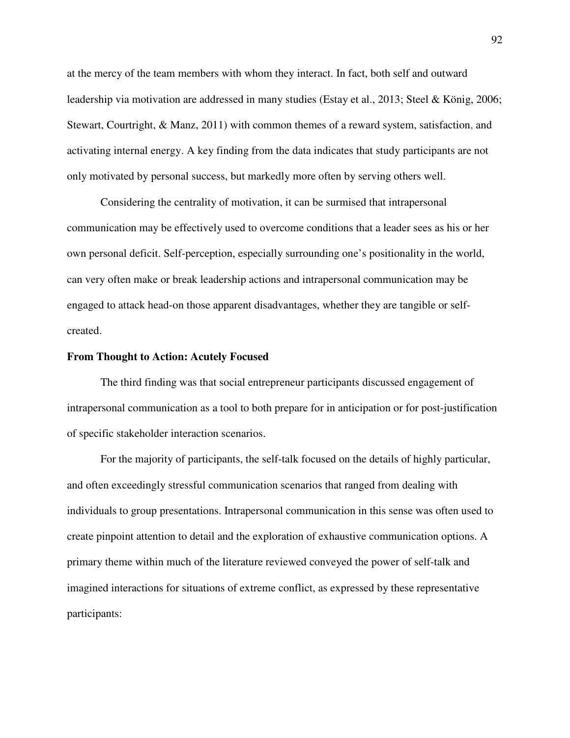at the mercy of the team members with whom they interact. In fact, both self and outward leadership via motivation are addressed in many studies (Estay et al., 2013; Steel & König, 2006; Stewart, Courtright, & Manz, 2011) with common themes of a reward system, satisfaction, and activating internal energy. A key finding from the data indicates that study participants are not only motivated by personal success, but markedly more often by serving others well.

Considering the centrality of motivation, it can be surmised that intrapersonal communication may be effectively used to overcome conditions that a leader sees as his or her own personal deficit. Self-perception, especially surrounding one's positionality in the world, can very often make or break leadership actions and intrapersonal communication may be engaged to attack head-on those apparent disadvantages, whether they are tangible or selfcreated.

### **From Thought to Action: Acutely Focused**

The third finding was that social entrepreneur participants discussed engagement of intrapersonal communication as a tool to both prepare for in anticipation or for post-justification of specific stakeholder interaction scenarios.

For the majority of participants, the self-talk focused on the details of highly particular, and often exceedingly stressful communication scenarios that ranged from dealing with individuals to group presentations. Intrapersonal communication in this sense was often used to create pinpoint attention to detail and the exploration of exhaustive communication options. A primary theme within much of the literature reviewed conveyed the power of self-talk and imagined interactions for situations of extreme conflict, as expressed by these representative participants: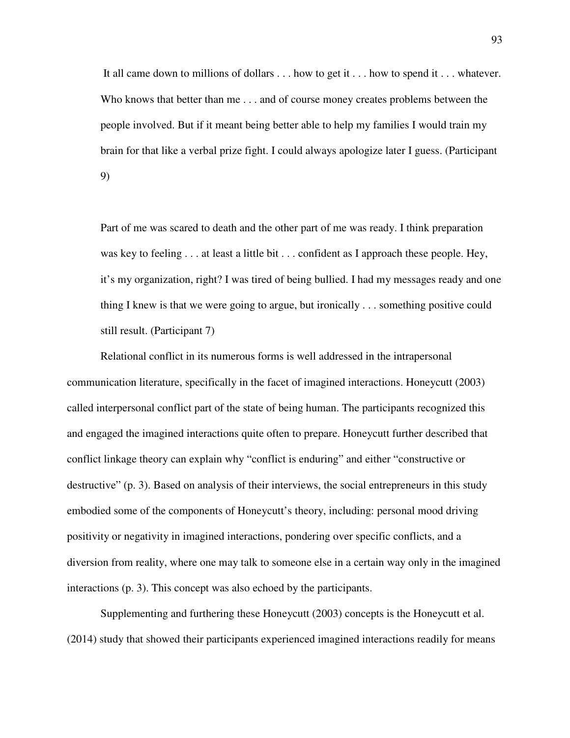It all came down to millions of dollars . . . how to get it . . . how to spend it . . . whatever. Who knows that better than me . . . and of course money creates problems between the people involved. But if it meant being better able to help my families I would train my brain for that like a verbal prize fight. I could always apologize later I guess. (Participant 9)

Part of me was scared to death and the other part of me was ready. I think preparation was key to feeling . . . at least a little bit . . . confident as I approach these people. Hey, it's my organization, right? I was tired of being bullied. I had my messages ready and one thing I knew is that we were going to argue, but ironically . . . something positive could still result. (Participant 7)

Relational conflict in its numerous forms is well addressed in the intrapersonal communication literature, specifically in the facet of imagined interactions. Honeycutt (2003) called interpersonal conflict part of the state of being human. The participants recognized this and engaged the imagined interactions quite often to prepare. Honeycutt further described that conflict linkage theory can explain why "conflict is enduring" and either "constructive or destructive" (p. 3). Based on analysis of their interviews, the social entrepreneurs in this study embodied some of the components of Honeycutt's theory, including: personal mood driving positivity or negativity in imagined interactions, pondering over specific conflicts, and a diversion from reality, where one may talk to someone else in a certain way only in the imagined interactions (p. 3). This concept was also echoed by the participants.

Supplementing and furthering these Honeycutt (2003) concepts is the Honeycutt et al. (2014) study that showed their participants experienced imagined interactions readily for means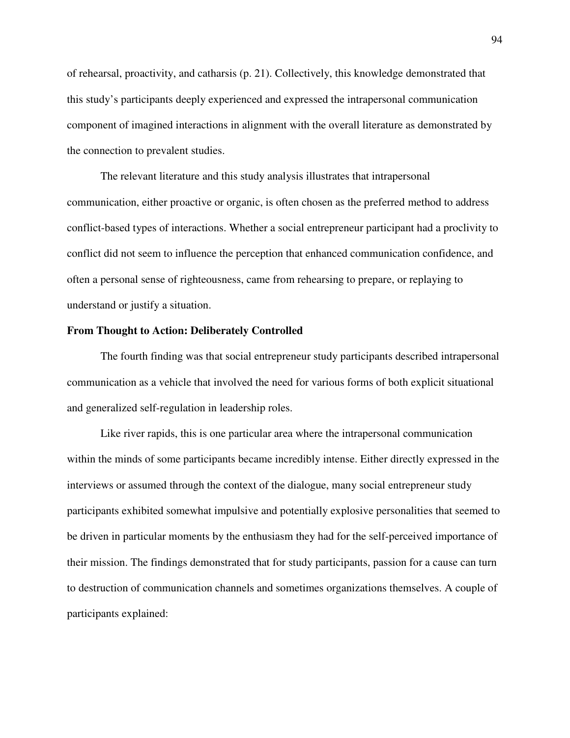of rehearsal, proactivity, and catharsis (p. 21). Collectively, this knowledge demonstrated that this study's participants deeply experienced and expressed the intrapersonal communication component of imagined interactions in alignment with the overall literature as demonstrated by the connection to prevalent studies.

The relevant literature and this study analysis illustrates that intrapersonal communication, either proactive or organic, is often chosen as the preferred method to address conflict-based types of interactions. Whether a social entrepreneur participant had a proclivity to conflict did not seem to influence the perception that enhanced communication confidence, and often a personal sense of righteousness, came from rehearsing to prepare, or replaying to understand or justify a situation.

## **From Thought to Action: Deliberately Controlled**

The fourth finding was that social entrepreneur study participants described intrapersonal communication as a vehicle that involved the need for various forms of both explicit situational and generalized self-regulation in leadership roles.

Like river rapids, this is one particular area where the intrapersonal communication within the minds of some participants became incredibly intense. Either directly expressed in the interviews or assumed through the context of the dialogue, many social entrepreneur study participants exhibited somewhat impulsive and potentially explosive personalities that seemed to be driven in particular moments by the enthusiasm they had for the self-perceived importance of their mission. The findings demonstrated that for study participants, passion for a cause can turn to destruction of communication channels and sometimes organizations themselves. A couple of participants explained: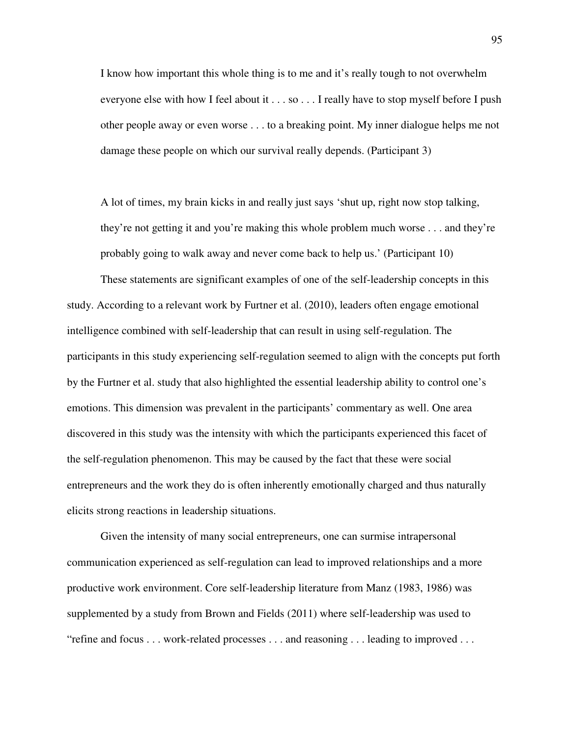I know how important this whole thing is to me and it's really tough to not overwhelm everyone else with how I feel about it . . . so . . . I really have to stop myself before I push other people away or even worse . . . to a breaking point. My inner dialogue helps me not damage these people on which our survival really depends. (Participant 3)

A lot of times, my brain kicks in and really just says 'shut up, right now stop talking, they're not getting it and you're making this whole problem much worse . . . and they're probably going to walk away and never come back to help us.' (Participant 10)

These statements are significant examples of one of the self-leadership concepts in this study. According to a relevant work by Furtner et al. (2010), leaders often engage emotional intelligence combined with self-leadership that can result in using self-regulation. The participants in this study experiencing self-regulation seemed to align with the concepts put forth by the Furtner et al. study that also highlighted the essential leadership ability to control one's emotions. This dimension was prevalent in the participants' commentary as well. One area discovered in this study was the intensity with which the participants experienced this facet of the self-regulation phenomenon. This may be caused by the fact that these were social entrepreneurs and the work they do is often inherently emotionally charged and thus naturally elicits strong reactions in leadership situations.

Given the intensity of many social entrepreneurs, one can surmise intrapersonal communication experienced as self-regulation can lead to improved relationships and a more productive work environment. Core self-leadership literature from Manz (1983, 1986) was supplemented by a study from Brown and Fields (2011) where self-leadership was used to "refine and focus . . . work-related processes . . . and reasoning . . . leading to improved . . .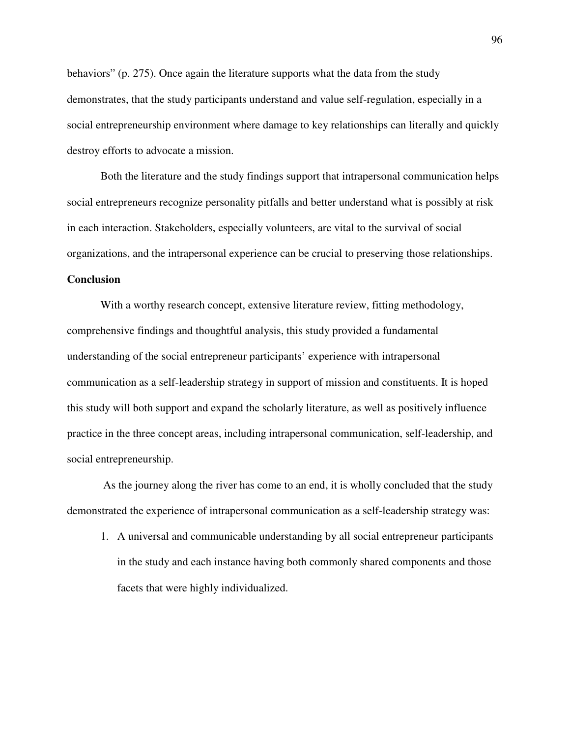behaviors" (p. 275). Once again the literature supports what the data from the study demonstrates, that the study participants understand and value self-regulation, especially in a social entrepreneurship environment where damage to key relationships can literally and quickly destroy efforts to advocate a mission.

Both the literature and the study findings support that intrapersonal communication helps social entrepreneurs recognize personality pitfalls and better understand what is possibly at risk in each interaction. Stakeholders, especially volunteers, are vital to the survival of social organizations, and the intrapersonal experience can be crucial to preserving those relationships.

## **Conclusion**

With a worthy research concept, extensive literature review, fitting methodology, comprehensive findings and thoughtful analysis, this study provided a fundamental understanding of the social entrepreneur participants' experience with intrapersonal communication as a self-leadership strategy in support of mission and constituents. It is hoped this study will both support and expand the scholarly literature, as well as positively influence practice in the three concept areas, including intrapersonal communication, self-leadership, and social entrepreneurship.

 As the journey along the river has come to an end, it is wholly concluded that the study demonstrated the experience of intrapersonal communication as a self-leadership strategy was:

1. A universal and communicable understanding by all social entrepreneur participants in the study and each instance having both commonly shared components and those facets that were highly individualized.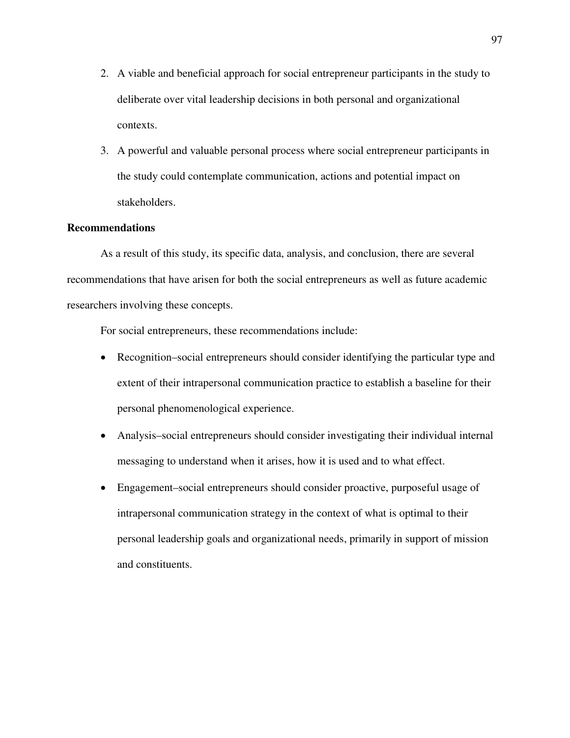- 2. A viable and beneficial approach for social entrepreneur participants in the study to deliberate over vital leadership decisions in both personal and organizational contexts.
- 3. A powerful and valuable personal process where social entrepreneur participants in the study could contemplate communication, actions and potential impact on stakeholders.

# **Recommendations**

As a result of this study, its specific data, analysis, and conclusion, there are several recommendations that have arisen for both the social entrepreneurs as well as future academic researchers involving these concepts.

For social entrepreneurs, these recommendations include:

- Recognition–social entrepreneurs should consider identifying the particular type and extent of their intrapersonal communication practice to establish a baseline for their personal phenomenological experience.
- Analysis–social entrepreneurs should consider investigating their individual internal messaging to understand when it arises, how it is used and to what effect.
- Engagement–social entrepreneurs should consider proactive, purposeful usage of intrapersonal communication strategy in the context of what is optimal to their personal leadership goals and organizational needs, primarily in support of mission and constituents.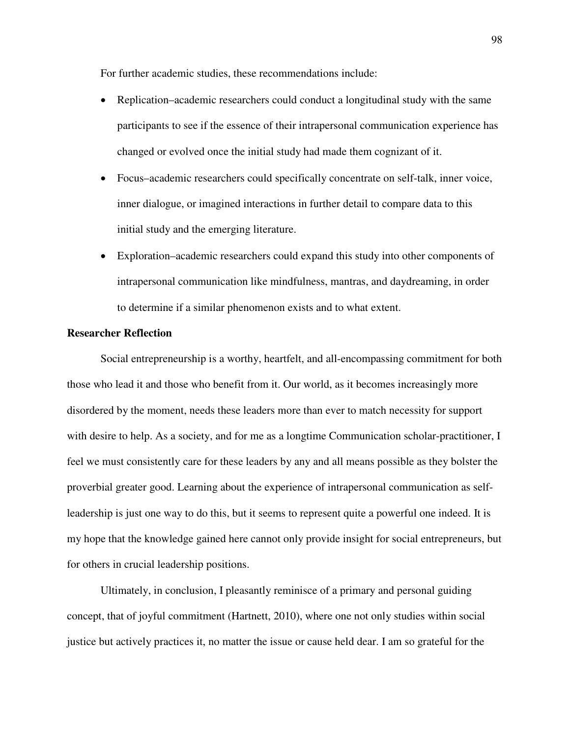For further academic studies, these recommendations include:

- Replication–academic researchers could conduct a longitudinal study with the same participants to see if the essence of their intrapersonal communication experience has changed or evolved once the initial study had made them cognizant of it.
- Focus–academic researchers could specifically concentrate on self-talk, inner voice, inner dialogue, or imagined interactions in further detail to compare data to this initial study and the emerging literature.
- Exploration–academic researchers could expand this study into other components of intrapersonal communication like mindfulness, mantras, and daydreaming, in order to determine if a similar phenomenon exists and to what extent.

# **Researcher Reflection**

Social entrepreneurship is a worthy, heartfelt, and all-encompassing commitment for both those who lead it and those who benefit from it. Our world, as it becomes increasingly more disordered by the moment, needs these leaders more than ever to match necessity for support with desire to help. As a society, and for me as a longtime Communication scholar-practitioner, I feel we must consistently care for these leaders by any and all means possible as they bolster the proverbial greater good. Learning about the experience of intrapersonal communication as selfleadership is just one way to do this, but it seems to represent quite a powerful one indeed. It is my hope that the knowledge gained here cannot only provide insight for social entrepreneurs, but for others in crucial leadership positions.

Ultimately, in conclusion, I pleasantly reminisce of a primary and personal guiding concept, that of joyful commitment (Hartnett, 2010), where one not only studies within social justice but actively practices it, no matter the issue or cause held dear. I am so grateful for the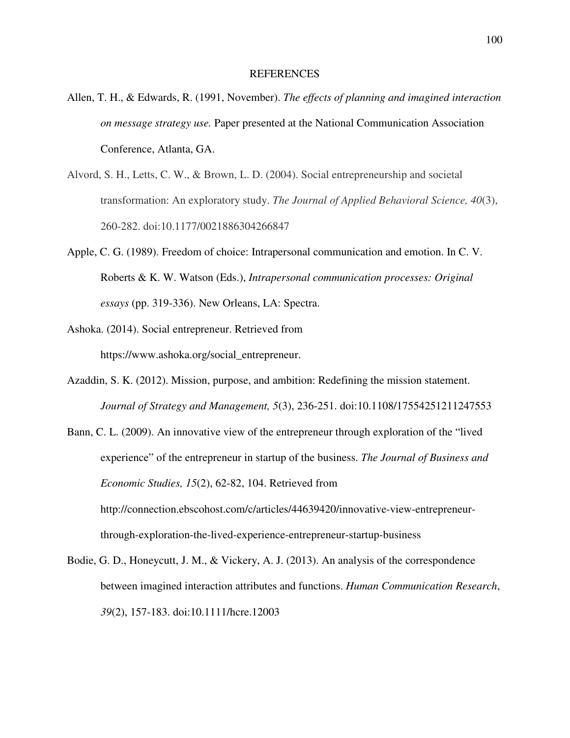#### REFERENCES

- Allen, T. H., & Edwards, R. (1991, November). *The effects of planning and imagined interaction on message strategy use.* Paper presented at the National Communication Association Conference, Atlanta, GA.
- Alvord, S. H., Letts, C. W., & Brown, L. D. (2004). Social entrepreneurship and societal transformation: An exploratory study. *The Journal of Applied Behavioral Science, 40*(3), 260-282. doi:10.1177/0021886304266847
- Apple, C. G. (1989). Freedom of choice: Intrapersonal communication and emotion. In C. V. Roberts & K. W. Watson (Eds.), *Intrapersonal communication processes: Original essays* (pp. 319-336). New Orleans, LA: Spectra.
- Ashoka. (2014). Social entrepreneur. Retrieved from https://www.ashoka.org/social\_entrepreneur.
- Azaddin, S. K. (2012). Mission, purpose, and ambition: Redefining the mission statement. *Journal of Strategy and Management, 5*(3), 236-251. doi:10.1108/17554251211247553
- Bann, C. L. (2009). An innovative view of the entrepreneur through exploration of the "lived experience" of the entrepreneur in startup of the business. *The Journal of Business and Economic Studies, 15*(2), 62-82, 104. Retrieved from http://connection.ebscohost.com/c/articles/44639420/innovative-view-entrepreneurthrough-exploration-the-lived-experience-entrepreneur-startup-business
- Bodie, G. D., Honeycutt, J. M., & Vickery, A. J. (2013). An analysis of the correspondence between imagined interaction attributes and functions. *Human Communication Research*, *39*(2), 157-183. doi:10.1111/hcre.12003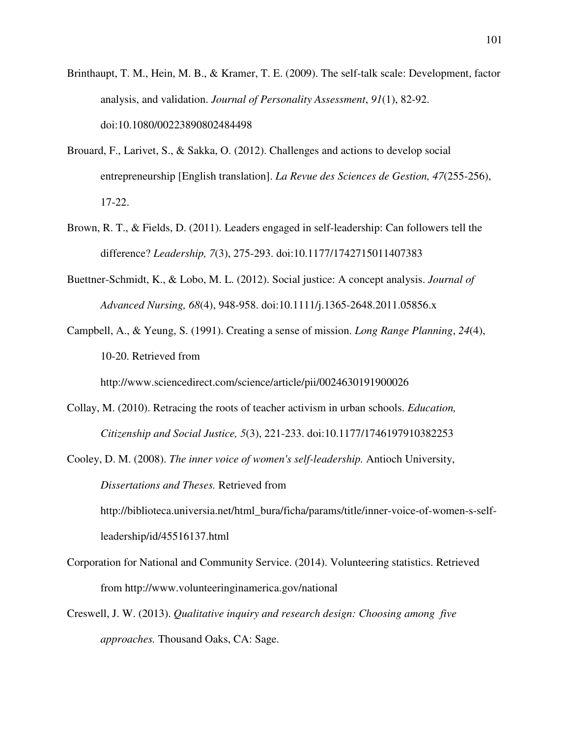- Brinthaupt, T. M., Hein, M. B., & Kramer, T. E. (2009). The self-talk scale: Development, factor analysis, and validation. *Journal of Personality Assessment*, *91*(1), 82-92. doi:10.1080/00223890802484498
- Brouard, F., Larivet, S., & Sakka, O. (2012). Challenges and actions to develop social entrepreneurship [English translation]. *La Revue des Sciences de Gestion, 47*(255-256), 17-22.
- Brown, R. T., & Fields, D. (2011). Leaders engaged in self-leadership: Can followers tell the difference? *Leadership, 7*(3), 275-293. doi:10.1177/1742715011407383
- Buettner-Schmidt, K., & Lobo, M. L. (2012). Social justice: A concept analysis. *Journal of Advanced Nursing, 68*(4), 948-958. doi:10.1111/j.1365-2648.2011.05856.x
- Campbell, A., & Yeung, S. (1991). Creating a sense of mission. *Long Range Planning*, *24*(4), 10-20. Retrieved from

http://www.sciencedirect.com/science/article/pii/0024630191900026

- Collay, M. (2010). Retracing the roots of teacher activism in urban schools. *Education, Citizenship and Social Justice, 5*(3), 221-233. doi:10.1177/1746197910382253
- Cooley, D. M. (2008). *The inner voice of women's self-leadership.* Antioch University, *Dissertations and Theses.* Retrieved from

http://biblioteca.universia.net/html\_bura/ficha/params/title/inner-voice-of-women-s-selfleadership/id/45516137.html

- Corporation for National and Community Service. (2014). Volunteering statistics. Retrieved from http://www.volunteeringinamerica.gov/national
- Creswell, J. W. (2013). *Qualitative inquiry and research design: Choosing among five approaches.* Thousand Oaks, CA: Sage.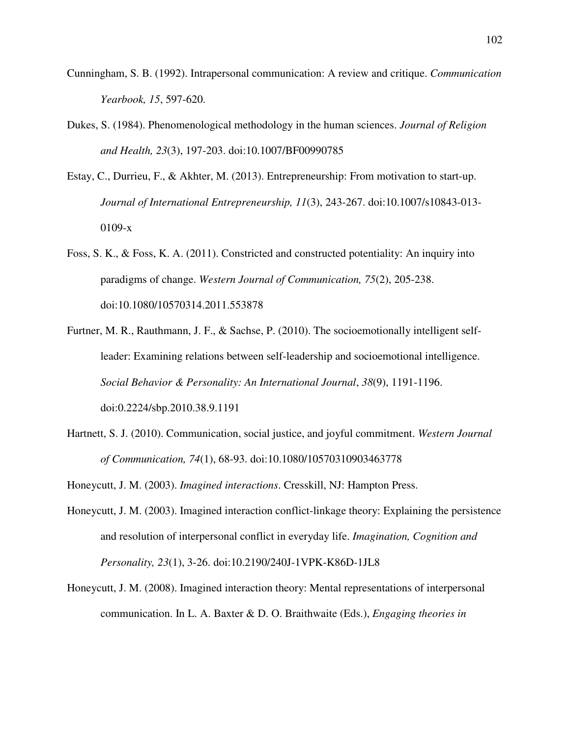- Cunningham, S. B. (1992). Intrapersonal communication: A review and critique. *Communication Yearbook, 15*, 597-620.
- Dukes, S. (1984). Phenomenological methodology in the human sciences. *Journal of Religion and Health, 23*(3), 197-203. doi:10.1007/BF00990785
- Estay, C., Durrieu, F., & Akhter, M. (2013). Entrepreneurship: From motivation to start-up. *Journal of International Entrepreneurship, 11*(3), 243-267. doi:10.1007/s10843-013- 0109-x
- Foss, S. K., & Foss, K. A. (2011). Constricted and constructed potentiality: An inquiry into paradigms of change. *Western Journal of Communication, 75*(2), 205-238. doi:10.1080/10570314.2011.553878
- Furtner, M. R., Rauthmann, J. F., & Sachse, P. (2010). The socioemotionally intelligent selfleader: Examining relations between self-leadership and socioemotional intelligence. *Social Behavior & Personality: An International Journal*, *38*(9), 1191-1196. doi:0.2224/sbp.2010.38.9.1191
- Hartnett, S. J. (2010). Communication, social justice, and joyful commitment. *Western Journal of Communication, 74*(1), 68-93. doi:10.1080/10570310903463778
- Honeycutt, J. M. (2003). *Imagined interactions*. Cresskill, NJ: Hampton Press.
- Honeycutt, J. M. (2003). Imagined interaction conflict-linkage theory: Explaining the persistence and resolution of interpersonal conflict in everyday life. *Imagination, Cognition and Personality, 23*(1), 3-26. doi:10.2190/240J-1VPK-K86D-1JL8
- Honeycutt, J. M. (2008). Imagined interaction theory: Mental representations of interpersonal communication. In L. A. Baxter & D. O. Braithwaite (Eds.), *Engaging theories in*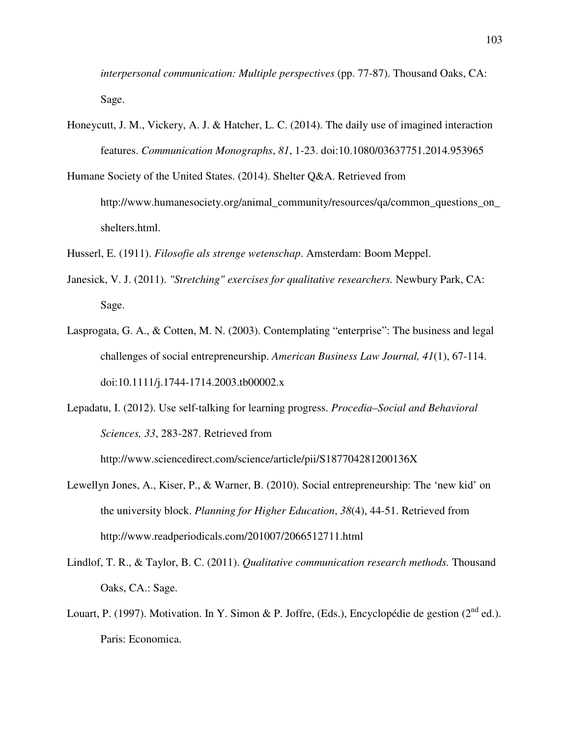*interpersonal communication: Multiple perspectives* (pp. 77-87). Thousand Oaks, CA: Sage.

- Honeycutt, J. M., Vickery, A. J. & Hatcher, L. C. (2014). The daily use of imagined interaction features. *Communication Monographs*, *81*, 1-23. doi:10.1080/03637751.2014.953965
- Humane Society of the United States. (2014). Shelter Q&A. Retrieved from http://www.humanesociety.org/animal\_community/resources/qa/common\_questions\_on\_ shelters.html.
- Husserl, E. (1911). *Filosofie als strenge wetenschap*. Amsterdam: Boom Meppel.
- Janesick, V. J. (2011). *"Stretching" exercises for qualitative researchers.* Newbury Park, CA: Sage.
- Lasprogata, G. A., & Cotten, M. N. (2003). Contemplating "enterprise": The business and legal challenges of social entrepreneurship. *American Business Law Journal, 41*(1), 67-114. doi:10.1111/j.1744-1714.2003.tb00002.x
- Lepadatu, I. (2012). Use self-talking for learning progress. *Procedia–Social and Behavioral Sciences, 33*, 283-287. Retrieved from

http://www.sciencedirect.com/science/article/pii/S187704281200136X

- Lewellyn Jones, A., Kiser, P., & Warner, B. (2010). Social entrepreneurship: The 'new kid' on the university block. *Planning for Higher Education*, *38*(4), 44-51. Retrieved from http://www.readperiodicals.com/201007/2066512711.html
- Lindlof, T. R., & Taylor, B. C. (2011). *Qualitative communication research methods.* Thousand Oaks, CA.: Sage.
- Louart, P. (1997). Motivation. In Y. Simon & P. Joffre, (Eds.), Encyclopédie de gestion (2<sup>nd</sup> ed.). Paris: Economica.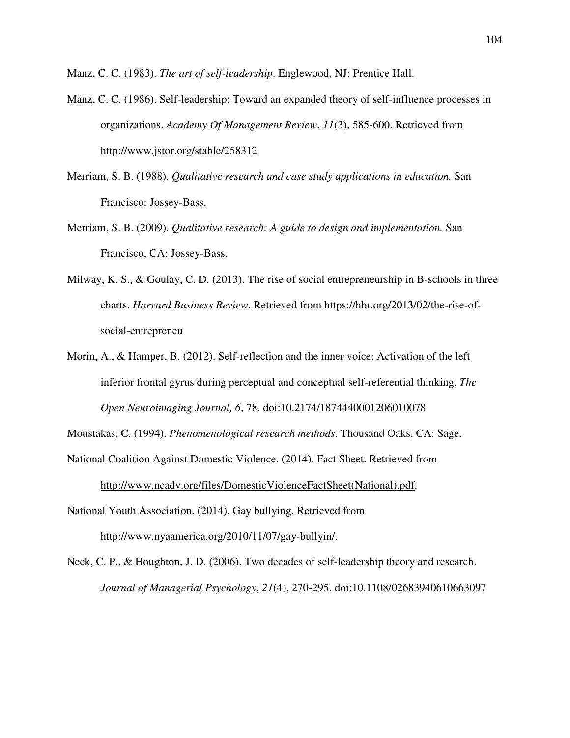Manz, C. C. (1983). *The art of self-leadership*. Englewood, NJ: Prentice Hall.

- Manz, C. C. (1986). Self-leadership: Toward an expanded theory of self-influence processes in organizations. *Academy Of Management Review*, *11*(3), 585-600. Retrieved from http://www.jstor.org/stable/258312
- Merriam, S. B. (1988). *Qualitative research and case study applications in education.* San Francisco: Jossey-Bass.
- Merriam, S. B. (2009). *Qualitative research: A guide to design and implementation.* San Francisco, CA: Jossey-Bass.
- Milway, K. S., & Goulay, C. D. (2013). The rise of social entrepreneurship in B-schools in three charts. *Harvard Business Review*. Retrieved from https://hbr.org/2013/02/the-rise-ofsocial-entrepreneu
- Morin, A., & Hamper, B. (2012). Self-reflection and the inner voice: Activation of the left inferior frontal gyrus during perceptual and conceptual self-referential thinking. *The Open Neuroimaging Journal, 6*, 78. doi:10.2174/1874440001206010078

Moustakas, C. (1994). *Phenomenological research methods*. Thousand Oaks, CA: Sage.

- National Coalition Against Domestic Violence. (2014). Fact Sheet. Retrieved from http://www.ncadv.org/files/DomesticViolenceFactSheet(National).pdf.
- National Youth Association. (2014). Gay bullying. Retrieved from http://www.nyaamerica.org/2010/11/07/gay-bullyin/.
- Neck, C. P., & Houghton, J. D. (2006). Two decades of self-leadership theory and research. *Journal of Managerial Psychology*, *21*(4), 270-295. doi:10.1108/02683940610663097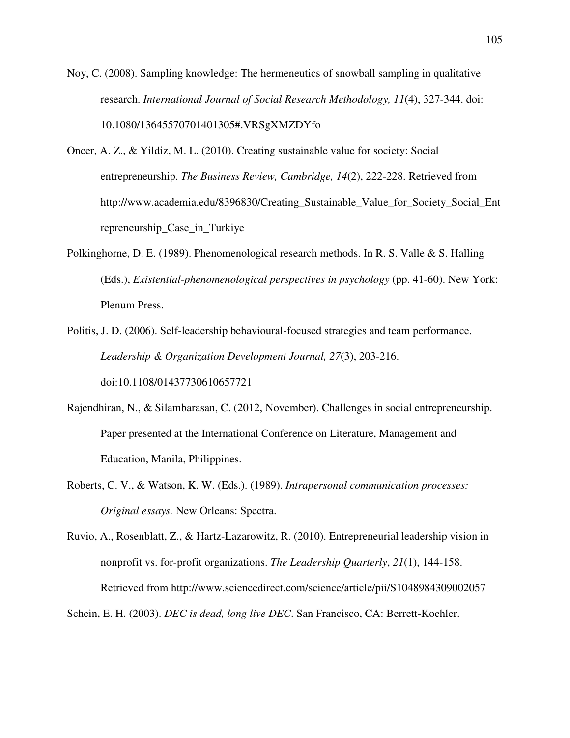Noy, C. (2008). Sampling knowledge: The hermeneutics of snowball sampling in qualitative research. *International Journal of Social Research Methodology, 11*(4), 327-344. doi: 10.1080/13645570701401305#.VRSgXMZDYfo

- Oncer, A. Z., & Yildiz, M. L. (2010). Creating sustainable value for society: Social entrepreneurship. *The Business Review, Cambridge, 14*(2), 222-228. Retrieved from http://www.academia.edu/8396830/Creating\_Sustainable\_Value\_for\_Society\_Social\_Ent repreneurship\_Case\_in\_Turkiye
- Polkinghorne, D. E. (1989). Phenomenological research methods. In R. S. Valle & S. Halling (Eds.), *Existential-phenomenological perspectives in psychology* (pp. 41-60). New York: Plenum Press.
- Politis, J. D. (2006). Self-leadership behavioural-focused strategies and team performance. *Leadership & Organization Development Journal, 27*(3), 203-216. doi:10.1108/01437730610657721
- Rajendhiran, N., & Silambarasan, C. (2012, November). Challenges in social entrepreneurship. Paper presented at the International Conference on Literature, Management and Education, Manila, Philippines.
- Roberts, C. V., & Watson, K. W. (Eds.). (1989). *Intrapersonal communication processes: Original essays.* New Orleans: Spectra.

Ruvio, A., Rosenblatt, Z., & Hartz-Lazarowitz, R. (2010). Entrepreneurial leadership vision in nonprofit vs. for-profit organizations. *The Leadership Quarterly*, *21*(1), 144-158. Retrieved from http://www.sciencedirect.com/science/article/pii/S1048984309002057

Schein, E. H. (2003). *DEC is dead, long live DEC*. San Francisco, CA: Berrett-Koehler.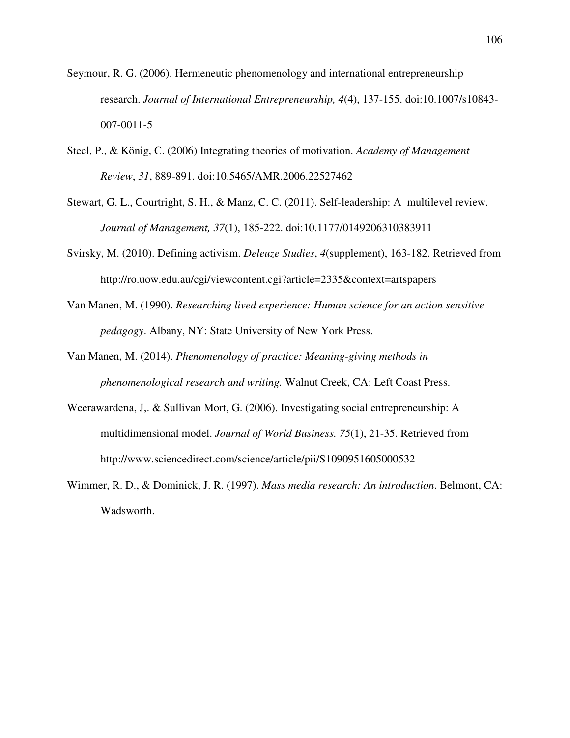- Seymour, R. G. (2006). Hermeneutic phenomenology and international entrepreneurship research. *Journal of International Entrepreneurship, 4*(4), 137-155. doi:10.1007/s10843- 007-0011-5
- Steel, P., & König, C. (2006) Integrating theories of motivation. *Academy of Management Review*, *31*, 889-891. doi:10.5465/AMR.2006.22527462
- Stewart, G. L., Courtright, S. H., & Manz, C. C. (2011). Self-leadership: A multilevel review. *Journal of Management, 37*(1), 185-222. doi:10.1177/0149206310383911
- Svirsky, M. (2010). Defining activism. *Deleuze Studies*, *4*(supplement), 163-182. Retrieved from http://ro.uow.edu.au/cgi/viewcontent.cgi?article=2335&context=artspapers
- Van Manen, M. (1990). *Researching lived experience: Human science for an action sensitive pedagogy*. Albany, NY: State University of New York Press.
- Van Manen, M. (2014). *Phenomenology of practice: Meaning-giving methods in phenomenological research and writing.* Walnut Creek, CA: Left Coast Press.
- Weerawardena, J,. & Sullivan Mort, G. (2006). Investigating social entrepreneurship: A multidimensional model. *Journal of World Business. 75*(1), 21-35. Retrieved from http://www.sciencedirect.com/science/article/pii/S1090951605000532
- Wimmer, R. D., & Dominick, J. R. (1997). *Mass media research: An introduction*. Belmont, CA: Wadsworth.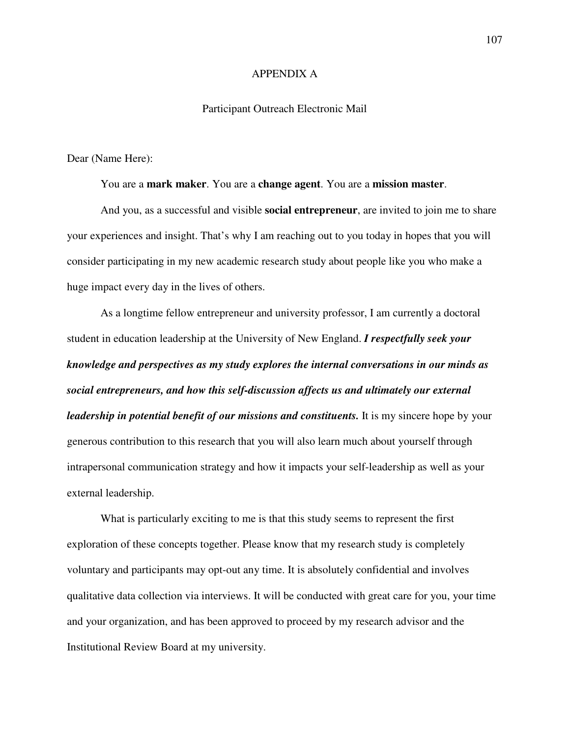#### APPENDIX A

#### Participant Outreach Electronic Mail

Dear (Name Here):

You are a **mark maker**. You are a **change agent**. You are a **mission master**.

And you, as a successful and visible **social entrepreneur**, are invited to join me to share your experiences and insight. That's why I am reaching out to you today in hopes that you will consider participating in my new academic research study about people like you who make a huge impact every day in the lives of others.

As a longtime fellow entrepreneur and university professor, I am currently a doctoral student in education leadership at the University of New England. *I respectfully seek your knowledge and perspectives as my study explores the internal conversations in our minds as social entrepreneurs, and how this self-discussion affects us and ultimately our external leadership in potential benefit of our missions and constituents.* It is my sincere hope by your generous contribution to this research that you will also learn much about yourself through intrapersonal communication strategy and how it impacts your self-leadership as well as your external leadership.

What is particularly exciting to me is that this study seems to represent the first exploration of these concepts together. Please know that my research study is completely voluntary and participants may opt-out any time. It is absolutely confidential and involves qualitative data collection via interviews. It will be conducted with great care for you, your time and your organization, and has been approved to proceed by my research advisor and the Institutional Review Board at my university.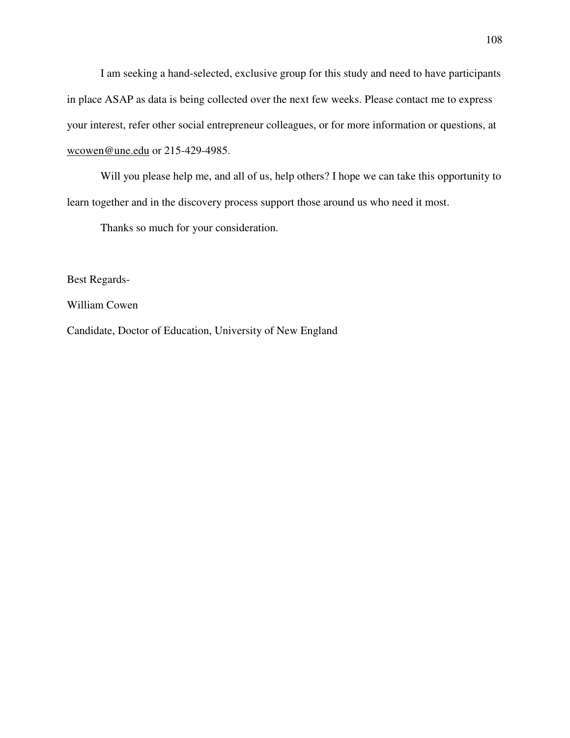I am seeking a hand-selected, exclusive group for this study and need to have participants in place ASAP as data is being collected over the next few weeks. Please contact me to express your interest, refer other social entrepreneur colleagues, or for more information or questions, at wcowen@une.edu or 215-429-4985.

Will you please help me, and all of us, help others? I hope we can take this opportunity to learn together and in the discovery process support those around us who need it most.

Thanks so much for your consideration.

Best Regards-

William Cowen

Candidate, Doctor of Education, University of New England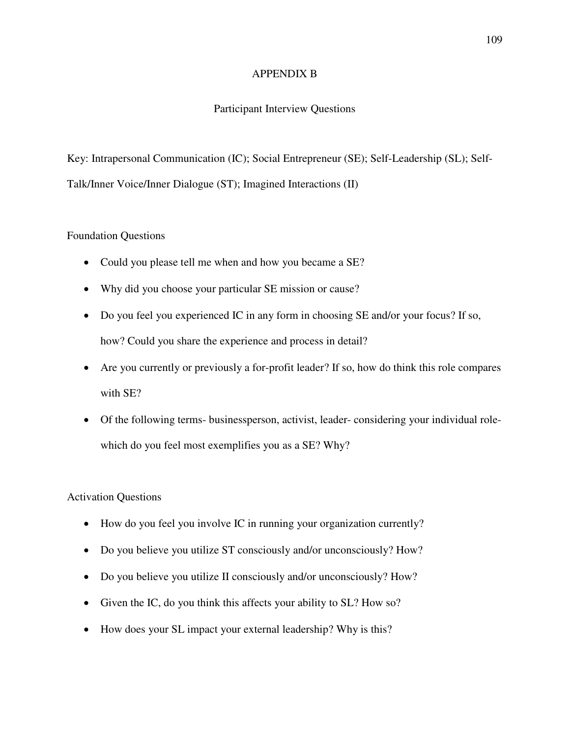## APPENDIX B

# Participant Interview Questions

Key: Intrapersonal Communication (IC); Social Entrepreneur (SE); Self-Leadership (SL); Self-Talk/Inner Voice/Inner Dialogue (ST); Imagined Interactions (II)

## Foundation Questions

- Could you please tell me when and how you became a SE?
- Why did you choose your particular SE mission or cause?
- Do you feel you experienced IC in any form in choosing SE and/or your focus? If so, how? Could you share the experience and process in detail?
- Are you currently or previously a for-profit leader? If so, how do think this role compares with SE?
- Of the following terms- businessperson, activist, leader- considering your individual rolewhich do you feel most exemplifies you as a SE? Why?

# Activation Questions

- How do you feel you involve IC in running your organization currently?
- Do you believe you utilize ST consciously and/or unconsciously? How?
- Do you believe you utilize II consciously and/or unconsciously? How?
- Given the IC, do you think this affects your ability to SL? How so?
- How does your SL impact your external leadership? Why is this?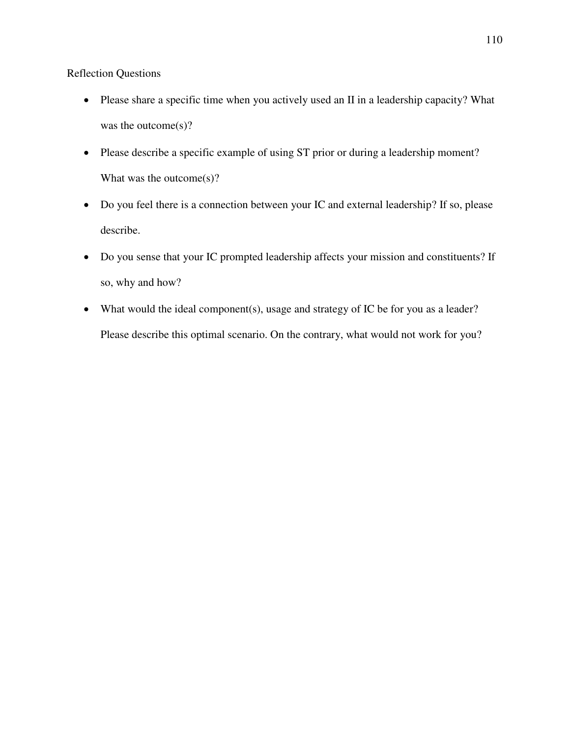Reflection Questions

- Please share a specific time when you actively used an II in a leadership capacity? What was the outcome(s)?
- Please describe a specific example of using ST prior or during a leadership moment? What was the outcome(s)?
- Do you feel there is a connection between your IC and external leadership? If so, please describe.
- Do you sense that your IC prompted leadership affects your mission and constituents? If so, why and how?
- What would the ideal component(s), usage and strategy of IC be for you as a leader? Please describe this optimal scenario. On the contrary, what would not work for you?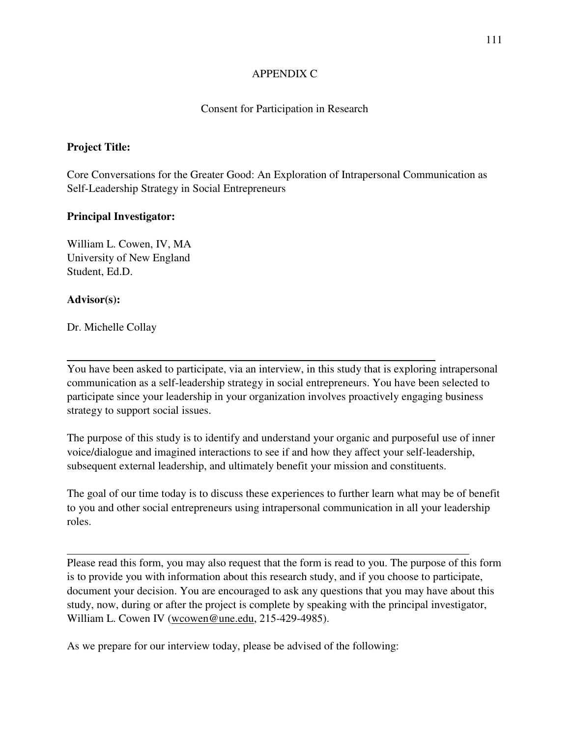# APPENDIX C

## Consent for Participation in Research

## **Project Title:**

Core Conversations for the Greater Good: An Exploration of Intrapersonal Communication as Self-Leadership Strategy in Social Entrepreneurs

## **Principal Investigator:**

William L. Cowen, IV, MA University of New England Student, Ed.D.

## **Advisor(s):**

 $\overline{a}$ 

Dr. Michelle Collay

You have been asked to participate, via an interview, in this study that is exploring intrapersonal communication as a self-leadership strategy in social entrepreneurs. You have been selected to participate since your leadership in your organization involves proactively engaging business strategy to support social issues.

The purpose of this study is to identify and understand your organic and purposeful use of inner voice/dialogue and imagined interactions to see if and how they affect your self-leadership, subsequent external leadership, and ultimately benefit your mission and constituents.

The goal of our time today is to discuss these experiences to further learn what may be of benefit to you and other social entrepreneurs using intrapersonal communication in all your leadership roles.

Please read this form, you may also request that the form is read to you. The purpose of this form is to provide you with information about this research study, and if you choose to participate, document your decision. You are encouraged to ask any questions that you may have about this study, now, during or after the project is complete by speaking with the principal investigator, William L. Cowen IV (wcowen@une.edu, 215-429-4985).

As we prepare for our interview today, please be advised of the following: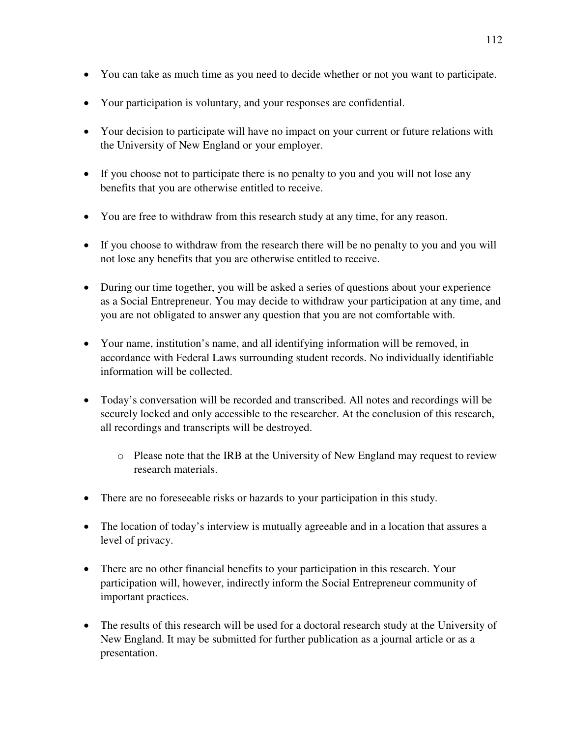- You can take as much time as you need to decide whether or not you want to participate.
- Your participation is voluntary, and your responses are confidential.
- Your decision to participate will have no impact on your current or future relations with the University of New England or your employer.
- If you choose not to participate there is no penalty to you and you will not lose any benefits that you are otherwise entitled to receive.
- You are free to withdraw from this research study at any time, for any reason.
- If you choose to withdraw from the research there will be no penalty to you and you will not lose any benefits that you are otherwise entitled to receive.
- During our time together, you will be asked a series of questions about your experience as a Social Entrepreneur. You may decide to withdraw your participation at any time, and you are not obligated to answer any question that you are not comfortable with.
- Your name, institution's name, and all identifying information will be removed, in accordance with Federal Laws surrounding student records. No individually identifiable information will be collected.
- Today's conversation will be recorded and transcribed. All notes and recordings will be securely locked and only accessible to the researcher. At the conclusion of this research, all recordings and transcripts will be destroyed.
	- o Please note that the IRB at the University of New England may request to review research materials.
- There are no fore seeable risks or hazards to your participation in this study.
- The location of today's interview is mutually agreeable and in a location that assures a level of privacy.
- There are no other financial benefits to your participation in this research. Your participation will, however, indirectly inform the Social Entrepreneur community of important practices.
- The results of this research will be used for a doctoral research study at the University of New England. It may be submitted for further publication as a journal article or as a presentation.